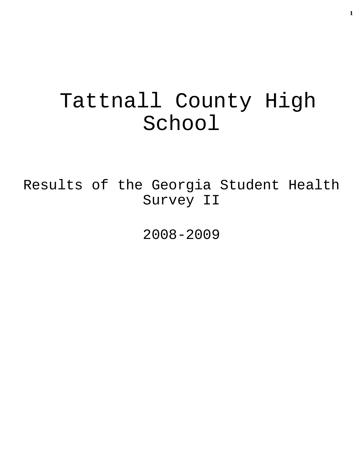# Tattnall County High School

Results of the Georgia Student Health Survey II

2008-2009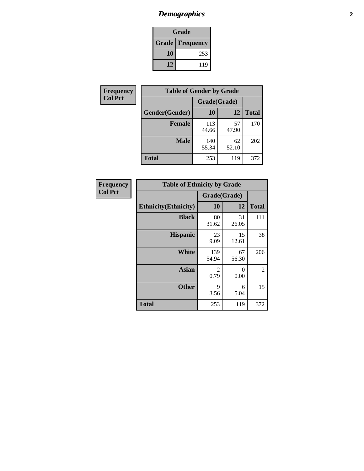### *Demographics* **2**

| Grade                    |     |  |  |
|--------------------------|-----|--|--|
| <b>Grade   Frequency</b> |     |  |  |
| 10                       | 253 |  |  |
| 12                       | 119 |  |  |

| <b>Frequency</b> | <b>Table of Gender by Grade</b> |              |             |              |  |
|------------------|---------------------------------|--------------|-------------|--------------|--|
| <b>Col Pct</b>   |                                 | Grade(Grade) |             |              |  |
|                  | Gender(Gender)                  | 10           | 12          | <b>Total</b> |  |
|                  | <b>Female</b>                   | 113<br>44.66 | 57<br>47.90 | 170          |  |
|                  | <b>Male</b>                     | 140<br>55.34 | 62<br>52.10 | 202          |  |
|                  | <b>Total</b>                    | 253          | 119         | 372          |  |

| <b>Frequency</b> |
|------------------|
| <b>Col Pct</b>   |

| <b>Table of Ethnicity by Grade</b> |              |             |              |  |  |  |
|------------------------------------|--------------|-------------|--------------|--|--|--|
|                                    | Grade(Grade) |             |              |  |  |  |
| <b>Ethnicity</b> (Ethnicity)       | 10           | 12          | <b>Total</b> |  |  |  |
| <b>Black</b>                       | 80<br>31.62  | 31<br>26.05 | 111          |  |  |  |
| <b>Hispanic</b>                    | 23<br>9.09   | 15<br>12.61 | 38           |  |  |  |
| White                              | 139<br>54.94 | 67<br>56.30 | 206          |  |  |  |
| <b>Asian</b>                       | 2<br>0.79    | 0<br>0.00   | 2            |  |  |  |
| <b>Other</b>                       | 9<br>3.56    | 6<br>5.04   | 15           |  |  |  |
| <b>Total</b>                       | 253          | 119         | 372          |  |  |  |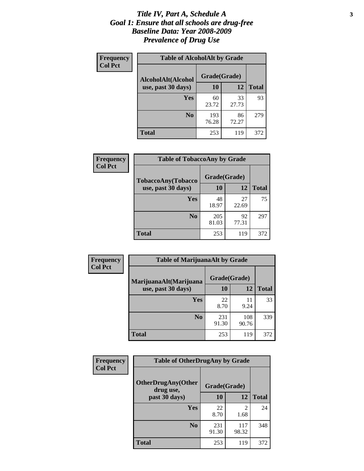#### *Title IV, Part A, Schedule A* **3** *Goal 1: Ensure that all schools are drug-free Baseline Data: Year 2008-2009 Prevalence of Drug Use*

| Frequency<br><b>Col Pct</b> | <b>Table of AlcoholAlt by Grade</b> |              |             |              |  |  |
|-----------------------------|-------------------------------------|--------------|-------------|--------------|--|--|
|                             | AlcoholAlt(Alcohol                  | Grade(Grade) |             |              |  |  |
|                             | use, past 30 days)                  | 10           | 12          | <b>Total</b> |  |  |
|                             | Yes                                 | 60<br>23.72  | 33<br>27.73 | 93           |  |  |
|                             | N <sub>0</sub>                      | 193<br>76.28 | 86<br>72.27 | 279          |  |  |
|                             | <b>Total</b>                        | 253          | 119         | 372          |  |  |

| <b>Frequency</b> | <b>Table of TobaccoAny by Grade</b> |              |             |              |  |  |
|------------------|-------------------------------------|--------------|-------------|--------------|--|--|
| <b>Col Pct</b>   | TobaccoAny(Tobacco                  | Grade(Grade) |             |              |  |  |
|                  | use, past 30 days)                  | 10           | 12          | <b>Total</b> |  |  |
|                  | Yes                                 | 48<br>18.97  | 27<br>22.69 | 75           |  |  |
|                  | N <sub>0</sub>                      | 205<br>81.03 | 92<br>77.31 | 297          |  |  |
|                  | Total                               | 253          | 119         | 372          |  |  |

| Frequency      | <b>Table of MarijuanaAlt by Grade</b> |              |              |              |  |
|----------------|---------------------------------------|--------------|--------------|--------------|--|
| <b>Col Pct</b> | MarijuanaAlt(Marijuana                | Grade(Grade) |              |              |  |
|                | use, past 30 days)                    | <b>10</b>    | 12           | <b>Total</b> |  |
|                | <b>Yes</b>                            | 22<br>8.70   | 11<br>9.24   | 33           |  |
|                | N <sub>0</sub>                        | 231<br>91.30 | 108<br>90.76 | 339          |  |
|                | <b>Total</b>                          | 253          | 119          | 372          |  |

| Frequency<br><b>Col Pct</b> | <b>Table of OtherDrugAny by Grade</b>  |              |                        |              |  |
|-----------------------------|----------------------------------------|--------------|------------------------|--------------|--|
|                             | <b>OtherDrugAny(Other</b><br>drug use, | Grade(Grade) |                        |              |  |
|                             | past 30 days)                          | 10           | 12                     | <b>Total</b> |  |
|                             | Yes                                    | 22<br>8.70   | $\mathfrak{D}$<br>1.68 | 24           |  |
|                             | N <sub>0</sub>                         | 231<br>91.30 | 117<br>98.32           | 348          |  |
|                             | <b>Total</b>                           | 253          | 119                    | 372          |  |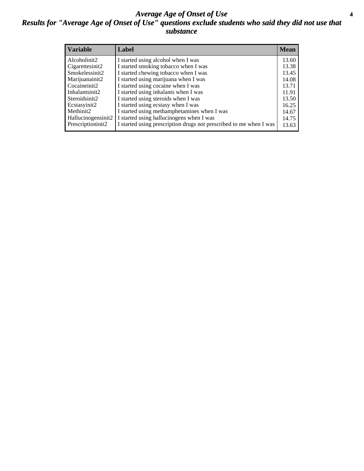#### *Average Age of Onset of Use* **4** *Results for "Average Age of Onset of Use" questions exclude students who said they did not use that substance*

| <b>Variable</b>       | Label                                                              | <b>Mean</b> |
|-----------------------|--------------------------------------------------------------------|-------------|
| Alcoholinit2          | I started using alcohol when I was                                 | 13.60       |
| Cigarettesinit2       | I started smoking tobacco when I was                               | 13.38       |
| Smokelessinit2        | I started chewing tobacco when I was                               | 13.45       |
| Marijuanainit2        | I started using marijuana when I was                               | 14.08       |
| Cocaineinit2          | I started using cocaine when I was                                 | 13.71       |
| Inhalantsinit2        | I started using inhalants when I was                               | 11.91       |
| Steroidsinit2         | I started using steroids when I was                                | 13.50       |
| Ecstasyinit2          | I started using ecstasy when I was                                 | 16.25       |
| Methinit <sub>2</sub> | I started using methamphetamines when I was                        | 14.67       |
| Hallucinogensinit2    | I started using hallucinogens when I was                           | 14.75       |
| Prescriptioninit2     | I started using prescription drugs not prescribed to me when I was | 13.63       |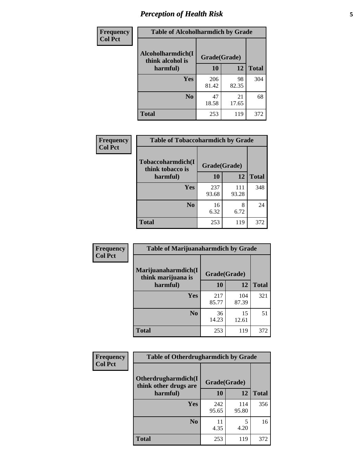### *Perception of Health Risk* **5**

| Frequency      | <b>Table of Alcoholharmdich by Grade</b> |              |             |              |  |
|----------------|------------------------------------------|--------------|-------------|--------------|--|
| <b>Col Pct</b> | Alcoholharmdich(I<br>think alcohol is    | Grade(Grade) |             |              |  |
|                | harmful)                                 | 10           | 12          | <b>Total</b> |  |
|                | Yes                                      | 206<br>81.42 | 98<br>82.35 | 304          |  |
|                | N <sub>0</sub>                           | 47<br>18.58  | 21<br>17.65 | 68           |  |
|                | <b>Total</b>                             | 253          | 119         | 372          |  |

| Frequency      | <b>Table of Tobaccoharmdich by Grade</b> |              |              |              |  |
|----------------|------------------------------------------|--------------|--------------|--------------|--|
| <b>Col Pct</b> | Tobaccoharmdich(I<br>think tobacco is    | Grade(Grade) |              |              |  |
|                | harmful)                                 | 10           | 12           | <b>Total</b> |  |
|                | Yes                                      | 237<br>93.68 | 111<br>93.28 | 348          |  |
|                | N <sub>0</sub>                           | 16<br>6.32   | 8<br>6.72    | 24           |  |
|                | Total                                    | 253          | 119          | 372          |  |

| Frequency      | <b>Table of Marijuanaharmdich by Grade</b> |              |              |              |  |  |
|----------------|--------------------------------------------|--------------|--------------|--------------|--|--|
| <b>Col Pct</b> | Marijuanaharmdich(I<br>think marijuana is  | Grade(Grade) |              |              |  |  |
|                | harmful)                                   | <b>10</b>    | 12           | <b>Total</b> |  |  |
|                | Yes                                        | 217<br>85.77 | 104<br>87.39 | 321          |  |  |
|                | N <sub>0</sub>                             | 36<br>14.23  | 15<br>12.61  | 51           |  |  |
|                | <b>Total</b>                               | 253          | 119          | 372          |  |  |

| Frequency      | <b>Table of Otherdrugharmdich by Grade</b>                   |              |              |              |  |  |  |  |
|----------------|--------------------------------------------------------------|--------------|--------------|--------------|--|--|--|--|
| <b>Col Pct</b> | Otherdrugharmdich(I<br>Grade(Grade)<br>think other drugs are |              |              |              |  |  |  |  |
|                | harmful)                                                     | <b>10</b>    | 12           | <b>Total</b> |  |  |  |  |
|                | <b>Yes</b>                                                   | 242<br>95.65 | 114<br>95.80 | 356          |  |  |  |  |
|                | N <sub>0</sub>                                               | 11<br>4.35   | 5<br>4.20    | 16           |  |  |  |  |
|                | <b>Total</b>                                                 | 253          | 119          | 372          |  |  |  |  |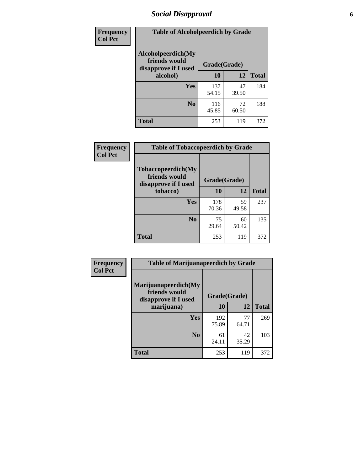### *Social Disapproval* **6**

| Frequency      | <b>Table of Alcoholpeerdich by Grade</b>                    |              |              |     |
|----------------|-------------------------------------------------------------|--------------|--------------|-----|
| <b>Col Pct</b> | Alcoholpeerdich(My<br>friends would<br>disapprove if I used | Grade(Grade) |              |     |
|                | alcohol)                                                    | 10           | <b>Total</b> |     |
|                | <b>Yes</b>                                                  | 137<br>54.15 | 47<br>39.50  | 184 |
|                | N <sub>0</sub>                                              | 116<br>45.85 | 72<br>60.50  | 188 |
|                | <b>Total</b>                                                | 253          | 119          | 372 |

| <b>Frequency</b> |
|------------------|
| <b>Col Pct</b>   |

| <b>Table of Tobaccopeerdich by Grade</b>                    |              |             |              |  |  |  |  |
|-------------------------------------------------------------|--------------|-------------|--------------|--|--|--|--|
| Tobaccopeerdich(My<br>friends would<br>disapprove if I used | Grade(Grade) |             |              |  |  |  |  |
| tobacco)                                                    | 10           | 12          | <b>Total</b> |  |  |  |  |
| Yes                                                         | 178<br>70.36 | 59<br>49.58 | 237          |  |  |  |  |
| N <sub>0</sub>                                              | 75<br>29.64  | 60<br>50.42 | 135          |  |  |  |  |
| <b>Total</b>                                                | 253          | 119         | 372          |  |  |  |  |

| Frequency      | <b>Table of Marijuanapeerdich by Grade</b>                    |              |             |              |  |  |  |  |
|----------------|---------------------------------------------------------------|--------------|-------------|--------------|--|--|--|--|
| <b>Col Pct</b> | Marijuanapeerdich(My<br>friends would<br>disapprove if I used | Grade(Grade) |             |              |  |  |  |  |
|                | marijuana)                                                    | 10           | 12          | <b>Total</b> |  |  |  |  |
|                | <b>Yes</b>                                                    | 192<br>75.89 | 77<br>64.71 | 269          |  |  |  |  |
|                | N <sub>0</sub>                                                | 61<br>24.11  | 42<br>35.29 | 103          |  |  |  |  |
|                | <b>Total</b>                                                  | 253          | 119         | 372          |  |  |  |  |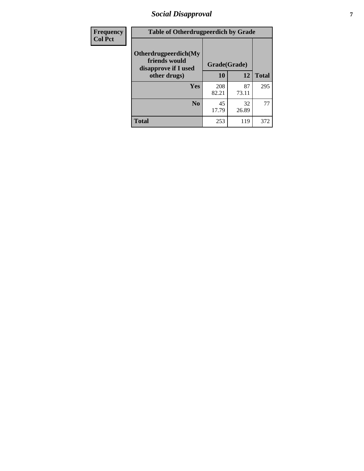### *Social Disapproval* **7**

| Frequency      | <b>Table of Otherdrugpeerdich by Grade</b>                    |              |             |              |  |  |  |  |
|----------------|---------------------------------------------------------------|--------------|-------------|--------------|--|--|--|--|
| <b>Col Pct</b> | Otherdrugpeerdich(My<br>friends would<br>disapprove if I used | Grade(Grade) |             |              |  |  |  |  |
|                | other drugs)                                                  | 10           | 12          | <b>Total</b> |  |  |  |  |
|                | Yes                                                           | 208<br>82.21 | 87<br>73.11 | 295          |  |  |  |  |
|                | N <sub>0</sub>                                                | 45<br>17.79  | 32<br>26.89 | 77           |  |  |  |  |
|                | <b>Total</b>                                                  | 253          | 119         | 372          |  |  |  |  |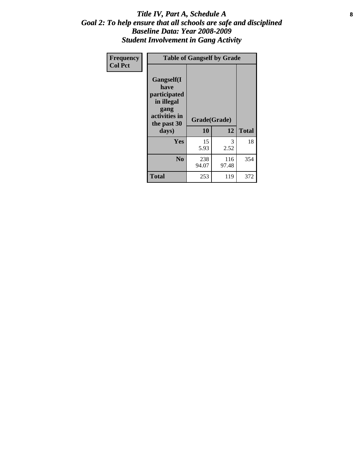#### Title IV, Part A, Schedule A **8** *Goal 2: To help ensure that all schools are safe and disciplined Baseline Data: Year 2008-2009 Student Involvement in Gang Activity*

| Frequency      |                                                                                                   | <b>Table of Gangself by Grade</b> |              |              |
|----------------|---------------------------------------------------------------------------------------------------|-----------------------------------|--------------|--------------|
| <b>Col Pct</b> | Gangself(I<br>have<br>participated<br>in illegal<br>gang<br>activities in<br>the past 30<br>days) | Grade(Grade)<br>10                | 12           | <b>Total</b> |
|                | Yes                                                                                               | 15<br>5.93                        | 3<br>2.52    | 18           |
|                | N <sub>0</sub>                                                                                    | 238<br>94.07                      | 116<br>97.48 | 354          |
|                | <b>Total</b>                                                                                      | 253                               | 119          | 372          |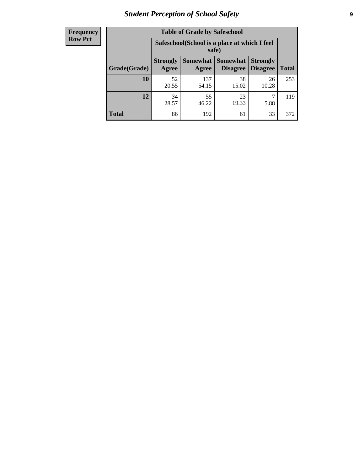### *Student Perception of School Safety* **9**

| <b>Frequency</b><br>Row Pct |
|-----------------------------|
|                             |

| <b>Table of Grade by Safeschool</b> |                                                        |              |                                 |                                    |              |  |  |  |
|-------------------------------------|--------------------------------------------------------|--------------|---------------------------------|------------------------------------|--------------|--|--|--|
|                                     | Safeschool (School is a place at which I feel<br>safe) |              |                                 |                                    |              |  |  |  |
| Grade(Grade)                        | <b>Strongly</b><br>Agree                               | Agree        | Somewhat   Somewhat<br>Disagree | <b>Strongly</b><br><b>Disagree</b> | <b>Total</b> |  |  |  |
| 10                                  | 52<br>20.55                                            | 137<br>54.15 | 38<br>15.02                     | 26<br>10.28                        | 253          |  |  |  |
| 12                                  | 34<br>28.57                                            | 55<br>46.22  | 23<br>19.33                     | 5.88                               | 119          |  |  |  |
| <b>Total</b>                        | 86                                                     | 192          | 61                              | 33                                 | 372          |  |  |  |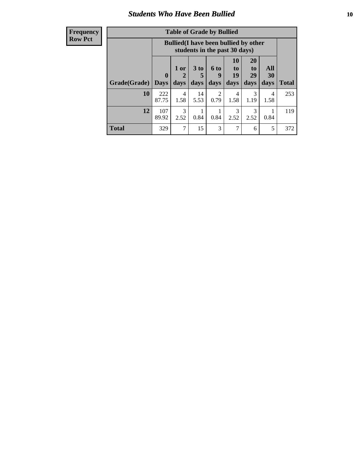#### *Students Who Have Been Bullied* **10**

| Frequency |
|-----------|
| Row Pct   |

| <b>Table of Grade by Bullied</b> |                             |                                                                               |                   |                          |                               |                               |                          |              |
|----------------------------------|-----------------------------|-------------------------------------------------------------------------------|-------------------|--------------------------|-------------------------------|-------------------------------|--------------------------|--------------|
|                                  |                             | <b>Bullied</b> (I have been bullied by other<br>students in the past 30 days) |                   |                          |                               |                               |                          |              |
| Grade(Grade)                     | $\mathbf{0}$<br><b>Days</b> | 1 or<br>2<br>days                                                             | 3 to<br>5<br>days | <b>6 to</b><br>9<br>days | <b>10</b><br>to<br>19<br>days | <b>20</b><br>to<br>29<br>days | <b>All</b><br>30<br>days | <b>Total</b> |
| 10                               | 222<br>87.75                | 4<br>1.58                                                                     | 14<br>5.53        | 2<br>0.79                | 4<br>1.58                     | 3<br>1.19                     | 4<br>1.58                | 253          |
| 12                               | 107<br>89.92                | 3<br>2.52                                                                     | 0.84              | 0.84                     | 3<br>2.52                     | 3<br>2.52                     | 0.84                     | 119          |
| <b>Total</b>                     | 329                         | 7                                                                             | 15                | 3                        |                               | 6                             | 5                        | 372          |

 $\blacksquare$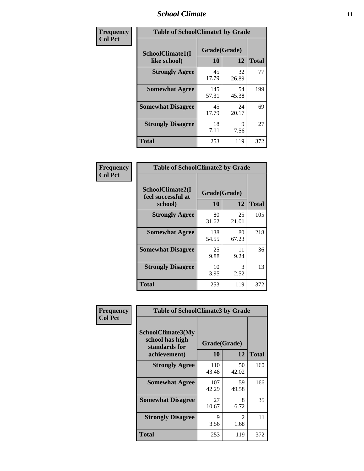### *School Climate* **11**

| Frequency      | <b>Table of SchoolClimate1 by Grade</b> |                    |             |              |  |  |  |
|----------------|-----------------------------------------|--------------------|-------------|--------------|--|--|--|
| <b>Col Pct</b> | SchoolClimate1(I<br>like school)        | Grade(Grade)<br>10 | 12          | <b>Total</b> |  |  |  |
|                | <b>Strongly Agree</b>                   | 45<br>17.79        | 32<br>26.89 | 77           |  |  |  |
|                | <b>Somewhat Agree</b>                   | 145<br>57.31       | 54<br>45.38 | 199          |  |  |  |
|                | <b>Somewhat Disagree</b>                | 45<br>17.79        | 24<br>20.17 | 69           |  |  |  |
|                | <b>Strongly Disagree</b>                | 18<br>7.11         | 9<br>7.56   | 27           |  |  |  |
|                | <b>Total</b>                            | 253                | 119         | 372          |  |  |  |

| <b>Frequency</b> |
|------------------|
| <b>Col Pct</b>   |

| <b>Table of SchoolClimate2 by Grade</b>           |                    |             |              |  |  |
|---------------------------------------------------|--------------------|-------------|--------------|--|--|
| SchoolClimate2(I<br>feel successful at<br>school) | Grade(Grade)<br>10 | 12          | <b>Total</b> |  |  |
| <b>Strongly Agree</b>                             | 80<br>31.62        | 25<br>21.01 | 105          |  |  |
| <b>Somewhat Agree</b>                             | 138<br>54.55       | 80<br>67.23 | 218          |  |  |
| <b>Somewhat Disagree</b>                          | 25<br>9.88         | 11<br>9.24  | 36           |  |  |
| <b>Strongly Disagree</b>                          | 10<br>3.95         | 3<br>2.52   | 13           |  |  |
| <b>Total</b>                                      | 253                | 119         | 372          |  |  |

| Frequency      | <b>Table of SchoolClimate3 by Grade</b>                                      |                                 |             |              |  |
|----------------|------------------------------------------------------------------------------|---------------------------------|-------------|--------------|--|
| <b>Col Pct</b> | <b>SchoolClimate3(My</b><br>school has high<br>standards for<br>achievement) | Grade(Grade)<br><b>10</b><br>12 |             | <b>Total</b> |  |
|                |                                                                              |                                 |             |              |  |
|                | <b>Strongly Agree</b>                                                        | 110<br>43.48                    | 50<br>42.02 | 160          |  |
|                | <b>Somewhat Agree</b>                                                        | 107<br>42.29                    | 59<br>49.58 | 166          |  |
|                | <b>Somewhat Disagree</b>                                                     | 27<br>10.67                     | 8<br>6.72   | 35           |  |
|                | <b>Strongly Disagree</b>                                                     | 9<br>3.56                       | 2<br>1.68   | 11           |  |
|                | Total                                                                        | 253                             | 119         | 372          |  |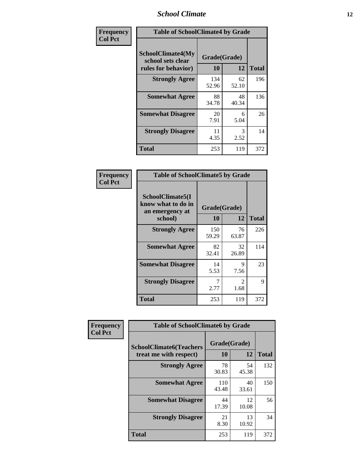### *School Climate* **12**

| Frequency      | <b>Table of SchoolClimate4 by Grade</b>                              |                    |             |              |
|----------------|----------------------------------------------------------------------|--------------------|-------------|--------------|
| <b>Col Pct</b> | <b>SchoolClimate4(My</b><br>school sets clear<br>rules for behavior) | Grade(Grade)<br>10 | 12          | <b>Total</b> |
|                | <b>Strongly Agree</b>                                                | 134<br>52.96       | 62<br>52.10 | 196          |
|                | <b>Somewhat Agree</b>                                                | 88<br>34.78        | 48<br>40.34 | 136          |
|                | <b>Somewhat Disagree</b>                                             | 20<br>7.91         | 6<br>5.04   | 26           |
|                | <b>Strongly Disagree</b>                                             | 11<br>4.35         | 3<br>2.52   | 14           |
|                | <b>Total</b>                                                         | 253                | 119         | 372          |

| <b>Table of SchoolClimate5 by Grade</b>                              |                    |             |              |  |  |
|----------------------------------------------------------------------|--------------------|-------------|--------------|--|--|
| SchoolClimate5(I<br>know what to do in<br>an emergency at<br>school) | Grade(Grade)<br>10 | 12          | <b>Total</b> |  |  |
| <b>Strongly Agree</b>                                                | 150<br>59.29       | 76<br>63.87 | 226          |  |  |
| <b>Somewhat Agree</b>                                                | 82<br>32.41        | 32<br>26.89 | 114          |  |  |
| <b>Somewhat Disagree</b>                                             | 14<br>5.53         | 9<br>7.56   | 23           |  |  |
| <b>Strongly Disagree</b>                                             | 7<br>2.77          | 2<br>1.68   | 9            |  |  |
| Total                                                                | 253                | 119         | 372          |  |  |

| Frequency      | <b>Table of SchoolClimate6 by Grade</b>                  |                    |             |              |  |
|----------------|----------------------------------------------------------|--------------------|-------------|--------------|--|
| <b>Col Pct</b> | <b>SchoolClimate6(Teachers</b><br>treat me with respect) | Grade(Grade)<br>10 | 12          | <b>Total</b> |  |
|                | <b>Strongly Agree</b>                                    | 78<br>30.83        | 54<br>45.38 | 132          |  |
|                | <b>Somewhat Agree</b>                                    | 110<br>43.48       | 40<br>33.61 | 150          |  |
|                | <b>Somewhat Disagree</b>                                 | 44<br>17.39        | 12<br>10.08 | 56           |  |
|                | <b>Strongly Disagree</b>                                 | 21<br>8.30         | 13<br>10.92 | 34           |  |
|                | <b>Total</b>                                             | 253                | 119         | 372          |  |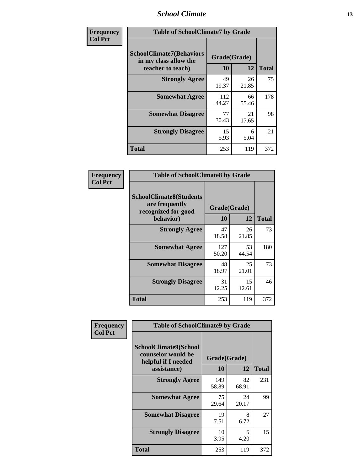### *School Climate* **13**

| Frequency      | <b>Table of SchoolClimate7 by Grade</b>                                       |                           |             |              |  |
|----------------|-------------------------------------------------------------------------------|---------------------------|-------------|--------------|--|
| <b>Col Pct</b> | <b>SchoolClimate7(Behaviors</b><br>in my class allow the<br>teacher to teach) | Grade(Grade)<br><b>10</b> | 12          | <b>Total</b> |  |
|                | <b>Strongly Agree</b>                                                         | 49<br>19.37               | 26<br>21.85 | 75           |  |
|                | <b>Somewhat Agree</b>                                                         | 112<br>44.27              | 66<br>55.46 | 178          |  |
|                | <b>Somewhat Disagree</b>                                                      | 77<br>30.43               | 21<br>17.65 | 98           |  |
|                | <b>Strongly Disagree</b>                                                      | 15<br>5.93                | 6<br>5.04   | 21           |  |
|                | <b>Total</b>                                                                  | 253                       | 119         | 372          |  |

| Frequency      | <b>Table of SchoolClimate8 by Grade</b>                                              |                    |             |              |  |
|----------------|--------------------------------------------------------------------------------------|--------------------|-------------|--------------|--|
| <b>Col Pct</b> | <b>SchoolClimate8(Students</b><br>are frequently<br>recognized for good<br>behavior) | Grade(Grade)<br>10 | 12          | <b>Total</b> |  |
|                | <b>Strongly Agree</b>                                                                | 47<br>18.58        | 26<br>21.85 | 73           |  |
|                | <b>Somewhat Agree</b>                                                                | 127<br>50.20       | 53<br>44.54 | 180          |  |
|                | <b>Somewhat Disagree</b>                                                             | 48<br>18.97        | 25<br>21.01 | 73           |  |
|                | <b>Strongly Disagree</b>                                                             | 31<br>12.25        | 15<br>12.61 | 46           |  |
|                | <b>Total</b>                                                                         | 253                | 119         | 372          |  |

| Frequency<br><b>Col Pct</b> | <b>Table of SchoolClimate9 by Grade</b>                                           |                    |             |              |  |
|-----------------------------|-----------------------------------------------------------------------------------|--------------------|-------------|--------------|--|
|                             | SchoolClimate9(School<br>counselor would be<br>helpful if I needed<br>assistance) | Grade(Grade)<br>10 | 12          | <b>Total</b> |  |
|                             | <b>Strongly Agree</b>                                                             | 149<br>58.89       | 82<br>68.91 | 231          |  |
|                             | <b>Somewhat Agree</b>                                                             | 75<br>29.64        | 24<br>20.17 | 99           |  |
|                             | <b>Somewhat Disagree</b>                                                          | 19<br>7.51         | 8<br>6.72   | 27           |  |
|                             | <b>Strongly Disagree</b>                                                          | 10<br>3.95         | 5<br>4.20   | 15           |  |
|                             | Total                                                                             | 253                | 119         | 372          |  |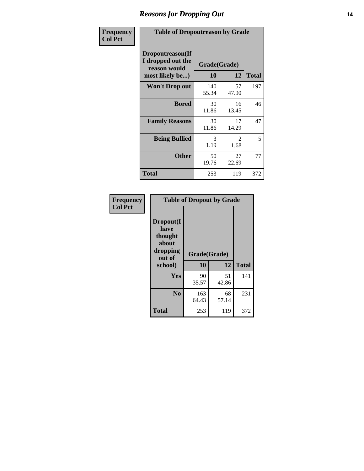### *Reasons for Dropping Out* **14**

| Frequency      | <b>Table of Dropoutreason by Grade</b>                                   |              |                        |              |  |
|----------------|--------------------------------------------------------------------------|--------------|------------------------|--------------|--|
| <b>Col Pct</b> | Dropoutreason(If<br>I dropped out the<br>reason would<br>most likely be) | <b>10</b>    | Grade(Grade)<br>12     | <b>Total</b> |  |
|                | Won't Drop out                                                           | 140<br>55.34 | 57<br>47.90            | 197          |  |
|                | <b>Bored</b>                                                             | 30<br>11.86  | 16<br>13.45            | 46           |  |
|                | <b>Family Reasons</b>                                                    | 30<br>11.86  | 17<br>14.29            | 47           |  |
|                | <b>Being Bullied</b>                                                     | 3<br>1.19    | $\mathfrak{D}$<br>1.68 | 5            |  |
|                | <b>Other</b>                                                             | 50<br>19.76  | 27<br>22.69            | 77           |  |
|                | <b>Total</b>                                                             | 253          | 119                    | 372          |  |

| Frequency<br><b>Col Pct</b> | <b>Table of Dropout by Grade</b>                            |              |             |              |  |  |
|-----------------------------|-------------------------------------------------------------|--------------|-------------|--------------|--|--|
|                             | Dropout(I<br>have<br>thought<br>about<br>dropping<br>out of | Grade(Grade) |             |              |  |  |
|                             | school)                                                     | 10           | 12          | <b>Total</b> |  |  |
|                             | <b>Yes</b>                                                  | 90<br>35.57  | 51<br>42.86 | 141          |  |  |
|                             | N <sub>0</sub>                                              | 163<br>64.43 | 68<br>57.14 | 231          |  |  |
|                             | <b>Total</b>                                                | 253          | 119         | 372          |  |  |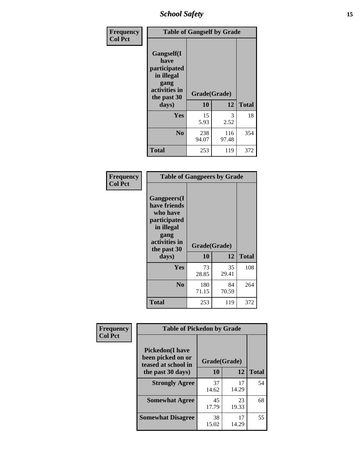*School Safety* **15**

| Frequency      | <b>Table of Gangself by Grade</b>                                                                 |                    |              |              |  |
|----------------|---------------------------------------------------------------------------------------------------|--------------------|--------------|--------------|--|
| <b>Col Pct</b> | Gangself(I<br>have<br>participated<br>in illegal<br>gang<br>activities in<br>the past 30<br>days) | Grade(Grade)<br>10 | 12           | <b>Total</b> |  |
|                | Yes                                                                                               | 15<br>5.93         | 3<br>2.52    | 18           |  |
|                | N <sub>0</sub>                                                                                    | 238<br>94.07       | 116<br>97.48 | 354          |  |
|                | <b>Total</b>                                                                                      | 253                | 119          | 372          |  |

| Frequency<br><b>Col Pct</b> | <b>Table of Gangpeers by Grade</b>                                                                                             |                    |             |              |  |  |  |  |  |
|-----------------------------|--------------------------------------------------------------------------------------------------------------------------------|--------------------|-------------|--------------|--|--|--|--|--|
|                             | <b>Gangpeers</b> (I<br>have friends<br>who have<br>participated<br>in illegal<br>gang<br>activities in<br>the past 30<br>days) | Grade(Grade)<br>10 | 12          | <b>Total</b> |  |  |  |  |  |
|                             | <b>Yes</b>                                                                                                                     | 73<br>28.85        | 35<br>29.41 | 108          |  |  |  |  |  |
|                             | N <sub>0</sub>                                                                                                                 | 180<br>71.15       | 84<br>70.59 | 264          |  |  |  |  |  |
|                             | <b>Total</b>                                                                                                                   | 253                | 119         | 372          |  |  |  |  |  |

| Frequency      | <b>Table of Pickedon by Grade</b>                                  |              |             |              |
|----------------|--------------------------------------------------------------------|--------------|-------------|--------------|
| <b>Col Pct</b> | <b>Pickedon(I have</b><br>been picked on or<br>teased at school in | Grade(Grade) |             |              |
|                | the past 30 days)                                                  | 10           | 12          | <b>Total</b> |
|                | <b>Strongly Agree</b>                                              | 37<br>14.62  | 17<br>14.29 | 54           |
|                | <b>Somewhat Agree</b>                                              | 45<br>17.79  | 23<br>19.33 | 68           |
|                | <b>Somewhat Disagree</b>                                           | 38<br>15.02  | 17<br>14.29 | 55           |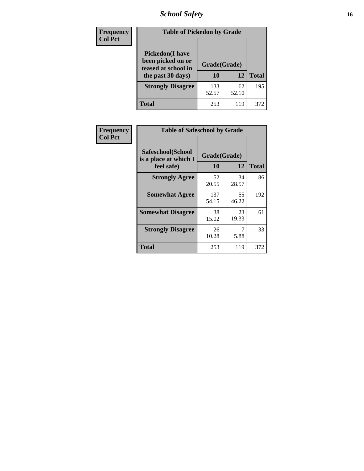### *School Safety* **16**

| Frequency      | <b>Table of Pickedon by Grade</b>                                                        |                    |             |              |
|----------------|------------------------------------------------------------------------------------------|--------------------|-------------|--------------|
| <b>Col Pct</b> | <b>Pickedon</b> (I have<br>been picked on or<br>teased at school in<br>the past 30 days) | Grade(Grade)<br>10 | 12          | <b>Total</b> |
|                | <b>Strongly Disagree</b>                                                                 | 133<br>52.57       | 62<br>52.10 | 195          |
|                | Total                                                                                    | 253                | 119         | 372          |

| Frequency      | <b>Table of Safeschool by Grade</b>                      |                    |              |     |
|----------------|----------------------------------------------------------|--------------------|--------------|-----|
| <b>Col Pct</b> | Safeschool(School<br>is a place at which I<br>feel safe) | Grade(Grade)<br>10 | <b>Total</b> |     |
|                | <b>Strongly Agree</b>                                    | 52<br>20.55        | 34<br>28.57  | 86  |
|                | <b>Somewhat Agree</b>                                    | 137<br>54.15       | 55<br>46.22  | 192 |
|                | <b>Somewhat Disagree</b>                                 | 38<br>15.02        | 23<br>19.33  | 61  |
|                | <b>Strongly Disagree</b>                                 | 26<br>10.28        | 5.88         | 33  |
|                | <b>Total</b>                                             | 253                | 119          | 372 |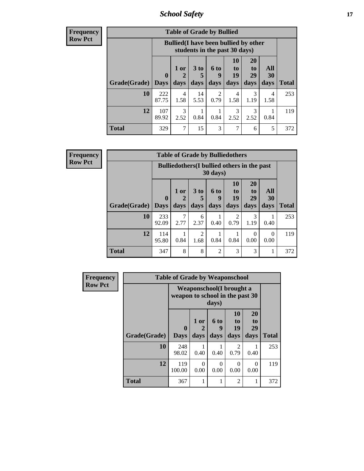*School Safety* **17**

**Frequency Row Pct**

| <b>Table of Grade by Bullied</b> |              |                                                                               |                              |                   |                        |                               |                          |              |  |  |
|----------------------------------|--------------|-------------------------------------------------------------------------------|------------------------------|-------------------|------------------------|-------------------------------|--------------------------|--------------|--|--|
|                                  |              | <b>Bullied</b> (I have been bullied by other<br>students in the past 30 days) |                              |                   |                        |                               |                          |              |  |  |
| <b>Grade</b> (Grade)   Days      | $\mathbf 0$  | 1 or<br>days                                                                  | 3 <sub>to</sub><br>5<br>days | 6 to<br>g<br>days | 10<br>to<br>19<br>days | <b>20</b><br>to<br>29<br>days | All<br><b>30</b><br>days | <b>Total</b> |  |  |
| 10                               | 222<br>87.75 | 4<br>1.58                                                                     | 14<br>5.53                   | 2<br>0.79         | 4<br>1.58              | 3<br>1.19                     | 4<br>1.58                | 253          |  |  |
| 12                               | 107<br>89.92 | $\mathcal{F}$<br>2.52                                                         | 0.84                         | 0.84              | 3<br>2.52              | 3<br>2.52                     | 0.84                     | 119          |  |  |
| Total                            | 329          | 7                                                                             | 15                           | 3                 | 7                      | 6                             | 5                        | 372          |  |  |

| <b>Frequency</b> |
|------------------|
| <b>Row Pct</b>   |

| <b>Table of Grade by Bulliedothers</b> |                                                                |             |                        |                |                       |                  |           |              |  |  |
|----------------------------------------|----------------------------------------------------------------|-------------|------------------------|----------------|-----------------------|------------------|-----------|--------------|--|--|
|                                        | <b>Bulliedothers</b> (I bullied others in the past<br>30 days) |             |                        |                |                       |                  |           |              |  |  |
|                                        | 0                                                              | $1$ or<br>2 | 3 <sub>to</sub><br>5   | 6 to<br>9      | <b>10</b><br>to<br>19 | 20<br>to<br>29   | All<br>30 |              |  |  |
| <b>Grade</b> (Grade) Days              |                                                                | days        | days                   | days           | days                  | days             | days      | <b>Total</b> |  |  |
| 10                                     | 233<br>92.09                                                   | 2.77        | 6<br>2.37              | 0.40           | 2<br>0.79             | 3<br>1.19        | 0.40      | 253          |  |  |
| 12                                     | 114<br>95.80                                                   | 0.84        | $\overline{2}$<br>1.68 | 0.84           | 0.84                  | $\Omega$<br>0.00 | 0<br>0.00 | 119          |  |  |
| <b>Total</b>                           | 347                                                            | 8           | 8                      | $\mathfrak{D}$ | 3                     | 3                |           | 372          |  |  |

| Frequency      |              | <b>Table of Grade by Weaponschool</b>                               |              |                   |                        |                        |              |
|----------------|--------------|---------------------------------------------------------------------|--------------|-------------------|------------------------|------------------------|--------------|
| <b>Row Pct</b> |              | <b>Weaponschool</b> (I brought a<br>weapon to school in the past 30 |              |                   |                        |                        |              |
|                | Grade(Grade) | 0<br><b>Days</b>                                                    | 1 or<br>days | 6 to<br>9<br>days | 10<br>to<br>19<br>days | 20<br>to<br>29<br>days | <b>Total</b> |
|                | 10           | 248<br>98.02                                                        | 0.40         | 0.40              | 2<br>0.79              | 0.40                   | 253          |
|                | 12           | 119<br>100.00                                                       | 0<br>0.00    | $\Omega$<br>0.00  | 0<br>0.00              | 0<br>0.00              | 119          |
|                | <b>Total</b> | 367                                                                 |              | 1                 | 2                      |                        | 372          |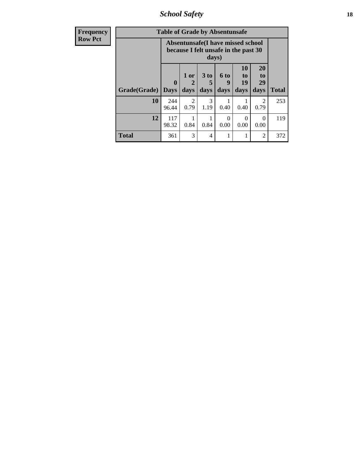*School Safety* **18**

| <b>Frequency</b> | <b>Table of Grade by Absentunsafe</b> |                                                                                  |                                     |                              |                   |                        |                        |              |  |  |
|------------------|---------------------------------------|----------------------------------------------------------------------------------|-------------------------------------|------------------------------|-------------------|------------------------|------------------------|--------------|--|--|
| <b>Row Pct</b>   |                                       | <b>Absentunsafe(I have missed school</b><br>because I felt unsafe in the past 30 |                                     |                              |                   |                        |                        |              |  |  |
|                  | Grade(Grade)                          | $\mathbf 0$<br><b>Days</b>                                                       | 1 or<br>$\mathbf 2$<br>days         | 3 <sub>to</sub><br>5<br>days | 6 to<br>9<br>days | 10<br>to<br>19<br>days | 20<br>to<br>29<br>days | <b>Total</b> |  |  |
|                  | 10                                    | 244<br>96.44                                                                     | $\mathcal{D}_{\mathcal{A}}$<br>0.79 | 3<br>1.19                    | 0.40              | 0.40                   | 2<br>0.79              | 253          |  |  |
|                  | 12                                    | 117<br>98.32                                                                     | 0.84                                | 0.84                         | 0<br>0.00         | $\Omega$<br>0.00       | $\Omega$<br>0.00       | 119          |  |  |
|                  | <b>Total</b>                          | 361                                                                              | 3                                   | 4                            |                   |                        | 2                      | 372          |  |  |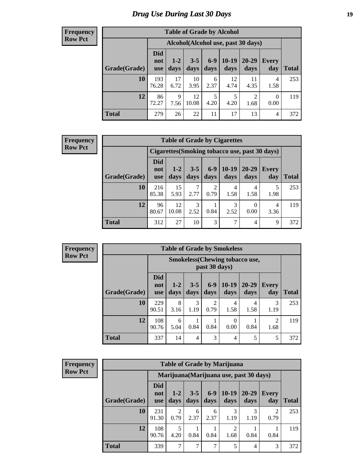### *Drug Use During Last 30 Days* **19**

#### **Frequency Row Pct**

| <b>Table of Grade by Alcohol</b> |                          |                                    |                 |               |                 |                        |                  |              |  |  |  |  |
|----------------------------------|--------------------------|------------------------------------|-----------------|---------------|-----------------|------------------------|------------------|--------------|--|--|--|--|
|                                  |                          | Alcohol(Alcohol use, past 30 days) |                 |               |                 |                        |                  |              |  |  |  |  |
| Grade(Grade)                     | <b>Did</b><br>not<br>use | $1 - 2$<br>days                    | $3 - 5$<br>days | $6-9$<br>days | $10-19$<br>days | 20-29<br>days          | Every<br>day     | <b>Total</b> |  |  |  |  |
| 10                               | 193<br>76.28             | 17<br>6.72                         | 10<br>3.95      | 6<br>2.37     | 12<br>4.74      | 11<br>4.35             | 4<br>1.58        | 253          |  |  |  |  |
| 12                               | 86<br>72.27              | 9<br>7.56                          | 12<br>10.08     | 5<br>4.20     | 5<br>4.20       | $\overline{2}$<br>1.68 | $\Omega$<br>0.00 | 119          |  |  |  |  |
| <b>Total</b>                     | 279                      | 26                                 | 22              | 11            | 17              | 13                     | 4                | 372          |  |  |  |  |

#### **Frequency Row Pct**

| <b>Table of Grade by Cigarettes</b> |                                                |                 |                 |                        |                 |                   |                     |              |  |  |  |
|-------------------------------------|------------------------------------------------|-----------------|-----------------|------------------------|-----------------|-------------------|---------------------|--------------|--|--|--|
|                                     | Cigarettes (Smoking tobacco use, past 30 days) |                 |                 |                        |                 |                   |                     |              |  |  |  |
| Grade(Grade)                        | Did<br>not<br><b>use</b>                       | $1 - 2$<br>days | $3 - 5$<br>days | $6 - 9$<br>days        | $10-19$<br>days | $20 - 29$<br>days | <b>Every</b><br>day | <b>Total</b> |  |  |  |
| 10                                  | 216<br>85.38                                   | 15<br>5.93      | 2.77            | $\overline{2}$<br>0.79 | 4<br>1.58       | 4<br>1.58         | 5<br>1.98           | 253          |  |  |  |
| 12                                  | 96<br>80.67                                    | 12<br>10.08     | 3<br>2.52       | 0.84                   | 3<br>2.52       | 0.00              | 4<br>3.36           | 119          |  |  |  |
| <b>Total</b>                        | 312                                            | 27              | 10              | 3                      | 7               | 4                 | 9                   | 372          |  |  |  |

**Frequency Row Pct**

|              | <b>Table of Grade by Smokeless</b> |                                                         |                 |                 |                  |                   |                        |              |  |  |  |
|--------------|------------------------------------|---------------------------------------------------------|-----------------|-----------------|------------------|-------------------|------------------------|--------------|--|--|--|
|              |                                    | <b>Smokeless</b> (Chewing tobacco use,<br>past 30 days) |                 |                 |                  |                   |                        |              |  |  |  |
| Grade(Grade) | <b>Did</b><br>not<br><b>use</b>    | $1 - 2$<br>days                                         | $3 - 5$<br>days | $6 - 9$<br>days | $10-19$<br>days  | $20 - 29$<br>days | Every<br>day           | <b>Total</b> |  |  |  |
| 10           | 229<br>90.51                       | 8<br>3.16                                               | 3<br>1.19       | 2<br>0.79       | 4<br>1.58        | 4<br>1.58         | 3<br>1.19              | 253          |  |  |  |
| 12           | 108<br>90.76                       | 6<br>5.04                                               | 0.84            | 0.84            | $\Omega$<br>0.00 | 0.84              | $\mathfrak{D}$<br>1.68 | 119          |  |  |  |
| <b>Total</b> | 337                                | 14                                                      | 4               | 3               | $\overline{4}$   | 5                 | 5                      | 372          |  |  |  |

**Frequency Row Pct**

| <b>Table of Grade by Marijuana</b> |                                 |                                         |                 |               |                 |                   |                        |              |  |
|------------------------------------|---------------------------------|-----------------------------------------|-----------------|---------------|-----------------|-------------------|------------------------|--------------|--|
|                                    |                                 | Marijuana (Marijuana use, past 30 days) |                 |               |                 |                   |                        |              |  |
| Grade(Grade)                       | <b>Did</b><br>not<br><b>use</b> | $1 - 2$<br>days                         | $3 - 5$<br>days | $6-9$<br>days | $10-19$<br>days | $20 - 29$<br>days | <b>Every</b><br>day    | <b>Total</b> |  |
| 10                                 | 231<br>91.30                    | 2<br>0.79                               | 6<br>2.37       | 6<br>2.37     | 3<br>1.19       | 1.19              | $\overline{c}$<br>0.79 | 253          |  |
| 12                                 | 108<br>90.76                    | 5<br>4.20                               | 0.84            | 0.84          | 2<br>1.68       | 0.84              | 0.84                   | 119          |  |
| <b>Total</b>                       | 339                             | 7                                       | $\overline{7}$  | 7             | 5               | 4                 | 3                      | 372          |  |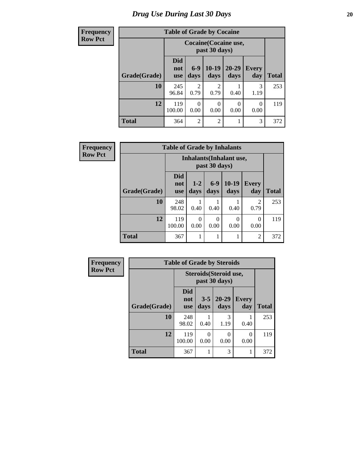### **Frequency**  $Row$

## **Table of Grade by Cocaine**

| uvuvy |              | Table of Graue by Cocanic       |                  |                 |                              |                     |       |
|-------|--------------|---------------------------------|------------------|-----------------|------------------------------|---------------------|-------|
| Pct   |              |                                 |                  | past 30 days)   | <b>Cocaine</b> (Cocaine use, |                     |       |
|       | Grade(Grade) | <b>Did</b><br>not<br><b>use</b> | $6-9$<br>days    | $10-19$<br>days | $20 - 29$<br>days            | <b>Every</b><br>day | Total |
|       | 10           | 245<br>96.84                    | 2<br>0.79        | 2<br>0.79       | 0.40                         | 3<br>1.19           | 253   |
|       | 12           | 119<br>100.00                   | $\theta$<br>0.00 | 0<br>0.00       | 0<br>0.00                    | 0<br>0.00           | 119   |
|       | <b>Total</b> | 364                             | $\overline{2}$   | $\overline{2}$  |                              | 3                   | 372   |

| Frequency      |              | <b>Table of Grade by Inhalants</b> |               |                  |                                 |                        |              |
|----------------|--------------|------------------------------------|---------------|------------------|---------------------------------|------------------------|--------------|
| <b>Row Pct</b> |              |                                    |               | past 30 days)    | <b>Inhalants</b> (Inhalant use, |                        |              |
|                | Grade(Grade) | <b>Did</b><br>not<br><b>use</b>    | $1-2$<br>days | $6 - 9$<br>days  | $10-19$<br>days                 | <b>Every</b><br>day    | <b>Total</b> |
|                | 10           | 248<br>98.02                       | 0.40          | 0.40             | 0.40                            | $\mathfrak{D}$<br>0.79 | 253          |
|                | 12           | 119<br>100.00                      | 0<br>0.00     | $\theta$<br>0.00 | 0<br>0.00                       | $\Omega$<br>0.00       | 119          |
|                | <b>Total</b> | 367                                |               |                  |                                 | 2                      | 372          |

| Frequency      | <b>Table of Grade by Steroids</b> |                                 |                                         |                   |              |              |  |  |
|----------------|-----------------------------------|---------------------------------|-----------------------------------------|-------------------|--------------|--------------|--|--|
| <b>Row Pct</b> |                                   |                                 | Steroids (Steroid use,<br>past 30 days) |                   |              |              |  |  |
|                | Grade(Grade)                      | <b>Did</b><br>not<br><b>use</b> | $3 - 5$<br>days                         | $20 - 29$<br>days | Every<br>day | <b>Total</b> |  |  |
|                | 10                                | 248<br>98.02                    | 0.40                                    | 3<br>1.19         | 0.40         | 253          |  |  |
|                | 12                                | 119<br>100.00                   | 0<br>0.00                               | 0<br>0.00         | 0<br>0.00    | 119          |  |  |
|                | <b>Total</b>                      | 367                             |                                         | 3                 | 1            | 372          |  |  |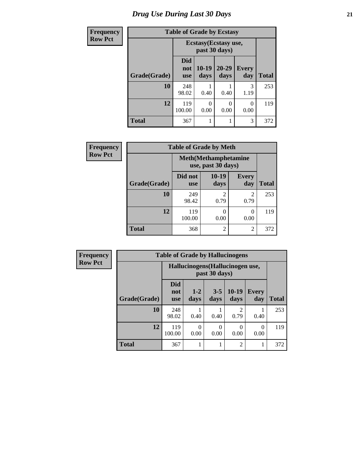### *Drug Use During Last 30 Days* **21**

| <b>Frequency</b> | <b>Table of Grade by Ecstasy</b> |                                 |                 |                                        |                     |              |
|------------------|----------------------------------|---------------------------------|-----------------|----------------------------------------|---------------------|--------------|
| <b>Row Pct</b>   |                                  |                                 |                 | Ecstasy (Ecstasy use,<br>past 30 days) |                     |              |
|                  | Grade(Grade)                     | <b>Did</b><br>not<br><b>use</b> | $10-19$<br>days | $20 - 29$<br>days                      | <b>Every</b><br>day | <b>Total</b> |
|                  | 10                               | 248<br>98.02                    | 0.40            | 0.40                                   | 3<br>1.19           | 253          |
|                  | 12                               | 119<br>100.00                   | 0<br>0.00       | 0<br>0.00                              | $\Omega$<br>0.00    | 119          |
|                  | <b>Total</b>                     | 367                             | 1               | 1                                      | 3                   | 372          |

| Frequency      |              | <b>Table of Grade by Meth</b>                      |                 |                          |              |
|----------------|--------------|----------------------------------------------------|-----------------|--------------------------|--------------|
| <b>Row Pct</b> |              | <b>Meth</b> (Methamphetamine<br>use, past 30 days) |                 |                          |              |
|                | Grade(Grade) | Did not<br><b>use</b>                              | $10-19$<br>days | <b>Every</b><br>day      | <b>Total</b> |
|                | 10           | 249<br>98.42                                       | 2<br>0.79       | 2<br>0.79                | 253          |
|                | 12           | 119<br>100.00                                      | 0<br>0.00       | $\left( \right)$<br>0.00 | 119          |
|                | <b>Total</b> | 368                                                | 2               | 2                        | 372          |

| Frequency      |              | <b>Table of Grade by Hallucinogens</b> |                 |                 |                        |              |              |  |
|----------------|--------------|----------------------------------------|-----------------|-----------------|------------------------|--------------|--------------|--|
| <b>Row Pct</b> |              | Hallucinogens(Hallucinogen use,        |                 |                 |                        |              |              |  |
|                | Grade(Grade) | <b>Did</b><br>not<br><b>use</b>        | $1 - 2$<br>days | $3 - 5$<br>days | $10-19$<br>days        | Every<br>day | <b>Total</b> |  |
|                | 10           | 248<br>98.02                           | 0.40            | 0.40            | $\overline{c}$<br>0.79 | 0.40         | 253          |  |
|                | 12           | 119<br>100.00                          | 0.00            | 0<br>0.00       | 0<br>0.00              | 0<br>0.00    | 119          |  |
|                | <b>Total</b> | 367                                    |                 |                 | $\overline{c}$         | 1            | 372          |  |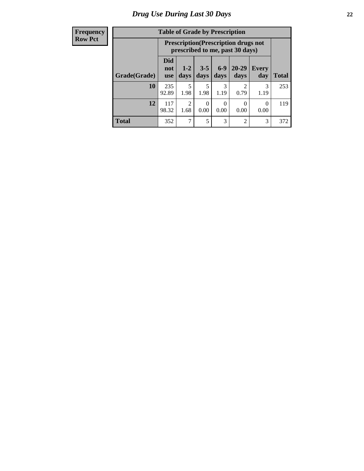#### **Frequency Row Pct**

| <b>Table of Grade by Prescription</b> |                          |                                                                                |                  |               |                   |                     |              |  |
|---------------------------------------|--------------------------|--------------------------------------------------------------------------------|------------------|---------------|-------------------|---------------------|--------------|--|
|                                       |                          | <b>Prescription</b> (Prescription drugs not<br>prescribed to me, past 30 days) |                  |               |                   |                     |              |  |
| Grade(Grade)                          | Did<br>not<br><b>use</b> | $1 - 2$<br>days                                                                | $3 - 5$<br>days  | $6-9$<br>days | $20 - 29$<br>days | <b>Every</b><br>day | <b>Total</b> |  |
| 10                                    | 235<br>92.89             | 5<br>1.98                                                                      | 5<br>1.98        | 3<br>1.19     | 2<br>0.79         | 3<br>1.19           | 253          |  |
| 12                                    | 117<br>98.32             | $\overline{2}$<br>1.68                                                         | $\theta$<br>0.00 | 0.00          | 0<br>0.00         | 0<br>0.00           | 119          |  |
| <b>Total</b>                          | 352                      | 7                                                                              | 5                | 3             | $\mathfrak{D}$    | 3                   | 372          |  |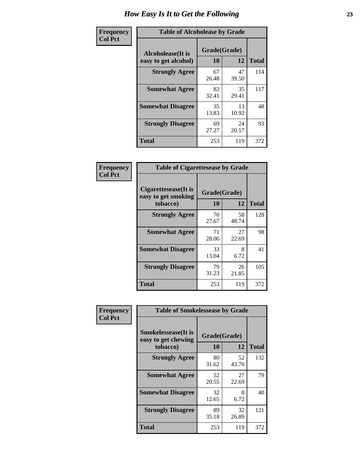| Frequency      | <b>Table of Alcoholease by Grade</b>              |                    |             |              |  |  |
|----------------|---------------------------------------------------|--------------------|-------------|--------------|--|--|
| <b>Col Pct</b> | <b>Alcoholease</b> (It is<br>easy to get alcohol) | Grade(Grade)<br>10 | 12          | <b>Total</b> |  |  |
|                | <b>Strongly Agree</b>                             | 67<br>26.48        | 47<br>39.50 | 114          |  |  |
|                | <b>Somewhat Agree</b>                             | 82<br>32.41        | 35<br>29.41 | 117          |  |  |
|                | <b>Somewhat Disagree</b>                          | 35<br>13.83        | 13<br>10.92 | 48           |  |  |
|                | <b>Strongly Disagree</b>                          | 69<br>27.27        | 24<br>20.17 | 93           |  |  |
|                | <b>Total</b>                                      | 253                | 119         | 372          |  |  |

| Frequency      | <b>Table of Cigarettesease by Grade</b>                 |             |                    |              |  |  |
|----------------|---------------------------------------------------------|-------------|--------------------|--------------|--|--|
| <b>Col Pct</b> | Cigarettesease(It is<br>easy to get smoking<br>tobacco) | 10          | Grade(Grade)<br>12 | <b>Total</b> |  |  |
|                | <b>Strongly Agree</b>                                   | 70<br>27.67 | 58<br>48.74        | 128          |  |  |
|                | <b>Somewhat Agree</b>                                   | 71<br>28.06 | 27<br>22.69        | 98           |  |  |
|                | <b>Somewhat Disagree</b>                                | 33<br>13.04 | 8<br>6.72          | 41           |  |  |
|                | <b>Strongly Disagree</b>                                | 79<br>31.23 | 26<br>21.85        | 105          |  |  |
|                | <b>Total</b>                                            | 253         | 119                | 372          |  |  |

| Frequency      | <b>Table of Smokelessease by Grade</b>             |              |             |              |
|----------------|----------------------------------------------------|--------------|-------------|--------------|
| <b>Col Pct</b> | <b>Smokelessease</b> (It is<br>easy to get chewing | Grade(Grade) |             |              |
|                | tobacco)                                           | 10           | 12          | <b>Total</b> |
|                | <b>Strongly Agree</b>                              | 80<br>31.62  | 52<br>43.70 | 132          |
|                | <b>Somewhat Agree</b>                              | 52<br>20.55  | 27<br>22.69 | 79           |
|                | <b>Somewhat Disagree</b>                           | 32<br>12.65  | 8<br>6.72   | 40           |
|                | <b>Strongly Disagree</b>                           | 89<br>35.18  | 32<br>26.89 | 121          |
|                | <b>Total</b>                                       | 253          | 119         | 372          |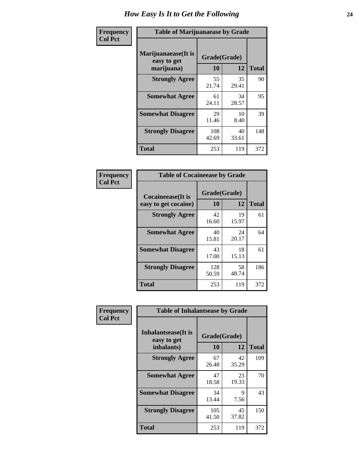| Frequency      | <b>Table of Marijuanaease by Grade</b>           |                    |             |              |  |
|----------------|--------------------------------------------------|--------------------|-------------|--------------|--|
| <b>Col Pct</b> | Marijuanaease(It is<br>easy to get<br>marijuana) | Grade(Grade)<br>10 | 12          | <b>Total</b> |  |
|                | <b>Strongly Agree</b>                            | 55<br>21.74        | 35<br>29.41 | 90           |  |
|                | <b>Somewhat Agree</b>                            | 61<br>24.11        | 34<br>28.57 | 95           |  |
|                | <b>Somewhat Disagree</b>                         | 29<br>11.46        | 10<br>8.40  | 39           |  |
|                | <b>Strongly Disagree</b>                         | 108<br>42.69       | 40<br>33.61 | 148          |  |
|                | <b>Total</b>                                     | 253                | 119         | 372          |  |

| <b>Table of Cocaineease by Grade</b>              |              |                                    |     |  |  |  |  |  |  |  |  |
|---------------------------------------------------|--------------|------------------------------------|-----|--|--|--|--|--|--|--|--|
| <b>Cocaineease</b> (It is<br>easy to get cocaine) | 10           | Grade(Grade)<br>12<br><b>Total</b> |     |  |  |  |  |  |  |  |  |
| <b>Strongly Agree</b>                             | 42<br>16.60  | 19<br>15.97                        | 61  |  |  |  |  |  |  |  |  |
| <b>Somewhat Agree</b>                             | 40<br>15.81  | 24<br>20.17                        | 64  |  |  |  |  |  |  |  |  |
| <b>Somewhat Disagree</b>                          | 43<br>17.00  | 18<br>15.13                        | 61  |  |  |  |  |  |  |  |  |
| <b>Strongly Disagree</b>                          | 128<br>50.59 | 58<br>48.74                        | 186 |  |  |  |  |  |  |  |  |
| <b>Total</b>                                      | 253          | 119                                | 372 |  |  |  |  |  |  |  |  |

| Frequency      | <b>Table of Inhalantsease by Grade</b>                   |                    |              |     |
|----------------|----------------------------------------------------------|--------------------|--------------|-----|
| <b>Col Pct</b> | <b>Inhalantsease</b> (It is<br>easy to get<br>inhalants) | Grade(Grade)<br>10 | <b>Total</b> |     |
|                | <b>Strongly Agree</b>                                    | 67<br>26.48        | 42<br>35.29  | 109 |
|                | <b>Somewhat Agree</b>                                    | 47<br>18.58        | 23<br>19.33  | 70  |
|                | <b>Somewhat Disagree</b>                                 | 34<br>13.44        | 9<br>7.56    | 43  |
|                | <b>Strongly Disagree</b>                                 | 105<br>41.50       | 45<br>37.82  | 150 |
|                | <b>Total</b>                                             | 253                | 119          | 372 |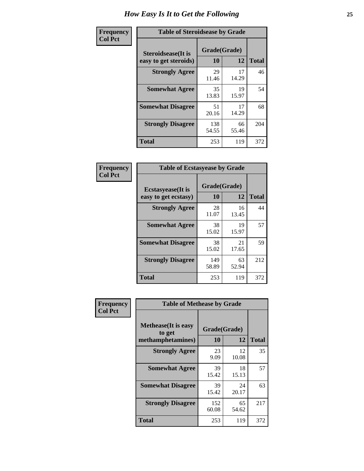| Frequency      | <b>Table of Steroidsease by Grade</b>               |                    |              |     |  |  |  |  |  |
|----------------|-----------------------------------------------------|--------------------|--------------|-----|--|--|--|--|--|
| <b>Col Pct</b> | <b>Steroidsease</b> (It is<br>easy to get steroids) | Grade(Grade)<br>10 | <b>Total</b> |     |  |  |  |  |  |
|                | <b>Strongly Agree</b>                               | 29<br>11.46        | 17<br>14.29  | 46  |  |  |  |  |  |
|                | <b>Somewhat Agree</b>                               | 35<br>13.83        | 19<br>15.97  | 54  |  |  |  |  |  |
|                | <b>Somewhat Disagree</b>                            | 51<br>20.16        | 17<br>14.29  | 68  |  |  |  |  |  |
|                | <b>Strongly Disagree</b>                            | 138<br>54.55       | 66<br>55.46  | 204 |  |  |  |  |  |
|                | Total                                               | 253                | 119          | 372 |  |  |  |  |  |

| Frequency      | <b>Table of Ecstasyease by Grade</b>              |                    |              |     |
|----------------|---------------------------------------------------|--------------------|--------------|-----|
| <b>Col Pct</b> | <b>Ecstasyease</b> (It is<br>easy to get ecstasy) | Grade(Grade)<br>10 | <b>Total</b> |     |
|                | <b>Strongly Agree</b>                             | 28<br>11.07        | 16<br>13.45  | 44  |
|                | <b>Somewhat Agree</b>                             | 38<br>15.02        | 19<br>15.97  | 57  |
|                | <b>Somewhat Disagree</b>                          | 38<br>15.02        | 21<br>17.65  | 59  |
|                | <b>Strongly Disagree</b>                          | 149<br>58.89       | 63<br>52.94  | 212 |
|                | <b>Total</b>                                      | 253                | 119          | 372 |

| Frequency      | <b>Table of Methease by Grade</b>                          |                    |             |              |
|----------------|------------------------------------------------------------|--------------------|-------------|--------------|
| <b>Col Pct</b> | <b>Methease</b> (It is easy<br>to get<br>methamphetamines) | Grade(Grade)<br>10 | 12          | <b>Total</b> |
|                | <b>Strongly Agree</b>                                      | 23<br>9.09         | 12<br>10.08 | 35           |
|                | <b>Somewhat Agree</b>                                      | 39<br>15.42        | 18<br>15.13 | 57           |
|                | <b>Somewhat Disagree</b>                                   | 39<br>15.42        | 24<br>20.17 | 63           |
|                | <b>Strongly Disagree</b>                                   | 152<br>60.08       | 65<br>54.62 | 217          |
|                | <b>Total</b>                                               | 253                | 119         | 372          |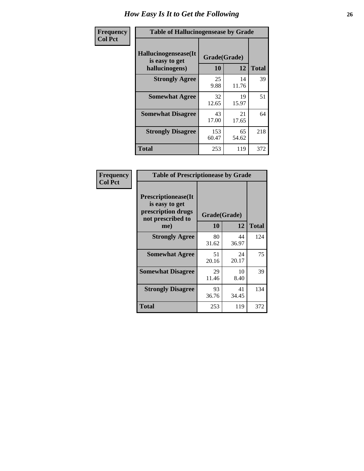| <b>Frequency</b> | <b>Table of Hallucinogensease by Grade</b>               |                    |              |     |  |  |  |  |  |  |
|------------------|----------------------------------------------------------|--------------------|--------------|-----|--|--|--|--|--|--|
| <b>Col Pct</b>   | Hallucinogensease(It<br>is easy to get<br>hallucinogens) | Grade(Grade)<br>10 | <b>Total</b> |     |  |  |  |  |  |  |
|                  | <b>Strongly Agree</b>                                    | 25<br>9.88         | 14<br>11.76  | 39  |  |  |  |  |  |  |
|                  | <b>Somewhat Agree</b>                                    | 32<br>12.65        | 19<br>15.97  | 51  |  |  |  |  |  |  |
|                  | <b>Somewhat Disagree</b>                                 | 43<br>17.00        | 21<br>17.65  | 64  |  |  |  |  |  |  |
|                  | <b>Strongly Disagree</b>                                 | 153<br>60.47       | 65<br>54.62  | 218 |  |  |  |  |  |  |
|                  | <b>Total</b>                                             | 253                | 119          | 372 |  |  |  |  |  |  |

| Frequency<br>Col Pct |
|----------------------|
|                      |

| <b>Table of Prescriptionease by Grade</b>                                                |             |              |              |  |  |  |  |  |  |  |
|------------------------------------------------------------------------------------------|-------------|--------------|--------------|--|--|--|--|--|--|--|
| <b>Prescriptionease</b> (It<br>is easy to get<br>prescription drugs<br>not prescribed to |             | Grade(Grade) |              |  |  |  |  |  |  |  |
| me)                                                                                      | 10          | 12           | <b>Total</b> |  |  |  |  |  |  |  |
| <b>Strongly Agree</b>                                                                    | 80<br>31.62 | 44<br>36.97  | 124          |  |  |  |  |  |  |  |
| <b>Somewhat Agree</b>                                                                    | 51<br>20.16 | 24<br>20.17  | 75           |  |  |  |  |  |  |  |
| <b>Somewhat Disagree</b>                                                                 | 29<br>11.46 | 10<br>8.40   | 39           |  |  |  |  |  |  |  |
| <b>Strongly Disagree</b>                                                                 | 93<br>36.76 | 41<br>34.45  | 134          |  |  |  |  |  |  |  |
| Total                                                                                    | 253         | 119          | 372          |  |  |  |  |  |  |  |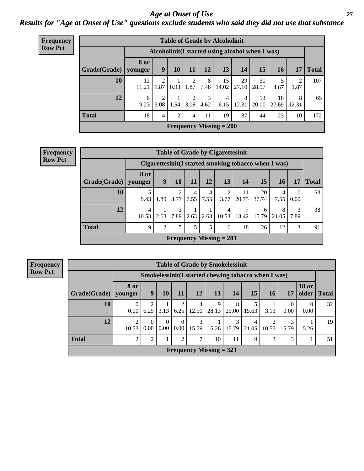#### *Age at Onset of Use* **27** *Results for "Age at Onset of Use" questions exclude students who said they did not use that substance*

| Frequency      | <b>Table of Grade by Alcoholinit</b> |                                                  |           |                 |                        |                |                           |             |             |             |                        |              |
|----------------|--------------------------------------|--------------------------------------------------|-----------|-----------------|------------------------|----------------|---------------------------|-------------|-------------|-------------|------------------------|--------------|
| <b>Row Pct</b> |                                      | Alcoholinit (I started using alcohol when I was) |           |                 |                        |                |                           |             |             |             |                        |              |
|                | Grade(Grade)                         | <b>8 or</b><br>younger                           | 9         | 10 <sup>1</sup> | 11                     | 12             | 13                        | 14          | 15          | 16          | 17                     | <b>Total</b> |
|                | 10                                   | 12<br>11.21                                      | 2<br>1.87 | 0.93            | $\overline{2}$         | 8<br>1.87 7.48 | 15<br>14.02               | 29<br>27.10 | 31<br>28.97 | 4.67        | $\overline{2}$<br>1.87 | 107          |
|                | 12                                   | 6<br>9.23                                        | 2<br>3.08 | 1.54            | $\overline{2}$<br>3.08 | 3<br>4.62      | $\overline{4}$<br>6.15    | 8<br>12.31  | 13<br>20.00 | 18<br>27.69 | 8<br>12.31             | 65           |
|                | <b>Total</b>                         | 18                                               | 4         | $\overline{2}$  | 4                      | 11             | 19                        | 37          | 44          | 23          | 10                     | 172          |
|                |                                      |                                                  |           |                 |                        |                | Frequency Missing $= 200$ |             |             |             |                        |              |

| <b>Frequency</b> |
|------------------|
| <b>Row Pct</b>   |

|              | <b>Table of Grade by Cigarettesinit</b> |                |           |           |           |                           |             |             |                                                      |                  |              |  |  |  |
|--------------|-----------------------------------------|----------------|-----------|-----------|-----------|---------------------------|-------------|-------------|------------------------------------------------------|------------------|--------------|--|--|--|
|              |                                         |                |           |           |           |                           |             |             | Cigarettesinit(I started smoking tobacco when I was) |                  |              |  |  |  |
| Grade(Grade) | 8 or<br>vounger                         | 9              | 10        | 11        | 12        | 13                        | 14          | 15          | 16                                                   | 17               | <b>Total</b> |  |  |  |
| 10           | 9.43                                    | 1.89           | 2<br>3.77 | 4<br>7.55 | 4<br>7.55 | 2<br>3.77                 | 11<br>20.75 | 20<br>37.74 | 4<br>7.55                                            | $\Omega$<br>0.00 | 53           |  |  |  |
| 12           | 4<br>10.53                              | 2.63           | 3<br>7.89 | 2.63      | 2.63      | 4<br>10.53                | 7<br>18.42  | 6<br>15.79  | 8<br>21.05                                           | 3<br>7.89        | 38           |  |  |  |
| <b>Total</b> | 9                                       | $\overline{2}$ | 5         | 5         | 5         | 6                         | 18          | 26          | 12                                                   | 3                | 91           |  |  |  |
|              |                                         |                |           |           |           | Frequency Missing $= 281$ |             |             |                                                      |                  |              |  |  |  |

**Frequency Row Pct**

|              | <b>Table of Grade by Smokelessinit</b> |                  |                         |                      |                           |            |            |                                                      |       |            |                  |             |  |  |  |
|--------------|----------------------------------------|------------------|-------------------------|----------------------|---------------------------|------------|------------|------------------------------------------------------|-------|------------|------------------|-------------|--|--|--|
|              |                                        |                  |                         |                      |                           |            |            | Smokelessinit (I started chewing tobacco when I was) |       |            |                  |             |  |  |  |
| Grade(Grade) | 8 or<br>younger                        | 9                | 10                      | <b>11</b>            | 12                        | 13         | 14         | 15                                                   | 16    | 17         | <b>18 or</b>     | older Total |  |  |  |
| 10           | 0.00                                   | 6.25             | 3.13                    | 2<br>6.25            | 4<br>12.50                | 9<br>28.13 | 8<br>25.00 | 5<br>15.63                                           | 3.13  | 0<br>0.00  | $\theta$<br>0.00 | 32          |  |  |  |
| 12           | ↑<br>10.53                             | $\Omega$<br>0.00 | $\Omega$<br>$0.00\vert$ | $\Omega$<br>$0.00\,$ | 3<br>15.79                | 5.26       | 3<br>15.79 | 4<br>21.05                                           | 10.53 | 3<br>15.79 | 5.26             | 19          |  |  |  |
| <b>Total</b> | $\mathfrak{D}$                         | ↑                |                         | $\overline{2}$       | 7                         | 10         | 11         | $\mathbf Q$                                          | 3     | 3          |                  | .51         |  |  |  |
|              |                                        |                  |                         |                      | Frequency Missing $= 321$ |            |            |                                                      |       |            |                  |             |  |  |  |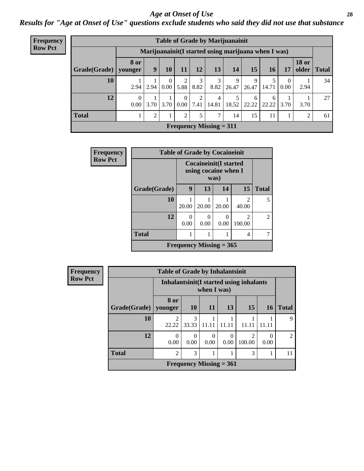#### *Age at Onset of Use* **28**

*Results for "Age at Onset of Use" questions exclude students who said they did not use that substance*

| <b>Frequency</b> | <b>Table of Grade by Marijuanainit</b> |                  |                |                  |                  |           |                           |                                                      |            |            |                  |                                |              |
|------------------|----------------------------------------|------------------|----------------|------------------|------------------|-----------|---------------------------|------------------------------------------------------|------------|------------|------------------|--------------------------------|--------------|
| <b>Row Pct</b>   |                                        |                  |                |                  |                  |           |                           | Marijuanainit (I started using marijuana when I was) |            |            |                  |                                |              |
|                  | Grade(Grade)   younger                 | <b>8 or</b>      | 9              | 10               | 11               | 12        | 13                        | 14                                                   | 15         | <b>16</b>  | 17               | <b>18 or</b><br>$\alpha$ older | <b>Total</b> |
|                  | 10                                     | 2.94             | 2.94           | $\theta$<br>0.00 | 2<br>5.88        | 3<br>8.82 | 3<br>8.82                 | 9<br>26.47                                           | 9<br>26.47 | 14.71      | $\theta$<br>0.00 | 2.94                           | 34           |
|                  | 12                                     | $\theta$<br>0.00 | 3.70           | 3.70             | $\Omega$<br>0.00 | 2<br>7.41 | $\overline{4}$<br>14.81   | 18.52                                                | 6<br>22.22 | 6<br>22.22 | 3.70             | 3.70                           | 27           |
|                  | <b>Total</b>                           |                  | $\overline{c}$ | 1                | 2                | 5         | 7                         | 14                                                   | 15         | 11         |                  | $\overline{2}$                 | 61           |
|                  |                                        |                  |                |                  |                  |           | Frequency Missing $= 311$ |                                                      |            |            |                  |                                |              |

| Frequency      |              | <b>Table of Grade by Cocaineinit</b>                 |                  |                  |                          |                |  |  |  |
|----------------|--------------|------------------------------------------------------|------------------|------------------|--------------------------|----------------|--|--|--|
| <b>Row Pct</b> |              | <b>Cocaineinit(I started</b><br>using cocaine when I |                  |                  |                          |                |  |  |  |
|                | Grade(Grade) | 9                                                    | 13               | 14               | 15                       | <b>Total</b>   |  |  |  |
|                | 10           | 20.00                                                | 20.00            | 20.00            | $\mathfrak{D}$<br>40.00  | 5              |  |  |  |
|                | 12           | ∩<br>0.00                                            | $\Omega$<br>0.00 | $\Omega$<br>0.00 | $\mathfrak{D}$<br>100.00 | $\mathfrak{D}$ |  |  |  |
|                | <b>Total</b> |                                                      |                  |                  | 4                        |                |  |  |  |
|                |              | Frequency Missing $= 365$                            |                  |                  |                          |                |  |  |  |

| <b>Frequency</b> | <b>Table of Grade by Inhalantsinit</b> |                  |                                                         |                  |                           |                          |           |                |  |  |  |
|------------------|----------------------------------------|------------------|---------------------------------------------------------|------------------|---------------------------|--------------------------|-----------|----------------|--|--|--|
| <b>Row Pct</b>   |                                        |                  | Inhalantsinit (I started using inhalants<br>when I was) |                  |                           |                          |           |                |  |  |  |
|                  | Grade(Grade)   younger                 | 8 or             | <b>10</b>                                               | <b>11</b>        | <b>13</b>                 | 15                       | <b>16</b> | <b>Total</b>   |  |  |  |
|                  | 10                                     | 2<br>22.22       | 3<br>33.33                                              | 11.11            | 11.11                     | 11.1                     |           | 9              |  |  |  |
|                  | 12                                     | $\Omega$<br>0.00 | $\Omega$<br>0.00                                        | $\Omega$<br>0.00 | $\left( \right)$<br>0.00  | $\mathfrak{D}$<br>100.00 | 0<br>0.00 | $\mathfrak{D}$ |  |  |  |
|                  | <b>Total</b>                           | $\overline{c}$   | 3                                                       |                  |                           | 3                        |           | 11             |  |  |  |
|                  |                                        |                  |                                                         |                  | Frequency Missing $= 361$ |                          |           |                |  |  |  |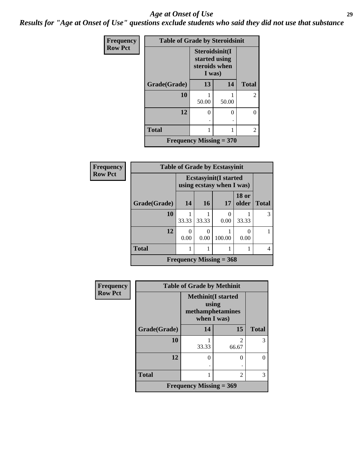#### *Age at Onset of Use* **29**

*Results for "Age at Onset of Use" questions exclude students who said they did not use that substance*

| Frequency      | <b>Table of Grade by Steroidsinit</b> |                                                            |       |                |  |  |  |  |
|----------------|---------------------------------------|------------------------------------------------------------|-------|----------------|--|--|--|--|
| <b>Row Pct</b> |                                       | Steroidsinit(I<br>started using<br>steroids when<br>I was) |       |                |  |  |  |  |
|                | Grade(Grade)                          | 13                                                         | 14    | <b>Total</b>   |  |  |  |  |
|                | 10                                    | 50.00                                                      | 50.00 | $\overline{2}$ |  |  |  |  |
|                | 12                                    | 0<br>٠                                                     | 0     | 0              |  |  |  |  |
|                | <b>Total</b>                          |                                                            |       | 2              |  |  |  |  |
|                | <b>Frequency Missing = 370</b>        |                                                            |       |                |  |  |  |  |

| Frequency      | <b>Table of Grade by Ecstasyinit</b> |           |                                                            |                           |                       |              |  |  |  |
|----------------|--------------------------------------|-----------|------------------------------------------------------------|---------------------------|-----------------------|--------------|--|--|--|
| <b>Row Pct</b> |                                      |           | <b>Ecstasyinit</b> (I started<br>using ecstasy when I was) |                           |                       |              |  |  |  |
|                | Grade(Grade)                         | 14        | <b>16</b>                                                  | 17                        | <b>18 or</b><br>older | <b>Total</b> |  |  |  |
|                | 10                                   | 33.33     | 33.33                                                      | $\theta$<br>0.00          | 33.33                 | 3            |  |  |  |
|                | 12                                   | 0<br>0.00 | 0<br>0.00                                                  | 100.00                    | $\Omega$<br>0.00      |              |  |  |  |
|                | <b>Total</b>                         |           |                                                            |                           |                       | 4            |  |  |  |
|                |                                      |           |                                                            | Frequency Missing $=$ 368 |                       |              |  |  |  |

| <b>Frequency</b> | <b>Table of Grade by Methinit</b> |                                                                       |                         |              |  |  |  |  |
|------------------|-----------------------------------|-----------------------------------------------------------------------|-------------------------|--------------|--|--|--|--|
| <b>Row Pct</b>   |                                   | <b>Methinit(I started</b><br>using<br>methamphetamines<br>when I was) |                         |              |  |  |  |  |
|                  | Grade(Grade)                      | 14                                                                    | 15                      | <b>Total</b> |  |  |  |  |
|                  | 10                                | 33.33                                                                 | $\mathfrak{D}$<br>66.67 | 3            |  |  |  |  |
|                  | 12                                | 0                                                                     | $\Omega$                | 0            |  |  |  |  |
|                  | <b>Total</b>                      |                                                                       | 2                       | 3            |  |  |  |  |
|                  |                                   | <b>Frequency Missing = 369</b>                                        |                         |              |  |  |  |  |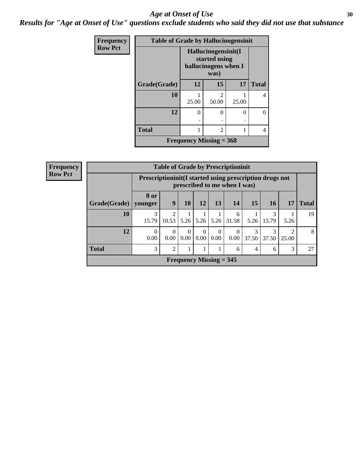#### Age at Onset of Use **30**

*Results for "Age at Onset of Use" questions exclude students who said they did not use that substance*

| Frequency      | <b>Table of Grade by Hallucinogensinit</b> |                                                              |            |       |              |  |  |  |  |
|----------------|--------------------------------------------|--------------------------------------------------------------|------------|-------|--------------|--|--|--|--|
| <b>Row Pct</b> |                                            | Hallucinogensinit(I<br>started using<br>hallucinogens when I |            |       |              |  |  |  |  |
|                | Grade(Grade)                               | 12                                                           | 15         | 17    | <b>Total</b> |  |  |  |  |
|                | 10                                         | 25.00                                                        | 2<br>50.00 | 25.00 | 4            |  |  |  |  |
|                | 12                                         | 0<br>٠                                                       | 0<br>٠     | 0     | 0            |  |  |  |  |
|                | <b>Total</b>                               |                                                              | 2          |       | 4            |  |  |  |  |
|                | Frequency Missing $=$ 368                  |                                                              |            |       |              |  |  |  |  |

| <b>Frequency</b> | <b>Table of Grade by Prescriptioninit</b> |                                                            |                         |                      |                  |                           |                              |            |            |            |              |
|------------------|-------------------------------------------|------------------------------------------------------------|-------------------------|----------------------|------------------|---------------------------|------------------------------|------------|------------|------------|--------------|
| <b>Row Pct</b>   |                                           | Prescription in it (I started using prescription drugs not |                         |                      |                  |                           | prescribed to me when I was) |            |            |            |              |
|                  | Grade(Grade)   younger                    | 8 or                                                       | 9                       | 10                   | 12               | 13                        | 14                           | <b>15</b>  | <b>16</b>  | 17         | <b>Total</b> |
|                  | 10                                        | 3<br>15.79                                                 | $\mathfrak{D}$<br>10.53 | 5.26                 | 5.26             | 5.26                      | 6<br>31.58                   | 5.26       | 3<br>15.79 | 5.26       | 19           |
|                  | 12                                        | $\Omega$<br>0.00                                           | $\Omega$<br>0.00        | $\Omega$<br>$0.00\,$ | $\Omega$<br>0.00 | $\Omega$<br>0.00          | $\theta$<br>0.00             | 3<br>37.50 | 3<br>37.50 | 2<br>25.00 | 8            |
|                  | <b>Total</b>                              | 3                                                          | $\overline{c}$          |                      |                  |                           | 6                            | 4          | 6          | 3          | 27           |
|                  |                                           |                                                            |                         |                      |                  | Frequency Missing $=$ 345 |                              |            |            |            |              |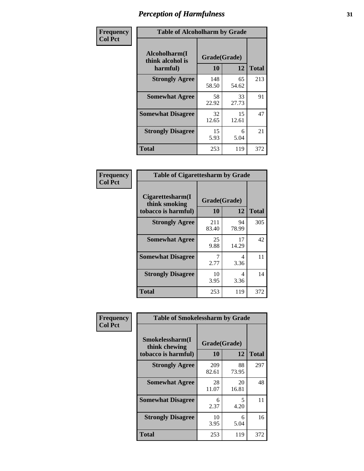| Frequency      | <b>Table of Alcoholharm by Grade</b>          |                    |             |              |  |  |  |
|----------------|-----------------------------------------------|--------------------|-------------|--------------|--|--|--|
| <b>Col Pct</b> | Alcoholharm(I<br>think alcohol is<br>harmful) | Grade(Grade)<br>10 | 12          | <b>Total</b> |  |  |  |
|                | <b>Strongly Agree</b>                         | 148<br>58.50       | 65<br>54.62 | 213          |  |  |  |
|                | <b>Somewhat Agree</b>                         | 58<br>22.92        | 33<br>27.73 | 91           |  |  |  |
|                | <b>Somewhat Disagree</b>                      | 32<br>12.65        | 15<br>12.61 | 47           |  |  |  |
|                | <b>Strongly Disagree</b>                      | 15<br>5.93         | 6<br>5.04   | 21           |  |  |  |
|                | <b>Total</b>                                  | 253                | 119         | 372          |  |  |  |

| <b>Table of Cigarettesharm by Grade</b>                  |              |                    |     |  |  |  |  |
|----------------------------------------------------------|--------------|--------------------|-----|--|--|--|--|
| Cigarettesharm(I<br>think smoking<br>tobacco is harmful) | 10           | Grade(Grade)<br>12 |     |  |  |  |  |
| <b>Strongly Agree</b>                                    | 211<br>83.40 | 94<br>78.99        | 305 |  |  |  |  |
| <b>Somewhat Agree</b>                                    | 25<br>9.88   | 17<br>14.29        | 42  |  |  |  |  |
| <b>Somewhat Disagree</b>                                 | 7<br>2.77    | 4<br>3.36          | 11  |  |  |  |  |
| <b>Strongly Disagree</b>                                 | 10<br>3.95   | 4<br>3.36          | 14  |  |  |  |  |
| <b>Total</b>                                             | 253          | 119                | 372 |  |  |  |  |

| Frequency      | <b>Table of Smokelessharm by Grade</b>                  |                    |              |     |  |  |  |  |
|----------------|---------------------------------------------------------|--------------------|--------------|-----|--|--|--|--|
| <b>Col Pct</b> | Smokelessharm(I<br>think chewing<br>tobacco is harmful) | Grade(Grade)<br>10 | <b>Total</b> |     |  |  |  |  |
|                | <b>Strongly Agree</b>                                   | 209<br>82.61       | 88<br>73.95  | 297 |  |  |  |  |
|                | <b>Somewhat Agree</b>                                   | 28<br>11.07        | 20<br>16.81  | 48  |  |  |  |  |
|                | <b>Somewhat Disagree</b>                                | 6<br>2.37          | 5<br>4.20    | 11  |  |  |  |  |
|                | <b>Strongly Disagree</b>                                | 10<br>3.95         | 6<br>5.04    | 16  |  |  |  |  |
|                | <b>Total</b>                                            | 253                | 119          | 372 |  |  |  |  |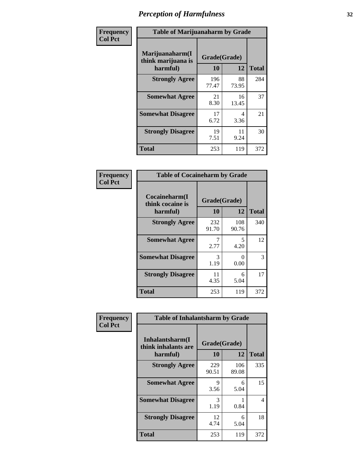| Frequency      |                                                   | <b>Table of Marijuanaharm by Grade</b> |             |              |  |  |  |  |
|----------------|---------------------------------------------------|----------------------------------------|-------------|--------------|--|--|--|--|
| <b>Col Pct</b> | Marijuanaharm(I<br>think marijuana is<br>harmful) | Grade(Grade)<br>10                     | 12          | <b>Total</b> |  |  |  |  |
|                | <b>Strongly Agree</b>                             | 196<br>77.47                           | 88<br>73.95 | 284          |  |  |  |  |
|                | <b>Somewhat Agree</b>                             | 21<br>8.30                             | 16<br>13.45 | 37           |  |  |  |  |
|                | <b>Somewhat Disagree</b>                          | 17<br>6.72                             | 4<br>3.36   | 21           |  |  |  |  |
|                | <b>Strongly Disagree</b>                          | 19<br>7.51                             | 11<br>9.24  | 30           |  |  |  |  |
|                | <b>Total</b>                                      | 253                                    | 119         | 372          |  |  |  |  |

| <b>Table of Cocaineharm by Grade</b>          |                    |              |              |  |  |
|-----------------------------------------------|--------------------|--------------|--------------|--|--|
| Cocaineharm(I<br>think cocaine is<br>harmful) | Grade(Grade)<br>10 | 12           | <b>Total</b> |  |  |
| <b>Strongly Agree</b>                         | 232<br>91.70       | 108<br>90.76 | 340          |  |  |
| <b>Somewhat Agree</b>                         | 2.77               | 5<br>4.20    | 12           |  |  |
| <b>Somewhat Disagree</b>                      | 3<br>1.19          | 0<br>0.00    | 3            |  |  |
| <b>Strongly Disagree</b>                      | 11<br>4.35         | 6<br>5.04    | 17           |  |  |
| <b>Total</b>                                  | 253                | 119          | 372          |  |  |

| Frequency      | <b>Table of Inhalantsharm by Grade</b>             |                           |              |              |  |
|----------------|----------------------------------------------------|---------------------------|--------------|--------------|--|
| <b>Col Pct</b> | Inhalantsharm(I<br>think inhalants are<br>harmful) | Grade(Grade)<br><b>10</b> | 12           | <b>Total</b> |  |
|                | <b>Strongly Agree</b>                              | 229<br>90.51              | 106<br>89.08 | 335          |  |
|                | <b>Somewhat Agree</b>                              | 9<br>3.56                 | 6<br>5.04    | 15           |  |
|                | <b>Somewhat Disagree</b>                           | 3<br>1.19                 | 0.84         | 4            |  |
|                | <b>Strongly Disagree</b>                           | 12<br>4.74                | 6<br>5.04    | 18           |  |
|                | <b>Total</b>                                       | 253                       | 119          | 372          |  |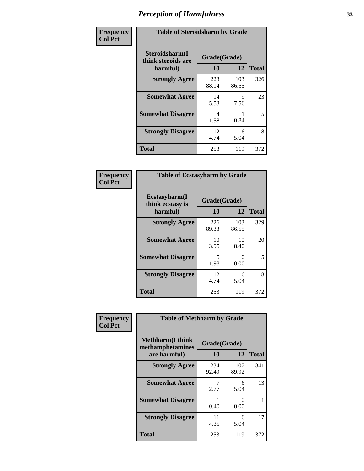| Frequency      | <b>Table of Steroidsharm by Grade</b>            |                    |              |              |  |
|----------------|--------------------------------------------------|--------------------|--------------|--------------|--|
| <b>Col Pct</b> | Steroidsharm(I<br>think steroids are<br>harmful) | Grade(Grade)<br>10 | 12           | <b>Total</b> |  |
|                | <b>Strongly Agree</b>                            | 223<br>88.14       | 103<br>86.55 | 326          |  |
|                | <b>Somewhat Agree</b>                            | 14<br>5.53         | 9<br>7.56    | 23           |  |
|                | <b>Somewhat Disagree</b>                         | 4<br>1.58          | 0.84         | 5            |  |
|                | <b>Strongly Disagree</b>                         | 12<br>4.74         | 6<br>5.04    | 18           |  |
|                | <b>Total</b>                                     | 253                | 119          | 372          |  |

| <b>Table of Ecstasyharm by Grade</b>          |                    |                           |              |  |  |
|-----------------------------------------------|--------------------|---------------------------|--------------|--|--|
| Ecstasyharm(I<br>think ecstasy is<br>harmful) | Grade(Grade)<br>10 | 12                        | <b>Total</b> |  |  |
| <b>Strongly Agree</b>                         | 226<br>89.33       | 103<br>86.55              | 329          |  |  |
| <b>Somewhat Agree</b>                         | 10<br>3.95         | 10<br>8.40                | 20           |  |  |
| <b>Somewhat Disagree</b>                      | 5<br>1.98          | $\mathbf{\Omega}$<br>0.00 | 5            |  |  |
| <b>Strongly Disagree</b>                      | 12<br>4.74         | 6<br>5.04                 | 18           |  |  |
| <b>Total</b>                                  | 253                | 119                       | 372          |  |  |

| Frequency      | <b>Table of Methharm by Grade</b>                            |                           |              |              |
|----------------|--------------------------------------------------------------|---------------------------|--------------|--------------|
| <b>Col Pct</b> | <b>Methharm</b> (I think<br>methamphetamines<br>are harmful) | Grade(Grade)<br><b>10</b> | 12           | <b>Total</b> |
|                | <b>Strongly Agree</b>                                        | 234<br>92.49              | 107<br>89.92 | 341          |
|                | <b>Somewhat Agree</b>                                        | 2.77                      | 6<br>5.04    | 13           |
|                | <b>Somewhat Disagree</b>                                     | 0.40                      | 0<br>0.00    |              |
|                | <b>Strongly Disagree</b>                                     | 11<br>4.35                | 6<br>5.04    | 17           |
|                | <b>Total</b>                                                 | 253                       | 119          | 372          |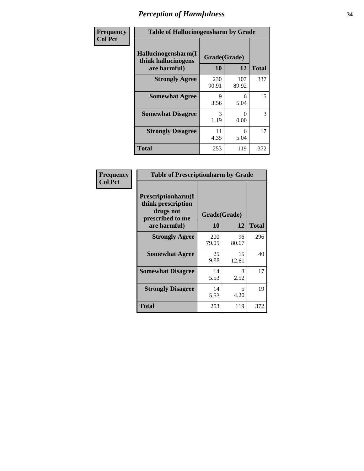| Frequency      | <b>Table of Hallucinogensharm by Grade</b>                 |                    |              |              |
|----------------|------------------------------------------------------------|--------------------|--------------|--------------|
| <b>Col Pct</b> | Hallucinogensharm(I<br>think hallucinogens<br>are harmful) | Grade(Grade)<br>10 | 12           | <b>Total</b> |
|                | <b>Strongly Agree</b>                                      | 230<br>90.91       | 107<br>89.92 | 337          |
|                | <b>Somewhat Agree</b>                                      | 9<br>3.56          | 6<br>5.04    | 15           |
|                | <b>Somewhat Disagree</b>                                   | 3<br>1.19          | 0<br>0.00    | 3            |
|                | <b>Strongly Disagree</b>                                   | 11<br>4.35         | 6<br>5.04    | 17           |
|                | <b>Total</b>                                               | 253                | 119          | 372          |

| <b>Table of Prescriptionharm by Grade</b>                                         |              |              |              |  |  |
|-----------------------------------------------------------------------------------|--------------|--------------|--------------|--|--|
| <b>Prescriptionharm</b> (I<br>think prescription<br>drugs not<br>prescribed to me |              | Grade(Grade) |              |  |  |
| are harmful)                                                                      | 10           | 12           | <b>Total</b> |  |  |
| <b>Strongly Agree</b>                                                             | 200<br>79.05 | 96<br>80.67  | 296          |  |  |
| <b>Somewhat Agree</b>                                                             | 25<br>9.88   | 15<br>12.61  | 40           |  |  |
| <b>Somewhat Disagree</b>                                                          | 14<br>5.53   | 3<br>2.52    | 17           |  |  |
| <b>Strongly Disagree</b>                                                          | 14<br>5.53   | 5<br>4.20    | 19           |  |  |
| Total                                                                             | 253          | 119          | 372          |  |  |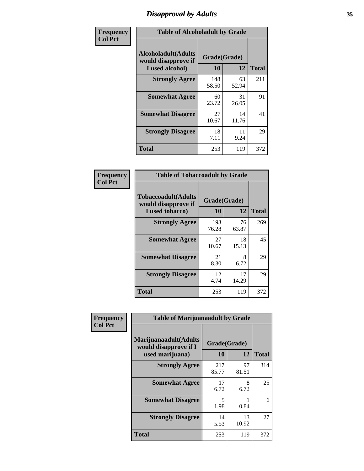### *Disapproval by Adults* **35**

| Frequency      | <b>Table of Alcoholadult by Grade</b>                                 |                    |             |              |  |
|----------------|-----------------------------------------------------------------------|--------------------|-------------|--------------|--|
| <b>Col Pct</b> | <b>Alcoholadult</b> (Adults<br>would disapprove if<br>I used alcohol) | Grade(Grade)<br>10 | 12          | <b>Total</b> |  |
|                | <b>Strongly Agree</b>                                                 | 148<br>58.50       | 63<br>52.94 | 211          |  |
|                | <b>Somewhat Agree</b>                                                 | 60<br>23.72        | 31<br>26.05 | 91           |  |
|                | <b>Somewhat Disagree</b>                                              | 27<br>10.67        | 14<br>11.76 | 41           |  |
|                | <b>Strongly Disagree</b>                                              | 18<br>7.11         | 11<br>9.24  | 29           |  |
|                | <b>Total</b>                                                          | 253                | 119         | 372          |  |

| <b>Table of Tobaccoadult by Grade</b>                                 |                    |             |              |  |  |
|-----------------------------------------------------------------------|--------------------|-------------|--------------|--|--|
| <b>Tobaccoadult</b> (Adults<br>would disapprove if<br>I used tobacco) | Grade(Grade)<br>10 | 12          | <b>Total</b> |  |  |
| <b>Strongly Agree</b>                                                 | 193<br>76.28       | 76<br>63.87 | 269          |  |  |
| <b>Somewhat Agree</b>                                                 | 27<br>10.67        | 18<br>15.13 | 45           |  |  |
| <b>Somewhat Disagree</b>                                              | 21<br>8.30         | 8<br>6.72   | 29           |  |  |
| <b>Strongly Disagree</b>                                              | 12<br>4.74         | 17<br>14.29 | 29           |  |  |
| <b>Total</b>                                                          | 253                | 119         | 372          |  |  |

| Frequency<br><b>Col Pct</b> | <b>Table of Marijuanaadult by Grade</b>                           |                    |             |              |  |
|-----------------------------|-------------------------------------------------------------------|--------------------|-------------|--------------|--|
|                             | Marijuanaadult(Adults<br>would disapprove if I<br>used marijuana) | Grade(Grade)<br>10 | 12          | <b>Total</b> |  |
|                             | <b>Strongly Agree</b>                                             | 217<br>85.77       | 97<br>81.51 | 314          |  |
|                             | <b>Somewhat Agree</b>                                             | 17<br>6.72         | 8<br>6.72   | 25           |  |
|                             | <b>Somewhat Disagree</b>                                          | 5<br>1.98          | 0.84        | 6            |  |
|                             | <b>Strongly Disagree</b>                                          | 14<br>5.53         | 13<br>10.92 | 27           |  |
|                             | <b>Total</b>                                                      | 253                | 119         | 372          |  |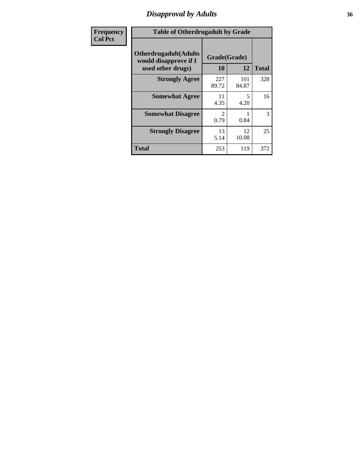### *Disapproval by Adults* **36**

| Frequency      | <b>Table of Otherdrugadult by Grade</b>                                     |                                     |              |              |
|----------------|-----------------------------------------------------------------------------|-------------------------------------|--------------|--------------|
| <b>Col Pct</b> | <b>Otherdrugadult</b> (Adults<br>would disapprove if I<br>used other drugs) | Grade(Grade)<br>10                  | 12           | <b>Total</b> |
|                | <b>Strongly Agree</b>                                                       | 227<br>89.72                        | 101<br>84.87 | 328          |
|                | <b>Somewhat Agree</b>                                                       | 11<br>4.35                          | 5<br>4.20    | 16           |
|                | <b>Somewhat Disagree</b>                                                    | $\mathcal{D}_{\mathcal{L}}$<br>0.79 | 0.84         | 3            |
|                | <b>Strongly Disagree</b>                                                    | 13<br>5.14                          | 12<br>10.08  | 25           |
|                | <b>Total</b>                                                                | 253                                 | 119          | 372          |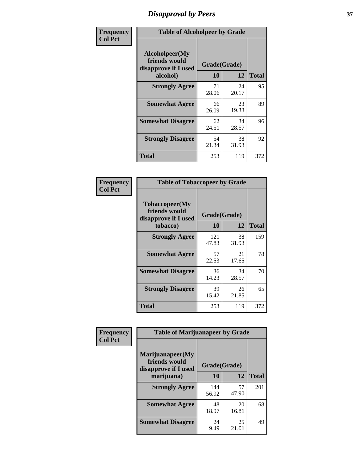# *Disapproval by Peers* **37**

| Frequency      | <b>Table of Alcoholpeer by Grade</b>                    |              |             |              |  |
|----------------|---------------------------------------------------------|--------------|-------------|--------------|--|
| <b>Col Pct</b> | Alcoholpeer(My<br>friends would<br>disapprove if I used | Grade(Grade) |             |              |  |
|                | alcohol)                                                | 10           | 12          | <b>Total</b> |  |
|                | <b>Strongly Agree</b>                                   | 71<br>28.06  | 24<br>20.17 | 95           |  |
|                | <b>Somewhat Agree</b>                                   | 66<br>26.09  | 23<br>19.33 | 89           |  |
|                | <b>Somewhat Disagree</b>                                | 62<br>24.51  | 34<br>28.57 | 96           |  |
|                | <b>Strongly Disagree</b>                                | 54<br>21.34  | 38<br>31.93 | 92           |  |
|                | Total                                                   | 253          | 119         | 372          |  |

| Frequency      | <b>Table of Tobaccopeer by Grade</b>                                |                           |             |              |
|----------------|---------------------------------------------------------------------|---------------------------|-------------|--------------|
| <b>Col Pct</b> | Tobaccopeer(My<br>friends would<br>disapprove if I used<br>tobacco) | Grade(Grade)<br><b>10</b> | 12          | <b>Total</b> |
|                | <b>Strongly Agree</b>                                               | 121<br>47.83              | 38<br>31.93 | 159          |
|                | <b>Somewhat Agree</b>                                               | 57<br>22.53               | 21<br>17.65 | 78           |
|                | <b>Somewhat Disagree</b>                                            | 36<br>14.23               | 34<br>28.57 | 70           |
|                | <b>Strongly Disagree</b>                                            | 39<br>15.42               | 26<br>21.85 | 65           |
|                | Total                                                               | 253                       | 119         | 372          |

| Frequency      | <b>Table of Marijuanapeer by Grade</b>                    |              |             |              |
|----------------|-----------------------------------------------------------|--------------|-------------|--------------|
| <b>Col Pct</b> | Marijuanapeer(My<br>friends would<br>disapprove if I used | Grade(Grade) |             |              |
|                | marijuana)                                                | 10           | 12          | <b>Total</b> |
|                | <b>Strongly Agree</b>                                     | 144<br>56.92 | 57<br>47.90 | 201          |
|                | <b>Somewhat Agree</b>                                     | 48<br>18.97  | 20<br>16.81 | 68           |
|                | <b>Somewhat Disagree</b>                                  | 24<br>9.49   | 25<br>21.01 | 49           |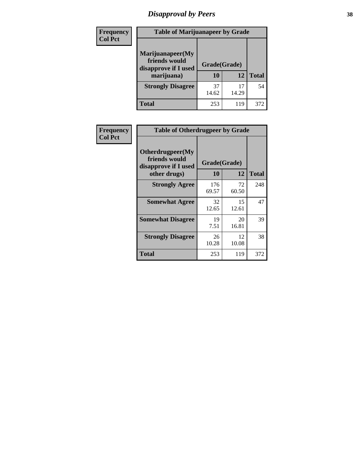# *Disapproval by Peers* **38**

| <b>Frequency</b> | <b>Table of Marijuanapeer by Grade</b>                                  |                           |             |              |  |
|------------------|-------------------------------------------------------------------------|---------------------------|-------------|--------------|--|
| <b>Col Pct</b>   | Marijuanapeer(My<br>friends would<br>disapprove if I used<br>marijuana) | Grade(Grade)<br><b>10</b> | 12          | <b>Total</b> |  |
|                  | <b>Strongly Disagree</b>                                                | 37<br>14.62               | 17<br>14.29 | 54           |  |
|                  | <b>Total</b>                                                            | 253                       | 119         | 372          |  |

| <b>Frequency</b> | <b>Table of Otherdrugpeer by Grade</b>                                    |                    |             |              |
|------------------|---------------------------------------------------------------------------|--------------------|-------------|--------------|
| <b>Col Pct</b>   | Otherdrugpeer(My<br>friends would<br>disapprove if I used<br>other drugs) | Grade(Grade)<br>10 | 12          | <b>Total</b> |
|                  |                                                                           |                    |             |              |
|                  | <b>Strongly Agree</b>                                                     | 176<br>69.57       | 72<br>60.50 | 248          |
|                  | <b>Somewhat Agree</b>                                                     | 32<br>12.65        | 15<br>12.61 | 47           |
|                  | <b>Somewhat Disagree</b>                                                  | 19<br>7.51         | 20<br>16.81 | 39           |
|                  | <b>Strongly Disagree</b>                                                  | 26<br>10.28        | 12<br>10.08 | 38           |
|                  | Total                                                                     | 253                | 119         | 372          |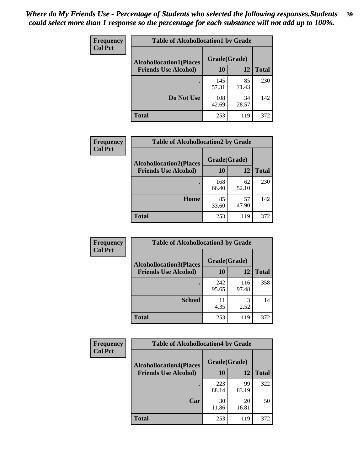| Frequency      | <b>Table of Alcohollocation1 by Grade</b> |              |             |              |
|----------------|-------------------------------------------|--------------|-------------|--------------|
| <b>Col Pct</b> | <b>Alcohollocation1(Places</b>            | Grade(Grade) |             |              |
|                | <b>Friends Use Alcohol)</b>               | 10           | 12          | <b>Total</b> |
|                |                                           | 145<br>57.31 | 85<br>71.43 | 230          |
|                | Do Not Use                                | 108<br>42.69 | 34<br>28.57 | 142          |
|                | <b>Total</b>                              | 253          | 119         | 372          |

| <b>Frequency</b> | <b>Table of Alcohollocation2 by Grade</b> |              |             |              |
|------------------|-------------------------------------------|--------------|-------------|--------------|
| <b>Col Pct</b>   | <b>Alcohollocation2(Places</b>            | Grade(Grade) |             |              |
|                  | <b>Friends Use Alcohol)</b>               | 10           | 12          | <b>Total</b> |
|                  |                                           | 168<br>66.40 | 62<br>52.10 | 230          |
|                  | Home                                      | 85<br>33.60  | 57<br>47.90 | 142          |
|                  | <b>Total</b>                              | 253          | 119         | 372          |

| <b>Frequency</b> | <b>Table of Alcohollocation3 by Grade</b> |              |              |              |
|------------------|-------------------------------------------|--------------|--------------|--------------|
| <b>Col Pct</b>   | <b>Alcohollocation3(Places</b>            | Grade(Grade) |              |              |
|                  | <b>Friends Use Alcohol)</b>               | <b>10</b>    | 12           | <b>Total</b> |
|                  |                                           | 242<br>95.65 | 116<br>97.48 | 358          |
|                  | <b>School</b>                             | 11<br>4.35   | 3<br>2.52    | 14           |
|                  | <b>Total</b>                              | 253          | 119          | 372          |

| <b>Frequency</b> | <b>Table of Alcohollocation4 by Grade</b> |              |             |              |  |
|------------------|-------------------------------------------|--------------|-------------|--------------|--|
| <b>Col Pct</b>   | <b>Alcohollocation4(Places</b>            | Grade(Grade) |             |              |  |
|                  | <b>Friends Use Alcohol)</b>               | 10           | 12          | <b>Total</b> |  |
|                  |                                           | 223<br>88.14 | 99<br>83.19 | 322          |  |
|                  | Car                                       | 30<br>11.86  | 20<br>16.81 | 50           |  |
|                  | <b>Total</b>                              | 253          | 119         | 372          |  |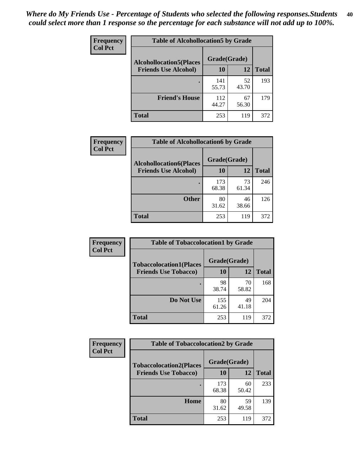| Frequency<br><b>Col Pct</b> | <b>Table of Alcohollocation5 by Grade</b> |              |             |              |  |
|-----------------------------|-------------------------------------------|--------------|-------------|--------------|--|
|                             | <b>Alcohollocation5(Places</b>            |              |             |              |  |
|                             | <b>Friends Use Alcohol)</b>               | 10           | 12          | <b>Total</b> |  |
|                             |                                           | 141<br>55.73 | 52<br>43.70 | 193          |  |
|                             | <b>Friend's House</b>                     | 112<br>44.27 | 67<br>56.30 | 179          |  |
|                             | <b>Total</b>                              | 253          | 119         | 372          |  |

| <b>Frequency</b> | <b>Table of Alcohollocation6 by Grade</b> |              |             |              |
|------------------|-------------------------------------------|--------------|-------------|--------------|
| <b>Col Pct</b>   | <b>Alcohollocation6(Places</b>            | Grade(Grade) |             |              |
|                  | <b>Friends Use Alcohol)</b>               | 10           | 12          | <b>Total</b> |
|                  |                                           | 173<br>68.38 | 73<br>61.34 | 246          |
|                  | <b>Other</b>                              | 80<br>31.62  | 46<br>38.66 | 126          |
|                  | <b>Total</b>                              | 253          | 119         | 372          |

| Frequency      | <b>Table of Tobaccolocation1 by Grade</b> |              |             |              |
|----------------|-------------------------------------------|--------------|-------------|--------------|
| <b>Col Pct</b> | <b>Tobaccolocation1(Places</b>            | Grade(Grade) |             |              |
|                | <b>Friends Use Tobacco)</b>               | 10           | <b>12</b>   | <b>Total</b> |
|                |                                           | 98<br>38.74  | 70<br>58.82 | 168          |
|                | <b>Do Not Use</b>                         | 155<br>61.26 | 49<br>41.18 | 204          |
|                | <b>Total</b>                              | 253          | 119         | 372          |

| <b>Frequency</b> | <b>Table of Tobaccolocation2 by Grade</b> |              |             |              |
|------------------|-------------------------------------------|--------------|-------------|--------------|
| <b>Col Pct</b>   | <b>Tobaccolocation2(Places</b>            | Grade(Grade) |             |              |
|                  | <b>Friends Use Tobacco)</b>               | 10           | 12          | <b>Total</b> |
|                  |                                           | 173<br>68.38 | 60<br>50.42 | 233          |
|                  | Home                                      | 80<br>31.62  | 59<br>49.58 | 139          |
|                  | <b>Total</b>                              | 253          | 119         | 372          |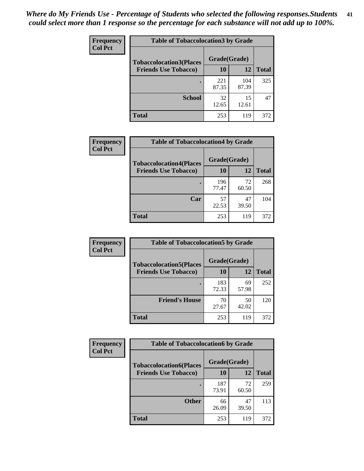| Frequency      | <b>Table of Tobaccolocation 3 by Grade</b> |              |              |              |  |
|----------------|--------------------------------------------|--------------|--------------|--------------|--|
| <b>Col Pct</b> | <b>Tobaccolocation3(Places</b>             | Grade(Grade) |              |              |  |
|                | <b>Friends Use Tobacco)</b>                | 10           | <b>12</b>    | <b>Total</b> |  |
|                |                                            | 221<br>87.35 | 104<br>87.39 | 325          |  |
|                | <b>School</b>                              | 32<br>12.65  | 15<br>12.61  | 47           |  |
|                | <b>Total</b>                               | 253          | 119          | 372          |  |

| Frequency      | <b>Table of Tobaccolocation4 by Grade</b> |              |             |              |
|----------------|-------------------------------------------|--------------|-------------|--------------|
| <b>Col Pct</b> | <b>Tobaccolocation4(Places</b>            | Grade(Grade) |             |              |
|                | <b>Friends Use Tobacco)</b>               | 10           | 12          | <b>Total</b> |
|                |                                           | 196<br>77.47 | 72<br>60.50 | 268          |
|                | Car                                       | 57<br>22.53  | 47<br>39.50 | 104          |
|                | <b>Total</b>                              | 253          | 119         | 372          |

| Frequency<br><b>Col Pct</b> | <b>Table of Tobaccolocation5 by Grade</b> |              |             |              |
|-----------------------------|-------------------------------------------|--------------|-------------|--------------|
|                             | <b>Tobaccolocation5(Places</b>            | Grade(Grade) |             |              |
|                             | <b>Friends Use Tobacco)</b>               | 10           | 12          | <b>Total</b> |
|                             |                                           | 183<br>72.33 | 69<br>57.98 | 252          |
|                             | <b>Friend's House</b>                     | 70<br>27.67  | 50<br>42.02 | 120          |
|                             | <b>Total</b>                              | 253          | 119         | 372          |

| <b>Frequency</b> | <b>Table of Tobaccolocation6 by Grade</b> |              |             |              |  |
|------------------|-------------------------------------------|--------------|-------------|--------------|--|
| <b>Col Pct</b>   | <b>Tobaccolocation6(Places</b>            | Grade(Grade) |             |              |  |
|                  | <b>Friends Use Tobacco)</b>               | 10           | 12          | <b>Total</b> |  |
|                  |                                           | 187<br>73.91 | 72<br>60.50 | 259          |  |
|                  | <b>Other</b>                              | 66<br>26.09  | 47<br>39.50 | 113          |  |
|                  | <b>Total</b>                              | 253          | 119         | 372          |  |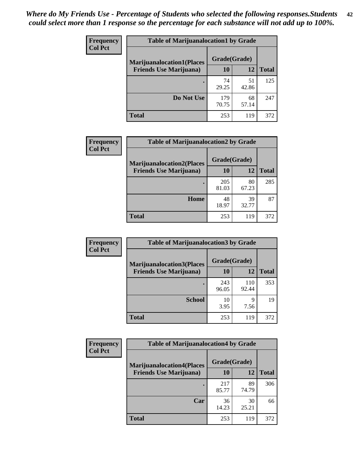| <b>Frequency</b> | <b>Table of Marijuanalocation1 by Grade</b> |              |             |              |
|------------------|---------------------------------------------|--------------|-------------|--------------|
| <b>Col Pct</b>   | <b>Marijuanalocation1(Places</b>            | Grade(Grade) |             |              |
|                  | <b>Friends Use Marijuana</b> )              | 10           | 12          | <b>Total</b> |
|                  |                                             | 74<br>29.25  | 51<br>42.86 | 125          |
|                  | Do Not Use                                  | 179<br>70.75 | 68<br>57.14 | 247          |
|                  | <b>Total</b>                                | 253          | 119         | 372          |

| <b>Frequency</b> | <b>Table of Marijuanalocation2 by Grade</b>                        |                    |             |              |
|------------------|--------------------------------------------------------------------|--------------------|-------------|--------------|
| <b>Col Pct</b>   | <b>Marijuanalocation2(Places</b><br><b>Friends Use Marijuana</b> ) | Grade(Grade)<br>10 | 12          | <b>Total</b> |
|                  |                                                                    | 205<br>81.03       | 80<br>67.23 | 285          |
|                  | Home                                                               | 48<br>18.97        | 39<br>32.77 | 87           |
|                  | <b>Total</b>                                                       | 253                | 119         | 372          |

| Frequency<br><b>Col Pct</b> | <b>Table of Marijuanalocation3 by Grade</b> |              |              |       |
|-----------------------------|---------------------------------------------|--------------|--------------|-------|
|                             | <b>Marijuanalocation3</b> (Places           | Grade(Grade) |              |       |
|                             | <b>Friends Use Marijuana</b> )              | 10           | 12           | Total |
|                             |                                             | 243<br>96.05 | 110<br>92.44 | 353   |
|                             | <b>School</b>                               | 10<br>3.95   | 9<br>7.56    | 19    |
|                             | <b>Total</b>                                | 253          | 119          | 372   |

| <b>Frequency</b><br><b>Col Pct</b> | <b>Table of Marijuanalocation4 by Grade</b> |              |             |              |  |
|------------------------------------|---------------------------------------------|--------------|-------------|--------------|--|
|                                    | <b>Marijuanalocation4(Places</b>            | Grade(Grade) |             |              |  |
|                                    | <b>Friends Use Marijuana</b> )              | <b>10</b>    | 12          | <b>Total</b> |  |
|                                    |                                             | 217<br>85.77 | 89<br>74.79 | 306          |  |
|                                    | Car                                         | 36<br>14.23  | 30<br>25.21 | 66           |  |
|                                    | <b>Total</b>                                | 253          | 119         | 372          |  |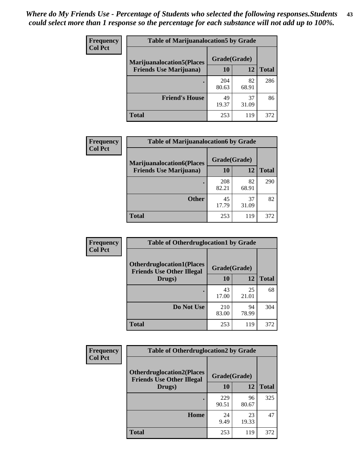| <b>Frequency</b> | <b>Table of Marijuanalocation5 by Grade</b> |              |             |              |
|------------------|---------------------------------------------|--------------|-------------|--------------|
| <b>Col Pct</b>   | <b>Marijuanalocation5</b> (Places           | Grade(Grade) |             |              |
|                  | <b>Friends Use Marijuana</b> )              | 10           | 12          | <b>Total</b> |
|                  |                                             | 204<br>80.63 | 82<br>68.91 | 286          |
|                  | <b>Friend's House</b>                       | 49<br>19.37  | 37<br>31.09 | 86           |
|                  | Total                                       | 253          | 119         | 372          |

| Frequency<br><b>Col Pct</b> | <b>Table of Marijuanalocation6 by Grade</b> |              |             |              |
|-----------------------------|---------------------------------------------|--------------|-------------|--------------|
|                             | <b>Marijuanalocation6(Places</b>            | Grade(Grade) |             |              |
|                             | <b>Friends Use Marijuana</b> )              | 10           | 12          | <b>Total</b> |
|                             |                                             | 208<br>82.21 | 82<br>68.91 | 290          |
|                             | <b>Other</b>                                | 45<br>17.79  | 37<br>31.09 | 82           |
|                             | <b>Total</b>                                | 253          | 119         | 372          |

| <b>Frequency</b> | <b>Table of Otherdruglocation1 by Grade</b>                          |              |             |              |
|------------------|----------------------------------------------------------------------|--------------|-------------|--------------|
| <b>Col Pct</b>   | <b>Otherdruglocation1(Places</b><br><b>Friends Use Other Illegal</b> | Grade(Grade) |             |              |
|                  | Drugs)                                                               | 10           | 12          | <b>Total</b> |
|                  |                                                                      | 43<br>17.00  | 25<br>21.01 | 68           |
|                  | Do Not Use                                                           | 210<br>83.00 | 94<br>78.99 | 304          |
|                  | <b>Total</b>                                                         | 253          | 119         | 372          |

| <b>Frequency</b> | <b>Table of Otherdruglocation2 by Grade</b>                           |              |             |              |
|------------------|-----------------------------------------------------------------------|--------------|-------------|--------------|
| <b>Col Pct</b>   | <b>Otherdruglocation2(Places)</b><br><b>Friends Use Other Illegal</b> | Grade(Grade) |             |              |
|                  | Drugs)                                                                | 10           | 12          | <b>Total</b> |
|                  |                                                                       | 229<br>90.51 | 96<br>80.67 | 325          |
|                  | Home                                                                  | 24<br>9.49   | 23<br>19.33 | 47           |
|                  | Total                                                                 | 253          | 119         | 372          |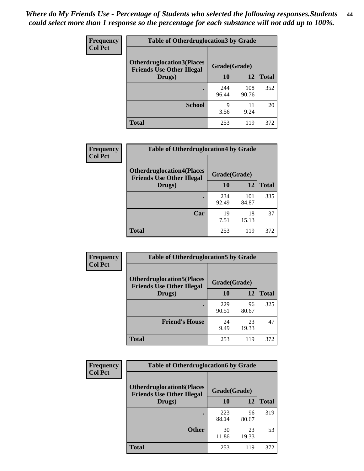| <b>Frequency</b> | <b>Table of Otherdruglocation 3 by Grade</b>                         |              |              |              |
|------------------|----------------------------------------------------------------------|--------------|--------------|--------------|
| <b>Col Pct</b>   | <b>Otherdruglocation3(Places</b><br><b>Friends Use Other Illegal</b> | Grade(Grade) |              |              |
|                  | Drugs)                                                               | 10           | 12           | <b>Total</b> |
|                  |                                                                      | 244<br>96.44 | 108<br>90.76 | 352          |
|                  | <b>School</b>                                                        | 9<br>3.56    | 11<br>9.24   | 20           |
|                  | <b>Total</b>                                                         | 253          | 119          | 372          |

| Frequency      | <b>Table of Otherdruglocation4 by Grade</b>                          |              |              |              |
|----------------|----------------------------------------------------------------------|--------------|--------------|--------------|
| <b>Col Pct</b> | <b>Otherdruglocation4(Places</b><br><b>Friends Use Other Illegal</b> | Grade(Grade) |              |              |
|                | Drugs)                                                               | 10           | 12           | <b>Total</b> |
|                |                                                                      | 234<br>92.49 | 101<br>84.87 | 335          |
|                | Car                                                                  | 19<br>7.51   | 18<br>15.13  | 37           |
|                | <b>Total</b>                                                         | 253          | 119          | 372          |

| Frequency      | <b>Table of Otherdruglocation5 by Grade</b>                          |              |             |              |
|----------------|----------------------------------------------------------------------|--------------|-------------|--------------|
| <b>Col Pct</b> | <b>Otherdruglocation5(Places</b><br><b>Friends Use Other Illegal</b> | Grade(Grade) |             |              |
|                | Drugs)                                                               | 10           | 12          | <b>Total</b> |
|                |                                                                      | 229<br>90.51 | 96<br>80.67 | 325          |
|                | <b>Friend's House</b>                                                | 24<br>9.49   | 23<br>19.33 | 47           |
|                | <b>Total</b>                                                         | 253          | 119         | 372          |

| <b>Frequency</b> | <b>Table of Otherdruglocation6 by Grade</b>                          |              |             |              |
|------------------|----------------------------------------------------------------------|--------------|-------------|--------------|
| <b>Col Pct</b>   | <b>Otherdruglocation6(Places</b><br><b>Friends Use Other Illegal</b> | Grade(Grade) |             |              |
|                  | Drugs)                                                               | <b>10</b>    | 12          | <b>Total</b> |
|                  |                                                                      | 223<br>88.14 | 96<br>80.67 | 319          |
|                  | <b>Other</b>                                                         | 30<br>11.86  | 23<br>19.33 | 53           |
|                  | <b>Total</b>                                                         | 253          | 119         | 372          |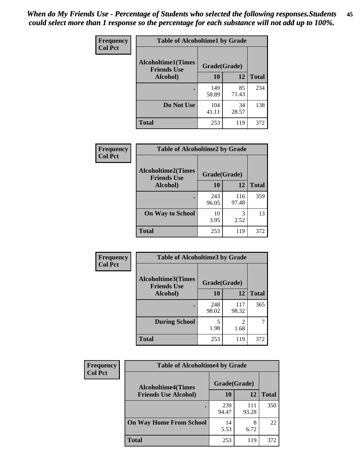| Frequency      | <b>Table of Alcoholtime1 by Grade</b>           |              |             |              |
|----------------|-------------------------------------------------|--------------|-------------|--------------|
| <b>Col Pct</b> | <b>Alcoholtime1(Times</b><br><b>Friends Use</b> | Grade(Grade) |             |              |
|                | Alcohol)                                        | 10           | 12          | <b>Total</b> |
|                |                                                 | 149<br>58.89 | 85<br>71.43 | 234          |
|                | Do Not Use                                      | 104<br>41.11 | 34<br>28.57 | 138          |
|                | <b>Total</b>                                    | 253          | 119         | 372          |

| Frequency      | <b>Table of Alcoholtime2 by Grade</b>           |              |              |              |
|----------------|-------------------------------------------------|--------------|--------------|--------------|
| <b>Col Pct</b> | <b>Alcoholtime2(Times</b><br><b>Friends Use</b> | Grade(Grade) |              |              |
|                | Alcohol)                                        | 10           | 12           | <b>Total</b> |
|                |                                                 | 243<br>96.05 | 116<br>97.48 | 359          |
|                | <b>On Way to School</b>                         | 10<br>3.95   | 3<br>2.52    | 13           |
|                | <b>Total</b>                                    | 253          | 119          | 372          |

| Frequency      | <b>Table of Alcoholtime3 by Grade</b> |                                    |                                     |              |
|----------------|---------------------------------------|------------------------------------|-------------------------------------|--------------|
| <b>Col Pct</b> | <b>Alcoholtime3(Times</b>             | Grade(Grade)<br><b>Friends Use</b> |                                     |              |
|                | Alcohol)                              | 10                                 | 12                                  | <b>Total</b> |
|                |                                       | 248<br>98.02                       | 117<br>98.32                        | 365          |
|                | <b>During School</b>                  | 5<br>1.98                          | $\mathcal{D}_{\mathcal{A}}$<br>1.68 |              |
|                | <b>Total</b>                          | 253                                | 119                                 | 372          |

| <b>Frequency</b><br><b>Col Pct</b> | <b>Table of Alcoholtime4 by Grade</b> |              |              |              |
|------------------------------------|---------------------------------------|--------------|--------------|--------------|
|                                    | <b>Alcoholtime4(Times</b>             | Grade(Grade) |              |              |
|                                    | <b>Friends Use Alcohol)</b>           | 10           | 12           | <b>Total</b> |
|                                    |                                       | 239<br>94.47 | 111<br>93.28 | 350          |
|                                    | <b>On Way Home From School</b>        | 14<br>5.53   | 8<br>6.72    | 22           |
|                                    | <b>Total</b>                          | 253          | 119          | 372          |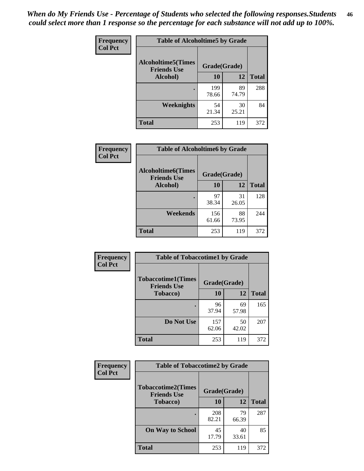*When do My Friends Use - Percentage of Students who selected the following responses.Students could select more than 1 response so the percentage for each substance will not add up to 100%.* **46**

| Frequency      | <b>Table of Alcoholtime5 by Grade</b>           |              |             |              |
|----------------|-------------------------------------------------|--------------|-------------|--------------|
| <b>Col Pct</b> | <b>Alcoholtime5(Times</b><br><b>Friends Use</b> | Grade(Grade) |             |              |
|                | Alcohol)                                        | 10           | 12          | <b>Total</b> |
|                |                                                 | 199<br>78.66 | 89<br>74.79 | 288          |
|                | <b>Weeknights</b>                               | 54<br>21.34  | 30<br>25.21 | 84           |
|                | <b>Total</b>                                    | 253          | 119         | 372          |

| <b>Frequency</b> | <b>Table of Alcoholtime6 by Grade</b>           |              |             |              |
|------------------|-------------------------------------------------|--------------|-------------|--------------|
| <b>Col Pct</b>   | <b>Alcoholtime6(Times</b><br><b>Friends Use</b> | Grade(Grade) |             |              |
|                  | Alcohol)                                        | 10           | 12          | <b>Total</b> |
|                  |                                                 | 97<br>38.34  | 31<br>26.05 | 128          |
|                  | Weekends                                        | 156<br>61.66 | 88<br>73.95 | 244          |
|                  | <b>Total</b>                                    | 253          | 119         | 372          |

| <b>Frequency</b><br><b>Col Pct</b> | <b>Table of Tobaccotime1 by Grade</b>           |              |             |              |
|------------------------------------|-------------------------------------------------|--------------|-------------|--------------|
|                                    | <b>Tobaccotime1(Times</b><br><b>Friends Use</b> | Grade(Grade) |             |              |
|                                    | <b>Tobacco</b> )                                | 10           | 12          | <b>Total</b> |
|                                    | ٠                                               | 96<br>37.94  | 69<br>57.98 | 165          |
|                                    | Do Not Use                                      | 157<br>62.06 | 50<br>42.02 | 207          |
|                                    | <b>Total</b>                                    | 253          | 119         | 372          |

| <b>Frequency</b> | <b>Table of Tobaccotime2 by Grade</b>           |              |             |              |
|------------------|-------------------------------------------------|--------------|-------------|--------------|
| <b>Col Pct</b>   | <b>Tobaccotime2(Times</b><br><b>Friends Use</b> | Grade(Grade) |             |              |
|                  | <b>Tobacco</b> )                                | 10           | 12          | <b>Total</b> |
|                  | ٠                                               | 208<br>82.21 | 79<br>66.39 | 287          |
|                  | <b>On Way to School</b>                         | 45<br>17.79  | 40<br>33.61 | 85           |
|                  | <b>Total</b>                                    | 253          | 119         | 372          |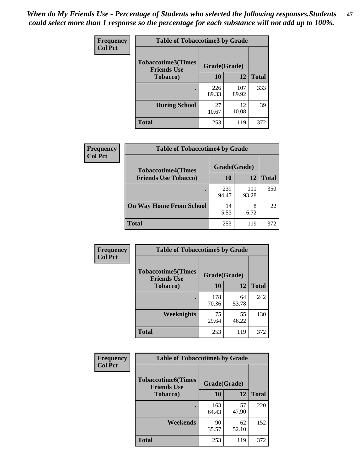*When do My Friends Use - Percentage of Students who selected the following responses.Students could select more than 1 response so the percentage for each substance will not add up to 100%.* **47**

| <b>Frequency</b> | <b>Table of Tobaccotime3 by Grade</b>           |              |              |              |
|------------------|-------------------------------------------------|--------------|--------------|--------------|
| <b>Col Pct</b>   | <b>Tobaccotime3(Times</b><br><b>Friends Use</b> | Grade(Grade) |              |              |
|                  | <b>Tobacco</b> )                                | 10           | 12           | <b>Total</b> |
|                  |                                                 | 226<br>89.33 | 107<br>89.92 | 333          |
|                  | <b>During School</b>                            | 27<br>10.67  | 12<br>10.08  | 39           |
|                  | <b>Total</b>                                    | 253          | 119          | 372          |

| Frequency<br><b>Col Pct</b> | <b>Table of Tobaccotime4 by Grade</b> |              |              |              |
|-----------------------------|---------------------------------------|--------------|--------------|--------------|
|                             | <b>Tobaccotime4(Times</b>             | Grade(Grade) |              |              |
|                             | <b>Friends Use Tobacco)</b>           | 10           | 12           | <b>Total</b> |
|                             |                                       | 239<br>94.47 | 111<br>93.28 | 350          |
|                             | <b>On Way Home From School</b>        | 14<br>5.53   | 8<br>6.72    | 22           |
|                             | <b>Total</b>                          | 253          | 119          | 372          |

| <b>Frequency</b> | <b>Table of Tobaccotime5 by Grade</b>           |              |             |              |
|------------------|-------------------------------------------------|--------------|-------------|--------------|
| <b>Col Pct</b>   | <b>Tobaccotime5(Times</b><br><b>Friends Use</b> | Grade(Grade) |             |              |
|                  | <b>Tobacco</b> )                                | 10           | 12          | <b>Total</b> |
|                  |                                                 | 178<br>70.36 | 64<br>53.78 | 242          |
|                  | Weeknights                                      | 75<br>29.64  | 55<br>46.22 | 130          |
|                  | <b>Total</b>                                    | 253          | 119         | 372          |

| Frequency      | <b>Table of Tobaccotime6 by Grade</b>           |              |             |              |
|----------------|-------------------------------------------------|--------------|-------------|--------------|
| <b>Col Pct</b> | <b>Tobaccotime6(Times</b><br><b>Friends Use</b> | Grade(Grade) |             |              |
|                | <b>Tobacco</b> )                                | 10           | 12          | <b>Total</b> |
|                |                                                 | 163<br>64.43 | 57<br>47.90 | 220          |
|                | Weekends                                        | 90<br>35.57  | 62<br>52.10 | 152          |
|                | <b>Total</b>                                    | 253          | 119         | 372          |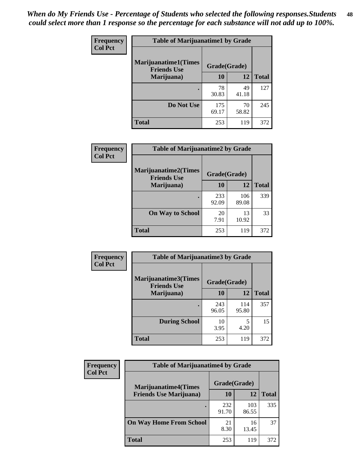| Frequency      | <b>Table of Marijuanatime1 by Grade</b>           |              |             |              |
|----------------|---------------------------------------------------|--------------|-------------|--------------|
| <b>Col Pct</b> | <b>Marijuanatime1(Times</b><br><b>Friends Use</b> | Grade(Grade) |             |              |
|                | Marijuana)                                        | 10           | 12          | <b>Total</b> |
|                |                                                   | 78<br>30.83  | 49<br>41.18 | 127          |
|                | Do Not Use                                        | 175<br>69.17 | 70<br>58.82 | 245          |
|                | <b>Total</b>                                      | 253          | 119         | 372          |

| <b>Frequency</b> | <b>Table of Marijuanatime2 by Grade</b>           |              |              |              |
|------------------|---------------------------------------------------|--------------|--------------|--------------|
| <b>Col Pct</b>   | <b>Marijuanatime2(Times</b><br><b>Friends Use</b> | Grade(Grade) |              |              |
|                  | Marijuana)                                        | 10           | 12           | <b>Total</b> |
|                  |                                                   | 233<br>92.09 | 106<br>89.08 | 339          |
|                  | <b>On Way to School</b>                           | 20<br>7.91   | 13<br>10.92  | 33           |
|                  | <b>Total</b>                                      | 253          | 119          | 372          |

| Frequency      | <b>Table of Marijuanatime3 by Grade</b>    |              |              |              |  |
|----------------|--------------------------------------------|--------------|--------------|--------------|--|
| <b>Col Pct</b> | Marijuanatime3(Times<br><b>Friends Use</b> | Grade(Grade) |              |              |  |
|                | Marijuana)                                 | 10           | 12           | <b>Total</b> |  |
|                |                                            | 243<br>96.05 | 114<br>95.80 | 357          |  |
|                | <b>During School</b>                       | 10<br>3.95   | 5<br>4.20    | 15           |  |
|                | <b>Total</b>                               | 253          | 119          | 372          |  |

| <b>Frequency</b><br><b>Col Pct</b> | <b>Table of Marijuanatime4 by Grade</b> |              |              |       |
|------------------------------------|-----------------------------------------|--------------|--------------|-------|
|                                    | <b>Marijuanatime4</b> (Times            | Grade(Grade) |              |       |
|                                    | <b>Friends Use Marijuana</b> )          | 10           | 12           | Total |
|                                    |                                         | 232<br>91.70 | 103<br>86.55 | 335   |
|                                    | <b>On Way Home From School</b>          | 21<br>8.30   | 16<br>13.45  | 37    |
|                                    | <b>Total</b>                            | 253          | 119          | 372   |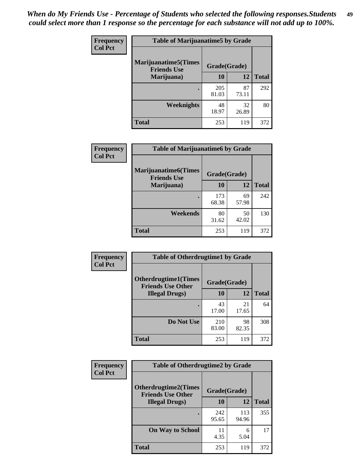| Frequency      | <b>Table of Marijuanatime5 by Grade</b>            |              |             |              |
|----------------|----------------------------------------------------|--------------|-------------|--------------|
| <b>Col Pct</b> | <b>Marijuanatime5</b> (Times<br><b>Friends Use</b> | Grade(Grade) |             |              |
|                | Marijuana)                                         | 10           | 12          | <b>Total</b> |
|                |                                                    | 205<br>81.03 | 87<br>73.11 | 292          |
|                | Weeknights                                         | 48<br>18.97  | 32<br>26.89 | 80           |
|                | <b>Total</b>                                       | 253          | 119         | 372          |

| Frequency      | <b>Table of Marijuanatime6 by Grade</b>            |              |             |              |
|----------------|----------------------------------------------------|--------------|-------------|--------------|
| <b>Col Pct</b> | <b>Marijuanatime6</b> (Times<br><b>Friends Use</b> | Grade(Grade) |             |              |
|                | Marijuana)                                         | 10           | 12          | <b>Total</b> |
|                |                                                    | 173<br>68.38 | 69<br>57.98 | 242          |
|                | Weekends                                           | 80<br>31.62  | 50<br>42.02 | 130          |
|                | <b>Total</b>                                       | 253          | 119         | 372          |

| <b>Frequency</b> | <b>Table of Otherdrugtime1 by Grade</b>                 |              |             |              |  |
|------------------|---------------------------------------------------------|--------------|-------------|--------------|--|
| <b>Col Pct</b>   | <b>Otherdrugtime1(Times</b><br><b>Friends Use Other</b> | Grade(Grade) |             |              |  |
|                  | <b>Illegal Drugs</b> )                                  | 10           | 12          | <b>Total</b> |  |
|                  |                                                         | 43<br>17.00  | 21<br>17.65 | 64           |  |
|                  | Do Not Use                                              | 210<br>83.00 | 98<br>82.35 | 308          |  |
|                  | <b>Total</b>                                            | 253          | 119         | 372          |  |

| <b>Frequency</b> | <b>Table of Otherdrugtime2 by Grade</b>                 |              |              |              |  |  |
|------------------|---------------------------------------------------------|--------------|--------------|--------------|--|--|
| <b>Col Pct</b>   | <b>Otherdrugtime2(Times</b><br><b>Friends Use Other</b> | Grade(Grade) |              |              |  |  |
|                  | <b>Illegal Drugs</b> )                                  | 10           | 12           | <b>Total</b> |  |  |
|                  |                                                         | 242<br>95.65 | 113<br>94.96 | 355          |  |  |
|                  | <b>On Way to School</b>                                 | 11<br>4.35   | 6<br>5.04    | 17           |  |  |
|                  | Total                                                   | 253          | 119          | 372          |  |  |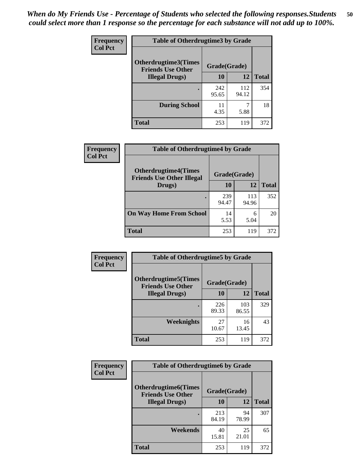| <b>Frequency</b> | <b>Table of Otherdrugtime3 by Grade</b>                          |              |              |              |  |  |
|------------------|------------------------------------------------------------------|--------------|--------------|--------------|--|--|
| <b>Col Pct</b>   | Otherdrugtime3(Times<br>Grade(Grade)<br><b>Friends Use Other</b> |              |              |              |  |  |
|                  | <b>Illegal Drugs)</b>                                            |              | 12           | <b>Total</b> |  |  |
|                  |                                                                  | 242<br>95.65 | 112<br>94.12 | 354          |  |  |
|                  | <b>During School</b>                                             | 11<br>4.35   | 7<br>5.88    | 18           |  |  |
|                  | Total                                                            | 253          | 119          | 372          |  |  |

| Frequency      | <b>Table of Otherdrugtime4 by Grade</b>                         |              |              |              |  |  |
|----------------|-----------------------------------------------------------------|--------------|--------------|--------------|--|--|
| <b>Col Pct</b> | <b>Otherdrugtime4(Times</b><br><b>Friends Use Other Illegal</b> | Grade(Grade) |              |              |  |  |
|                | Drugs)                                                          | 10           | 12           | <b>Total</b> |  |  |
|                | $\bullet$                                                       | 239<br>94.47 | 113<br>94.96 | 352          |  |  |
|                | <b>On Way Home From School</b>                                  | 14<br>5.53   | 6<br>5.04    | 20           |  |  |
|                | <b>Total</b>                                                    | 253          | 119          | 372          |  |  |

| <b>Frequency</b> | <b>Table of Otherdrugtime5 by Grade</b>                  |              |              |              |  |  |
|------------------|----------------------------------------------------------|--------------|--------------|--------------|--|--|
| <b>Col Pct</b>   | <b>Otherdrugtime5</b> (Times<br><b>Friends Use Other</b> | Grade(Grade) |              |              |  |  |
|                  | <b>Illegal Drugs</b> )                                   | 10           | 12           | <b>Total</b> |  |  |
|                  |                                                          | 226<br>89.33 | 103<br>86.55 | 329          |  |  |
|                  | <b>Weeknights</b>                                        | 27<br>10.67  | 16<br>13.45  | 43           |  |  |
|                  | <b>Total</b>                                             | 253          | 119          | 372          |  |  |

| <b>Frequency</b> | <b>Table of Otherdrugtime6 by Grade</b>                                 |              |             |              |  |  |
|------------------|-------------------------------------------------------------------------|--------------|-------------|--------------|--|--|
| <b>Col Pct</b>   | <b>Otherdrugtime6(Times</b><br>Grade(Grade)<br><b>Friends Use Other</b> |              |             |              |  |  |
|                  | <b>Illegal Drugs)</b>                                                   | 10           | 12          | <b>Total</b> |  |  |
|                  |                                                                         | 213<br>84.19 | 94<br>78.99 | 307          |  |  |
|                  | Weekends                                                                | 40<br>15.81  | 25<br>21.01 | 65           |  |  |
|                  | <b>Total</b>                                                            | 253          | 119         | 372          |  |  |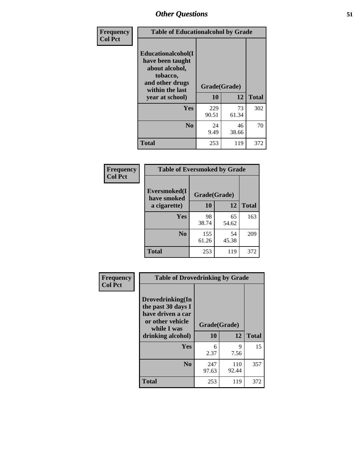| Frequency      | <b>Table of Educationalcohol by Grade</b>                                                                  |              |             |              |  |  |
|----------------|------------------------------------------------------------------------------------------------------------|--------------|-------------|--------------|--|--|
| <b>Col Pct</b> | Educationalcohol(I<br>have been taught<br>about alcohol,<br>tobacco,<br>and other drugs<br>within the last | Grade(Grade) |             |              |  |  |
|                | year at school)                                                                                            | 10           | 12          | <b>Total</b> |  |  |
|                | Yes                                                                                                        | 229<br>90.51 | 73<br>61.34 | 302          |  |  |
|                | N <sub>0</sub>                                                                                             | 24<br>9.49   | 46<br>38.66 | 70           |  |  |
|                | <b>Total</b>                                                                                               | 253          | 119         | 372          |  |  |

| Frequency      | <b>Table of Eversmoked by Grade</b>         |              |             |              |  |  |  |
|----------------|---------------------------------------------|--------------|-------------|--------------|--|--|--|
| <b>Col Pct</b> | Eversmoked(I<br>Grade(Grade)<br>have smoked |              |             |              |  |  |  |
|                | a cigarette)                                | 10           | 12          | <b>Total</b> |  |  |  |
|                | <b>Yes</b>                                  | 98<br>38.74  | 65<br>54.62 | 163          |  |  |  |
|                | N <sub>0</sub>                              | 155<br>61.26 | 54<br>45.38 | 209          |  |  |  |
|                | <b>Total</b>                                | 253          | 119         | 372          |  |  |  |

| Frequency      | <b>Table of Drovedrinking by Grade</b>                                                                              |                    |              |              |  |  |
|----------------|---------------------------------------------------------------------------------------------------------------------|--------------------|--------------|--------------|--|--|
| <b>Col Pct</b> | Drovedrinking(In<br>the past 30 days I<br>have driven a car<br>or other vehicle<br>while I was<br>drinking alcohol) | Grade(Grade)<br>10 | 12           | <b>Total</b> |  |  |
|                | <b>Yes</b>                                                                                                          | 6<br>2.37          | 9<br>7.56    | 15           |  |  |
|                | N <sub>0</sub>                                                                                                      | 247<br>97.63       | 110<br>92.44 | 357          |  |  |
|                | <b>Total</b>                                                                                                        | 253                | 119          | 372          |  |  |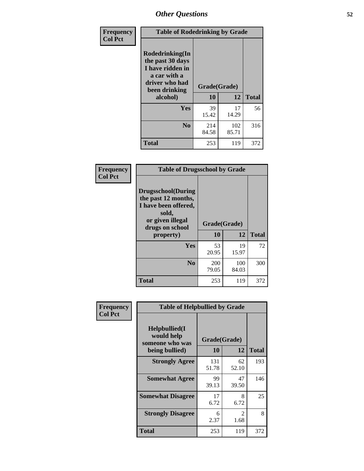| Frequency<br><b>Col Pct</b> | <b>Table of Rodedrinking by Grade</b>                                                                      |              |              |              |  |  |
|-----------------------------|------------------------------------------------------------------------------------------------------------|--------------|--------------|--------------|--|--|
|                             | Rodedrinking(In<br>the past 30 days<br>I have ridden in<br>a car with a<br>driver who had<br>been drinking | Grade(Grade) |              |              |  |  |
|                             | alcohol)                                                                                                   | 10           | 12           | <b>Total</b> |  |  |
|                             | <b>Yes</b>                                                                                                 | 39<br>15.42  | 17<br>14.29  | 56           |  |  |
|                             | N <sub>0</sub>                                                                                             | 214<br>84.58 | 102<br>85.71 | 316          |  |  |
|                             | <b>Total</b>                                                                                               | 253          | 119          | 372          |  |  |

#### **Frequency Col Pct**

| <b>Table of Drugsschool by Grade</b>                                                                                      |              |              |              |  |  |  |
|---------------------------------------------------------------------------------------------------------------------------|--------------|--------------|--------------|--|--|--|
| <b>Drugsschool</b> (During<br>the past 12 months,<br>I have been offered,<br>sold,<br>or given illegal<br>drugs on school | Grade(Grade) |              |              |  |  |  |
| property)                                                                                                                 | 10           | 12           | <b>Total</b> |  |  |  |
| Yes                                                                                                                       |              |              |              |  |  |  |
|                                                                                                                           | 53<br>20.95  | 19<br>15.97  | 72           |  |  |  |
| N <sub>0</sub>                                                                                                            | 200<br>79.05 | 100<br>84.03 | 300          |  |  |  |

| Frequency      | <b>Table of Helpbullied by Grade</b>                 |              |                        |              |  |  |  |
|----------------|------------------------------------------------------|--------------|------------------------|--------------|--|--|--|
| <b>Col Pct</b> | $Helpb$ ullied $(I$<br>would help<br>someone who was | Grade(Grade) |                        |              |  |  |  |
|                | being bullied)                                       | 10           | 12                     | <b>Total</b> |  |  |  |
|                | <b>Strongly Agree</b>                                | 131<br>51.78 | 62<br>52.10            | 193          |  |  |  |
|                | <b>Somewhat Agree</b>                                | 99<br>39.13  | 47<br>39.50            | 146          |  |  |  |
|                | <b>Somewhat Disagree</b>                             | 17<br>6.72   | 8<br>6.72              | 25           |  |  |  |
|                | <b>Strongly Disagree</b>                             | 6<br>2.37    | $\mathfrak{D}$<br>1.68 | 8            |  |  |  |
|                | <b>Total</b>                                         | 253          | 119                    | 372          |  |  |  |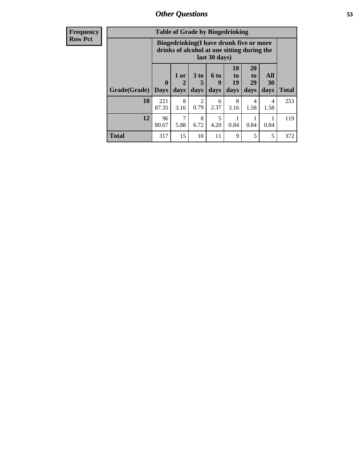| <b>Frequency</b><br><b>Row Pct</b> |                     | <b>Table of Grade by Bingedrinking</b>                                                                  |                   |                              |                             |                        |                               |                        |              |
|------------------------------------|---------------------|---------------------------------------------------------------------------------------------------------|-------------------|------------------------------|-----------------------------|------------------------|-------------------------------|------------------------|--------------|
|                                    |                     | Bingedrinking(I have drunk five or more<br>drinks of alcohol at one sitting during the<br>last 30 days) |                   |                              |                             |                        |                               |                        |              |
|                                    | Grade(Grade)   Days | $\mathbf{0}$                                                                                            | 1 or<br>2<br>days | 3 <sub>to</sub><br>5<br>days | $6 \text{ to}$<br>9<br>days | 10<br>to<br>19<br>days | <b>20</b><br>to<br>29<br>days | All<br>30<br>days      | <b>Total</b> |
|                                    | 10                  | 221<br>87.35                                                                                            | 8<br>3.16         | 2<br>0.79                    | 6<br>2.37                   | 8<br>3.16              | 4<br>1.58                     | $\overline{4}$<br>1.58 | 253          |
|                                    | 12                  | 96<br>80.67                                                                                             | 7<br>5.88         | 8<br>6.72                    | 5<br>4.20                   | 0.84                   | 0.84                          | 0.84                   | 119          |
|                                    | <b>Total</b>        | 317                                                                                                     | 15                | 10                           | 11                          | 9                      | 5                             | 5                      | 372          |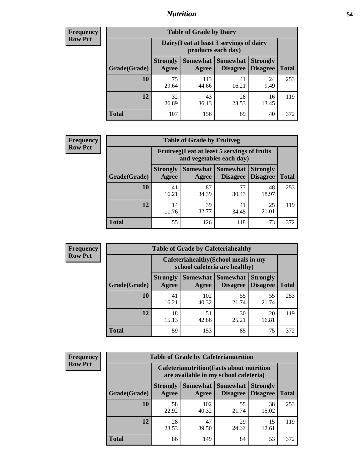## *Nutrition* **54**

| <b>Frequency</b><br>Row Pct |  |
|-----------------------------|--|
|                             |  |

|              |                                                                 | <b>Table of Grade by Dairy</b> |                             |                                    |              |
|--------------|-----------------------------------------------------------------|--------------------------------|-----------------------------|------------------------------------|--------------|
|              | Dairy (I eat at least 3 servings of dairy<br>products each day) |                                |                             |                                    |              |
| Grade(Grade) | <b>Strongly</b><br>Agree                                        | <b>Somewhat</b><br>Agree       | <b>Somewhat</b><br>Disagree | <b>Strongly</b><br><b>Disagree</b> | <b>Total</b> |
| 10           | 75<br>29.64                                                     | 113<br>44.66                   | 41<br>16.21                 | 24<br>9.49                         | 253          |
| 12           | 32<br>26.89                                                     | 43<br>36.13                    | 28<br>23.53                 | 16<br>13.45                        | 119          |
| <b>Total</b> | 107                                                             | 156                            | 69                          | 40                                 | 372          |

| <b>Frequency</b> |  |
|------------------|--|
| <b>Row Pct</b>   |  |

| <b>Table of Grade by Fruitveg</b> |                          |                                                                          |                                               |                                    |              |
|-----------------------------------|--------------------------|--------------------------------------------------------------------------|-----------------------------------------------|------------------------------------|--------------|
|                                   |                          | Fruitveg(I eat at least 5 servings of fruits<br>and vegetables each day) |                                               |                                    |              |
| Grade(Grade)                      | <b>Strongly</b><br>Agree | Agree                                                                    | <b>Somewhat   Somewhat</b><br><b>Disagree</b> | <b>Strongly</b><br><b>Disagree</b> | <b>Total</b> |
| 10                                | 41<br>16.21              | 87<br>34.39                                                              | 77<br>30.43                                   | 48<br>18.97                        | 253          |
| 12                                | 14<br>11.76              | 39<br>32.77                                                              | 41<br>34.45                                   | 25<br>21.01                        | 119          |
| <b>Total</b>                      | 55                       | 126                                                                      | 118                                           | 73                                 | 372          |

| <b>Frequency</b> | <b>Table of Grade by Cafeteriahealthy</b> |                          |                                                                       |                                    |                                    |              |
|------------------|-------------------------------------------|--------------------------|-----------------------------------------------------------------------|------------------------------------|------------------------------------|--------------|
| <b>Row Pct</b>   |                                           |                          | Cafeteriahealthy (School meals in my<br>school cafeteria are healthy) |                                    |                                    |              |
|                  | Grade(Grade)                              | <b>Strongly</b><br>Agree | Somewhat  <br>Agree                                                   | <b>Somewhat</b><br><b>Disagree</b> | <b>Strongly</b><br><b>Disagree</b> | <b>Total</b> |
|                  | 10                                        | 41<br>16.21              | 102<br>40.32                                                          | 55<br>21.74                        | 55<br>21.74                        | 253          |
|                  | 12                                        | 18<br>15.13              | 51<br>42.86                                                           | 30<br>25.21                        | 20<br>16.81                        | 119          |
|                  | Total                                     | 59                       | 153                                                                   | 85                                 | 75                                 | 372          |

| <b>Frequency</b> |
|------------------|
| <b>Row Pct</b>   |

| <b>Table of Grade by Cafeterianutrition</b> |                          |                                                                                           |                                    |                                    |              |
|---------------------------------------------|--------------------------|-------------------------------------------------------------------------------------------|------------------------------------|------------------------------------|--------------|
|                                             |                          | <b>Cafeterianutrition</b> (Facts about nutrition<br>are available in my school cafeteria) |                                    |                                    |              |
| Grade(Grade)                                | <b>Strongly</b><br>Agree | Somewhat  <br>Agree                                                                       | <b>Somewhat</b><br><b>Disagree</b> | <b>Strongly</b><br><b>Disagree</b> | <b>Total</b> |
| 10                                          | 58<br>22.92              | 102<br>40.32                                                                              | 55<br>21.74                        | 38<br>15.02                        | 253          |
| 12                                          | 28<br>23.53              | 47<br>39.50                                                                               | 29<br>24.37                        | 15<br>12.61                        | 119          |
| <b>Total</b>                                | 86                       | 149                                                                                       | 84                                 | 53                                 | 372          |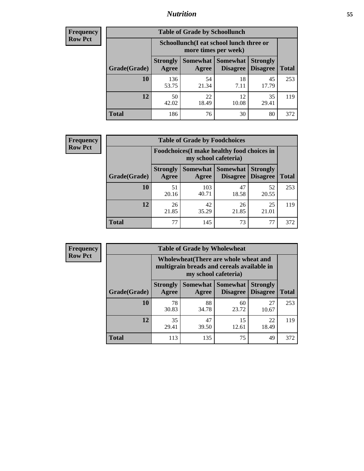## *Nutrition* **55**

| <b>Frequency</b> |
|------------------|
| <b>Row Pct</b>   |

|              |                          | <b>Table of Grade by Schoollunch</b>                            |                                 |                                    |              |
|--------------|--------------------------|-----------------------------------------------------------------|---------------------------------|------------------------------------|--------------|
|              |                          | Schoollunch(I eat school lunch three or<br>more times per week) |                                 |                                    |              |
| Grade(Grade) | <b>Strongly</b><br>Agree | Agree                                                           | Somewhat   Somewhat<br>Disagree | <b>Strongly</b><br><b>Disagree</b> | <b>Total</b> |
| 10           | 136<br>53.75             | 54<br>21.34                                                     | 18<br>7.11                      | 45<br>17.79                        | 253          |
| 12           | 50<br>42.02              | 22<br>18.49                                                     | 12<br>10.08                     | 35<br>29.41                        | 119          |
| <b>Total</b> | 186                      | 76                                                              | 30                              | 80                                 | 372          |

| <b>Frequency</b> |  |
|------------------|--|
| <b>Row Pct</b>   |  |

|              |                                                                     | <b>Table of Grade by Foodchoices</b> |                             |                                    |              |
|--------------|---------------------------------------------------------------------|--------------------------------------|-----------------------------|------------------------------------|--------------|
|              | Foodchoices (I make healthy food choices in<br>my school cafeteria) |                                      |                             |                                    |              |
| Grade(Grade) | <b>Strongly</b><br>Agree                                            | Somewhat  <br>Agree                  | <b>Somewhat</b><br>Disagree | <b>Strongly</b><br><b>Disagree</b> | <b>Total</b> |
| 10           | 51<br>20.16                                                         | 103<br>40.71                         | 47<br>18.58                 | 52<br>20.55                        | 253          |
| 12           | 26<br>21.85                                                         | 42<br>35.29                          | 26<br>21.85                 | 25<br>21.01                        | 119          |
| <b>Total</b> | 77                                                                  | 145                                  | 73                          | 77                                 | 372          |

| <b>Frequency</b><br><b>Row Pct</b> |
|------------------------------------|
|                                    |

| <b>Table of Grade by Wholewheat</b> |                          |                                                                                                             |                                   |                                    |              |  |
|-------------------------------------|--------------------------|-------------------------------------------------------------------------------------------------------------|-----------------------------------|------------------------------------|--------------|--|
|                                     |                          | Wholewheat (There are whole wheat and<br>multigrain breads and cereals available in<br>my school cafeteria) |                                   |                                    |              |  |
| Grade(Grade)                        | <b>Strongly</b><br>Agree | Agree                                                                                                       | Somewhat   Somewhat  <br>Disagree | <b>Strongly</b><br><b>Disagree</b> | <b>Total</b> |  |
| 10                                  | 78<br>30.83              | 88<br>34.78                                                                                                 | 60<br>23.72                       | 27<br>10.67                        | 253          |  |
| 12                                  | 35<br>29.41              | 47<br>39.50                                                                                                 | 15<br>12.61                       | 22<br>18.49                        | 119          |  |
| <b>Total</b>                        | 113                      | 135                                                                                                         | 75                                | 49                                 | 372          |  |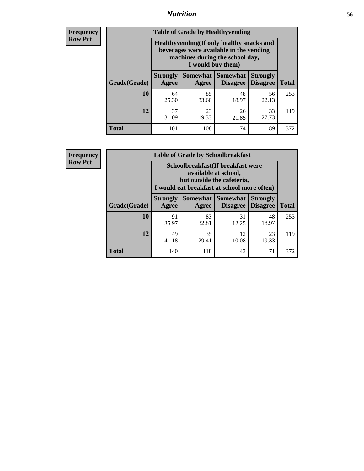## *Nutrition* **56**

**Frequency Row Pct**

| <b>Table of Grade by Healthyvending</b> |                                                                                                                                               |                          |                                    |                                    |              |  |  |
|-----------------------------------------|-----------------------------------------------------------------------------------------------------------------------------------------------|--------------------------|------------------------------------|------------------------------------|--------------|--|--|
|                                         | Healthyvending (If only healthy snacks and<br>beverages were available in the vending<br>machines during the school day,<br>I would buy them) |                          |                                    |                                    |              |  |  |
| Grade(Grade)                            | <b>Strongly</b><br>Agree                                                                                                                      | <b>Somewhat</b><br>Agree | <b>Somewhat</b><br><b>Disagree</b> | <b>Strongly</b><br><b>Disagree</b> | <b>Total</b> |  |  |
| 10                                      | 64<br>25.30                                                                                                                                   | 85<br>33.60              | 48<br>18.97                        | 56<br>22.13                        | 253          |  |  |
| 12                                      | 37<br>31.09                                                                                                                                   | 23<br>19.33              | 26<br>21.85                        | 33<br>27.73                        | 119          |  |  |
| <b>Total</b>                            | 101                                                                                                                                           | 108                      | 74                                 | 89                                 | 372          |  |  |

**Frequency Row Pct**

| <b>Table of Grade by Schoolbreakfast</b> |                                                                                                                                         |             |                                        |                                    |              |  |
|------------------------------------------|-----------------------------------------------------------------------------------------------------------------------------------------|-------------|----------------------------------------|------------------------------------|--------------|--|
|                                          | Schoolbreakfast (If breakfast were<br>available at school,<br>but outside the cafeteria,<br>I would eat breakfast at school more often) |             |                                        |                                    |              |  |
| Grade(Grade)                             | <b>Strongly</b><br>Agree                                                                                                                | Agree       | Somewhat   Somewhat<br><b>Disagree</b> | <b>Strongly</b><br><b>Disagree</b> | <b>Total</b> |  |
| 10                                       | 91<br>35.97                                                                                                                             | 83<br>32.81 | 31<br>12.25                            | 48<br>18.97                        | 253          |  |
| 12                                       | 49<br>41.18                                                                                                                             | 35<br>29.41 | 12<br>10.08                            | 23<br>19.33                        | 119          |  |
| <b>Total</b>                             | 140                                                                                                                                     | 118         | 43                                     | 71                                 | 372          |  |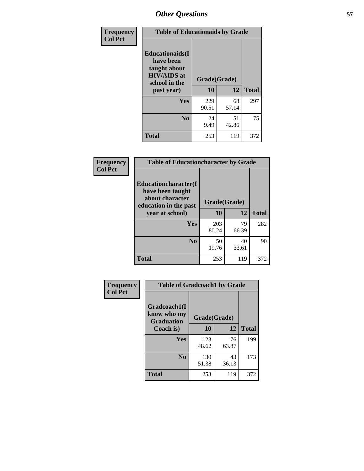| Frequency<br><b>Col Pct</b> | <b>Table of Educationaids by Grade</b>                                                                    |                    |             |              |  |
|-----------------------------|-----------------------------------------------------------------------------------------------------------|--------------------|-------------|--------------|--|
|                             | <b>Educationaids</b> (I<br>have been<br>taught about<br><b>HIV/AIDS</b> at<br>school in the<br>past year) | Grade(Grade)<br>10 | 12          | <b>Total</b> |  |
|                             | Yes                                                                                                       | 229<br>90.51       | 68<br>57.14 | 297          |  |
|                             | N <sub>0</sub>                                                                                            | 24<br>9.49         | 51<br>42.86 | 75           |  |
|                             | <b>Total</b>                                                                                              | 253                | 119         | 372          |  |

| Frequency      | <b>Table of Educationcharacter by Grade</b> |              |       |              |  |  |
|----------------|---------------------------------------------|--------------|-------|--------------|--|--|
| <b>Col Pct</b> | Educationcharacter(I<br>have been taught    |              |       |              |  |  |
|                | about character<br>education in the past    | Grade(Grade) |       |              |  |  |
|                | year at school)                             | 10           | 12    | <b>Total</b> |  |  |
|                | Yes                                         | 203          | 79    | 282          |  |  |
|                |                                             | 80.24        | 66.39 |              |  |  |
|                | N <sub>0</sub>                              | 50           | 40    | 90           |  |  |
|                |                                             | 19.76        | 33.61 |              |  |  |
|                | <b>Total</b>                                | 253          | 119   | 372          |  |  |

| Frequency      | <b>Table of Gradcoach1 by Grade</b>              |              |             |              |
|----------------|--------------------------------------------------|--------------|-------------|--------------|
| <b>Col Pct</b> | Gradcoach1(I<br>know who my<br><b>Graduation</b> | Grade(Grade) |             |              |
|                | Coach is)                                        | 10           | 12          | <b>Total</b> |
|                | Yes                                              | 123<br>48.62 | 76<br>63.87 | 199          |
|                | N <sub>0</sub>                                   | 130<br>51.38 | 43<br>36.13 | 173          |
|                | <b>Total</b>                                     | 253          | 119         | 372          |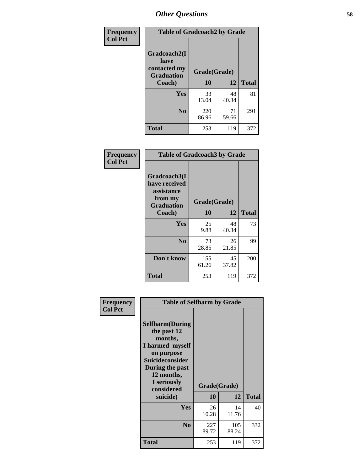| Frequency      | <b>Table of Gradcoach2 by Grade</b>       |              |              |              |  |
|----------------|-------------------------------------------|--------------|--------------|--------------|--|
| <b>Col Pct</b> |                                           |              |              |              |  |
|                | Gradcoach2(I                              |              |              |              |  |
|                | have<br>contacted my<br><b>Graduation</b> |              | Grade(Grade) |              |  |
|                | Coach)                                    | 10           | 12           | <b>Total</b> |  |
|                | Yes                                       | 33<br>13.04  | 48<br>40.34  | 81           |  |
|                | N <sub>0</sub>                            | 220<br>86.96 | 71<br>59.66  | 291          |  |
|                | <b>Total</b>                              | 253          | 119          | 372          |  |

| Frequency<br><b>Col Pct</b> | <b>Table of Gradcoach3 by Grade</b>                                         |              |             |              |
|-----------------------------|-----------------------------------------------------------------------------|--------------|-------------|--------------|
|                             | Gradcoach3(I<br>have received<br>assistance<br>from my<br><b>Graduation</b> | Grade(Grade) |             |              |
|                             | Coach)                                                                      | 10           | 12          | <b>Total</b> |
|                             | Yes                                                                         | 25<br>9.88   | 48<br>40.34 | 73           |
|                             | N <sub>0</sub>                                                              | 73<br>28.85  | 26<br>21.85 | 99           |
|                             | Don't know                                                                  | 155<br>61.26 | 45<br>37.82 | 200          |
|                             | <b>Total</b>                                                                | 253          | 119         | 372          |

| Frequency      | <b>Table of Selfharm by Grade</b>                                                                                                                                                      |              |                    |              |  |
|----------------|----------------------------------------------------------------------------------------------------------------------------------------------------------------------------------------|--------------|--------------------|--------------|--|
| <b>Col Pct</b> | <b>Selfharm</b> (During<br>the past 12<br>months,<br>I harmed myself<br>on purpose<br><b>Suicideconsider</b><br>During the past<br>12 months,<br>I seriously<br>considered<br>suicide) | 10           | Grade(Grade)<br>12 | <b>Total</b> |  |
|                | Yes                                                                                                                                                                                    | 26<br>10.28  | 14<br>11.76        | 40           |  |
|                | N <sub>0</sub>                                                                                                                                                                         | 227<br>89.72 | 105<br>88.24       | 332          |  |
|                | Total                                                                                                                                                                                  | 253          | 119                | 372          |  |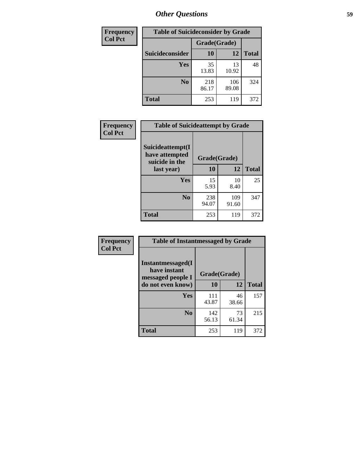| <b>Frequency</b> |                 |              | <b>Table of Suicideconsider by Grade</b> |              |  |
|------------------|-----------------|--------------|------------------------------------------|--------------|--|
| <b>Col Pct</b>   |                 | Grade(Grade) |                                          |              |  |
|                  | Suicideconsider | <b>10</b>    | 12                                       | <b>Total</b> |  |
|                  | Yes             | 35<br>13.83  | 13<br>10.92                              | 48           |  |
|                  | N <sub>0</sub>  | 218<br>86.17 | 106<br>89.08                             | 324          |  |
|                  | Total           | 253          | 119                                      | 372          |  |

| Frequency      | <b>Table of Suicideattempt by Grade</b>                            |              |              |              |
|----------------|--------------------------------------------------------------------|--------------|--------------|--------------|
| <b>Col Pct</b> | Suicideattempt(I<br>have attempted<br>suicide in the<br>last year) | Grade(Grade) |              |              |
|                |                                                                    | 10           | 12           | <b>Total</b> |
|                | Yes                                                                | 15<br>5.93   | 10<br>8.40   | 25           |
|                | N <sub>0</sub>                                                     | 238<br>94.07 | 109<br>91.60 | 347          |
|                | <b>Total</b>                                                       | 253          | 119          | 372          |

| Frequency      | <b>Table of Instantmessaged by Grade</b>                       |              |             |              |  |
|----------------|----------------------------------------------------------------|--------------|-------------|--------------|--|
| <b>Col Pct</b> | <b>Instantmessaged</b> (I<br>have instant<br>messaged people I | Grade(Grade) |             |              |  |
|                | do not even know)                                              | 10           | 12          | <b>Total</b> |  |
|                | Yes                                                            | 111<br>43.87 | 46<br>38.66 | 157          |  |
|                | N <sub>0</sub>                                                 | 142<br>56.13 | 73<br>61.34 | 215          |  |
|                | <b>Total</b>                                                   | 253          | 119         | 372          |  |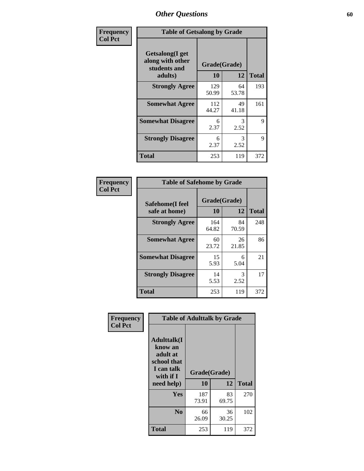| Frequency      | <b>Table of Getsalong by Grade</b>                          |                    |             |              |  |  |  |
|----------------|-------------------------------------------------------------|--------------------|-------------|--------------|--|--|--|
| <b>Col Pct</b> | <b>Getsalong</b> (I get<br>along with other<br>students and | Grade(Grade)<br>10 |             | <b>Total</b> |  |  |  |
|                | adults)                                                     |                    | 12          |              |  |  |  |
|                | <b>Strongly Agree</b>                                       | 129<br>50.99       | 64<br>53.78 | 193          |  |  |  |
|                | <b>Somewhat Agree</b>                                       | 112<br>44.27       | 49<br>41.18 | 161          |  |  |  |
|                | <b>Somewhat Disagree</b>                                    | 6<br>2.37          | 3<br>2.52   | 9            |  |  |  |
|                | <b>Strongly Disagree</b>                                    | 6<br>2.37          | 3<br>2.52   | 9            |  |  |  |
|                | <b>Total</b>                                                | 253                | 119         | 372          |  |  |  |

| Frequency      | <b>Table of Safehome by Grade</b> |                           |             |              |  |  |  |
|----------------|-----------------------------------|---------------------------|-------------|--------------|--|--|--|
| <b>Col Pct</b> | Safehome(I feel<br>safe at home)  | Grade(Grade)<br><b>10</b> | 12          | <b>Total</b> |  |  |  |
|                | <b>Strongly Agree</b>             | 164<br>64.82              | 84<br>70.59 | 248          |  |  |  |
|                | <b>Somewhat Agree</b>             | 60<br>23.72               | 26<br>21.85 | 86           |  |  |  |
|                | <b>Somewhat Disagree</b>          | 15<br>5.93                | 6<br>5.04   | 21           |  |  |  |
|                | <b>Strongly Disagree</b>          | 14<br>5.53                | 3<br>2.52   | 17           |  |  |  |
|                | <b>Total</b>                      | 253                       | 119         | 372          |  |  |  |

| Frequency      | <b>Table of Adulttalk by Grade</b>                                                  |              |             |              |  |  |  |
|----------------|-------------------------------------------------------------------------------------|--------------|-------------|--------------|--|--|--|
| <b>Col Pct</b> | <b>Adulttalk(I</b><br>know an<br>adult at<br>school that<br>I can talk<br>with if I | Grade(Grade) |             |              |  |  |  |
|                | need help)                                                                          | 10           | 12          | <b>Total</b> |  |  |  |
|                | Yes                                                                                 | 187<br>73.91 | 83<br>69.75 | 270          |  |  |  |
|                | N <sub>0</sub>                                                                      | 66<br>26.09  | 36<br>30.25 | 102          |  |  |  |
|                | <b>Total</b>                                                                        | 253          | 119         | 372          |  |  |  |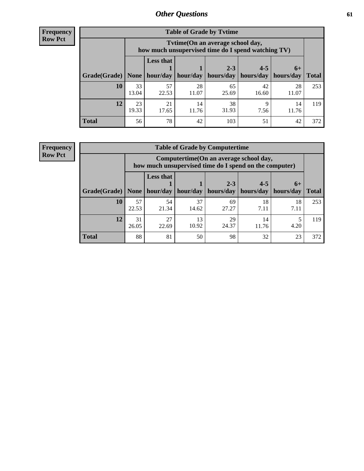**Frequency Row Pct**

r

| <b>Table of Grade by Tytime</b> |             |                                                                                         |             |             |             |             |              |  |  |  |
|---------------------------------|-------------|-----------------------------------------------------------------------------------------|-------------|-------------|-------------|-------------|--------------|--|--|--|
|                                 |             | Tytime (On an average school day,<br>how much unsupervised time do I spend watching TV) |             |             |             |             |              |  |  |  |
|                                 |             | <b>Less that</b>                                                                        |             | $2 - 3$     | $4 - 5$     | $6+$        |              |  |  |  |
| Grade(Grade)                    | None        | hour/day                                                                                | hour/day    | hours/day   | hours/day   | hours/day   | <b>Total</b> |  |  |  |
| 10                              | 33<br>13.04 | 57<br>22.53                                                                             | 28<br>11.07 | 65<br>25.69 | 42<br>16.60 | 28<br>11.07 | 253          |  |  |  |
| 12                              | 23<br>19.33 | 21<br>17.65                                                                             | 14<br>11.76 | 38<br>31.93 | 7.56        | 14<br>11.76 | 119          |  |  |  |
| <b>Total</b>                    | 56          | 78                                                                                      | 42          | 103         | 51          | 42          | 372          |  |  |  |

**Frequency Row Pct**

| <b>Table of Grade by Computertime</b> |             |                                                                                                   |             |                      |                      |                   |              |  |  |  |
|---------------------------------------|-------------|---------------------------------------------------------------------------------------------------|-------------|----------------------|----------------------|-------------------|--------------|--|--|--|
|                                       |             | Computertime (On an average school day,<br>how much unsupervised time do I spend on the computer) |             |                      |                      |                   |              |  |  |  |
| Grade(Grade)                          | None        | <b>Less that</b><br>hour/day                                                                      | hour/day    | $2 - 3$<br>hours/day | $4 - 5$<br>hours/day | $6+$<br>hours/day | <b>Total</b> |  |  |  |
| 10                                    | 57<br>22.53 | 54<br>21.34                                                                                       | 37<br>14.62 | 69<br>27.27          | 18<br>7.11           | 18<br>7.11        | 253          |  |  |  |
| 12                                    | 31<br>26.05 | 27<br>13<br>29<br>14<br>10.92<br>24.37<br>4.20<br>22.69<br>11.76                                  |             |                      |                      |                   |              |  |  |  |
| <b>Total</b>                          | 88          | 81                                                                                                | 50          | 98                   | 32                   | 23                | 372          |  |  |  |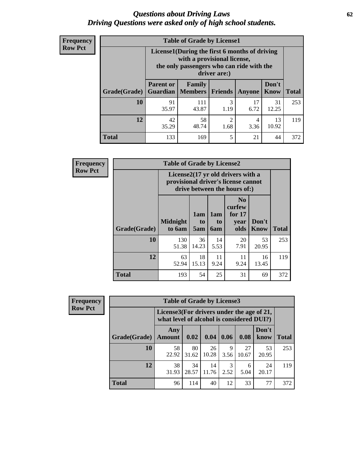#### *Questions about Driving Laws* **62** *Driving Questions were asked only of high school students.*

| <b>Frequency</b> |
|------------------|
| <b>Row Pct</b>   |

| <b>Table of Grade by License1</b> |                  |                                                                                                                                           |           |            |               |              |  |  |  |  |
|-----------------------------------|------------------|-------------------------------------------------------------------------------------------------------------------------------------------|-----------|------------|---------------|--------------|--|--|--|--|
|                                   |                  | License1(During the first 6 months of driving<br>with a provisional license,<br>the only passengers who can ride with the<br>driver are:) |           |            |               |              |  |  |  |  |
| Grade(Grade)                      | <b>Parent or</b> | Family<br><b>Guardian</b>   Members                                                                                                       | Friends   | Anyone     | Don't<br>Know | <b>Total</b> |  |  |  |  |
| 10                                | 91<br>35.97      | 111<br>43.87                                                                                                                              | 3<br>1.19 | 17<br>6.72 | 31<br>12.25   | 253          |  |  |  |  |
| 12                                | 42<br>35.29      | 58<br>2<br>13<br>4<br>10.92<br>48.74<br>1.68<br>3.36                                                                                      |           |            |               |              |  |  |  |  |
| <b>Total</b>                      | 133              | 169                                                                                                                                       | 5         | 21         | 44            | 372          |  |  |  |  |

| Frequency      |              | <b>Table of Grade by License2</b>                                                                        |                  |                  |                                                      |                      |              |  |
|----------------|--------------|----------------------------------------------------------------------------------------------------------|------------------|------------------|------------------------------------------------------|----------------------|--------------|--|
| <b>Row Pct</b> |              | License2(17 yr old drivers with a<br>provisional driver's license cannot<br>drive between the hours of:) |                  |                  |                                                      |                      |              |  |
|                | Grade(Grade) | <b>Midnight</b><br>to 6am                                                                                | 1am<br>to<br>5am | 1am<br>to<br>6am | N <sub>0</sub><br>curfew<br>for $17$<br>year<br>olds | Don't<br><b>Know</b> | <b>Total</b> |  |
|                | 10           | 130<br>51.38                                                                                             | 36<br>14.23      | 14<br>5.53       | 20<br>7.91                                           | 53<br>20.95          | 253          |  |
|                | 12           | 63<br>52.94                                                                                              | 18<br>15.13      | 11<br>9.24       | 11<br>9.24                                           | 16<br>13.45          | 119          |  |
|                | <b>Total</b> | 193                                                                                                      | 54               | 25               | 31                                                   | 69                   | 372          |  |

| Frequency      |              | <b>Table of Grade by License3</b> |                                                                                        |             |           |             |               |              |  |  |
|----------------|--------------|-----------------------------------|----------------------------------------------------------------------------------------|-------------|-----------|-------------|---------------|--------------|--|--|
| <b>Row Pct</b> |              |                                   | License3(For drivers under the age of 21,<br>what level of alcohol is considered DUI?) |             |           |             |               |              |  |  |
|                | Grade(Grade) | Any<br><b>Amount</b>              | 0.02                                                                                   | 0.04        | 0.06      | 0.08        | Don't<br>know | <b>Total</b> |  |  |
|                | 10           | 58<br>22.92                       | 80<br>31.62                                                                            | 26<br>10.28 | 9<br>3.56 | 27<br>10.67 | 53<br>20.95   | 253          |  |  |
|                | 12           | 38<br>31.93                       | 34<br>28.57                                                                            | 14<br>11.76 | 3<br>2.52 | 6<br>5.04   | 24<br>20.17   | 119          |  |  |
|                | <b>Total</b> | 96                                | 114                                                                                    | 40          | 12        | 33          | 77            | 372          |  |  |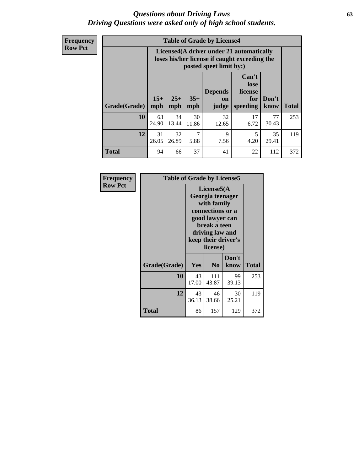#### *Questions about Driving Laws* **63** *Driving Questions were asked only of high school students.*

**Frequency Row Pct**

| <b>Table of Grade by License4</b> |             |                                                                                                                                                                                                                                                                                |             |             |            |             |     |  |  |
|-----------------------------------|-------------|--------------------------------------------------------------------------------------------------------------------------------------------------------------------------------------------------------------------------------------------------------------------------------|-------------|-------------|------------|-------------|-----|--|--|
|                                   |             | License4(A driver under 21 automatically<br>loses his/her license if caught exceeding the<br>posted speet limit by:)<br>Can't<br>lose<br>license<br><b>Depends</b><br>$15+$<br>$25+$<br>$35+$<br>Don't<br>for<br>on<br><b>Total</b><br>mph<br>speeding<br>know<br>mph<br>judge |             |             |            |             |     |  |  |
| Grade(Grade)                      | mph         |                                                                                                                                                                                                                                                                                |             |             |            |             |     |  |  |
| 10                                | 63<br>24.90 | 34<br>13.44                                                                                                                                                                                                                                                                    | 30<br>11.86 | 32<br>12.65 | 17<br>6.72 | 77<br>30.43 | 253 |  |  |
| 12                                | 31<br>26.05 | 7<br>32<br>9<br>5<br>35<br>26.89<br>5.88<br>4.20<br>7.56<br>29.41                                                                                                                                                                                                              |             |             |            |             |     |  |  |
| <b>Total</b>                      | 94          | 66                                                                                                                                                                                                                                                                             | 37          | 41          | 22         | 112         | 372 |  |  |

| Frequency      | <b>Table of Grade by License5</b> |             |                                                                                                                                      |                     |       |
|----------------|-----------------------------------|-------------|--------------------------------------------------------------------------------------------------------------------------------------|---------------------|-------|
| <b>Row Pct</b> |                                   |             | License5(A)<br>Georgia teenager<br>with family<br>connections or a<br>good lawyer can<br>break a teen<br>driving law and<br>license) | keep their driver's |       |
|                | Grade(Grade)                      | <b>Yes</b>  | N <sub>0</sub>                                                                                                                       | Don't<br>know       | Total |
|                | 10                                | 43<br>17.00 | 111<br>43.87                                                                                                                         | 99<br>39.13         | 253   |
|                | 12                                | 43<br>36.13 | 46<br>38.66                                                                                                                          | 30<br>25.21         | 119   |
|                | <b>Total</b>                      | 86          | 157                                                                                                                                  | 129                 | 372   |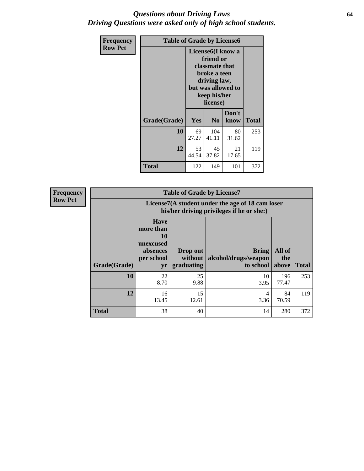#### *Questions about Driving Laws* **64** *Driving Questions were asked only of high school students.*

| <b>Frequency</b> | <b>Table of Grade by License6</b> |                                                                                                                                                 |                |               |              |
|------------------|-----------------------------------|-------------------------------------------------------------------------------------------------------------------------------------------------|----------------|---------------|--------------|
| <b>Row Pct</b>   |                                   | License <sub>6</sub> (I know a<br>friend or<br>classmate that<br>broke a teen<br>driving law,<br>but was allowed to<br>keep his/her<br>license) |                |               |              |
|                  | Grade(Grade)                      | <b>Yes</b>                                                                                                                                      | N <sub>0</sub> | Don't<br>know | <b>Total</b> |
|                  | 10                                | 69<br>27.27                                                                                                                                     | 104<br>41.11   | 80<br>31.62   | 253          |
|                  | 12                                | 21<br>53<br>45<br>37.82<br>44.54<br>17.65                                                                                                       |                |               | 119          |
|                  | Total                             | 122                                                                                                                                             | 149            | 101           | 372          |

| <b>Frequency</b> | <b>Table of Grade by License7</b> |                                                                             |                                                                                               |                                                   |                        |              |  |
|------------------|-----------------------------------|-----------------------------------------------------------------------------|-----------------------------------------------------------------------------------------------|---------------------------------------------------|------------------------|--------------|--|
| <b>Row Pct</b>   |                                   |                                                                             | License7(A student under the age of 18 cam loser<br>his/her driving privileges if he or she:) |                                                   |                        |              |  |
|                  | Grade(Grade)                      | <b>Have</b><br>more than<br>10<br>unexcused<br>absences<br>per school<br>yr | Drop out<br>without  <br>graduating                                                           | <b>Bring</b><br>alcohol/drugs/weapon<br>to school | All of<br>the<br>above | <b>Total</b> |  |
|                  | 10                                | 22<br>8.70                                                                  | 25<br>9.88                                                                                    | 10<br>3.95                                        | 196<br>77.47           | 253          |  |
|                  | 12                                | 16<br>13.45                                                                 | 15<br>12.61                                                                                   | 4<br>3.36                                         | 84<br>70.59            | 119          |  |
|                  | <b>Total</b>                      | 38                                                                          | 40                                                                                            | 14                                                | 280                    | 372          |  |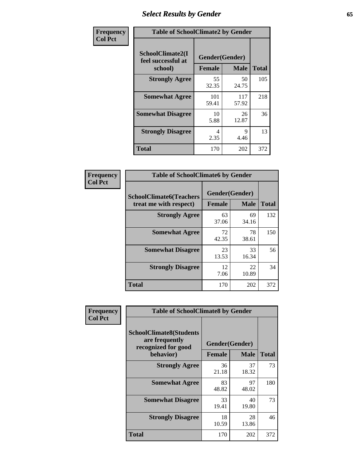# *Select Results by Gender* **65**

| Frequency      | <b>Table of SchoolClimate2 by Gender</b>          |                                 |              |              |
|----------------|---------------------------------------------------|---------------------------------|--------------|--------------|
| <b>Col Pct</b> | SchoolClimate2(I<br>feel successful at<br>school) | Gender(Gender)<br><b>Female</b> | <b>Male</b>  | <b>Total</b> |
|                | <b>Strongly Agree</b>                             | 55<br>32.35                     | 50<br>24.75  | 105          |
|                | <b>Somewhat Agree</b>                             | 101<br>59.41                    | 117<br>57.92 | 218          |
|                | <b>Somewhat Disagree</b>                          | 10<br>5.88                      | 26<br>12.87  | 36           |
|                | <b>Strongly Disagree</b>                          | 4<br>2.35                       | 9<br>4.46    | 13           |
|                | <b>Total</b>                                      | 170                             | 202          | 372          |

| <b>Frequency</b> | <b>Table of SchoolClimate6 by Gender</b>                 |                                 |              |     |  |
|------------------|----------------------------------------------------------|---------------------------------|--------------|-----|--|
| <b>Col Pct</b>   | <b>SchoolClimate6(Teachers</b><br>treat me with respect) | Gender(Gender)<br><b>Female</b> | <b>Total</b> |     |  |
|                  | <b>Strongly Agree</b>                                    | 63<br>37.06                     | 69<br>34.16  | 132 |  |
|                  | <b>Somewhat Agree</b>                                    | 72<br>42.35                     | 78<br>38.61  | 150 |  |
|                  | <b>Somewhat Disagree</b>                                 | 23<br>13.53                     | 33<br>16.34  | 56  |  |
|                  | <b>Strongly Disagree</b>                                 | 12<br>7.06                      | 22<br>10.89  | 34  |  |
|                  | <b>Total</b>                                             | 170                             | 202          | 372 |  |

| Frequency      | <b>Table of SchoolClimate8 by Gender</b>                                             |                                 |             |              |
|----------------|--------------------------------------------------------------------------------------|---------------------------------|-------------|--------------|
| <b>Col Pct</b> | <b>SchoolClimate8(Students</b><br>are frequently<br>recognized for good<br>behavior) | Gender(Gender)<br><b>Female</b> | <b>Male</b> | <b>Total</b> |
|                | <b>Strongly Agree</b>                                                                | 36<br>21.18                     | 37<br>18.32 | 73           |
|                | <b>Somewhat Agree</b>                                                                | 83<br>48.82                     | 97<br>48.02 | 180          |
|                | <b>Somewhat Disagree</b>                                                             | 33<br>19.41                     | 40<br>19.80 | 73           |
|                | <b>Strongly Disagree</b>                                                             | 18<br>10.59                     | 28<br>13.86 | 46           |
|                | Total                                                                                | 170                             | 202         | 372          |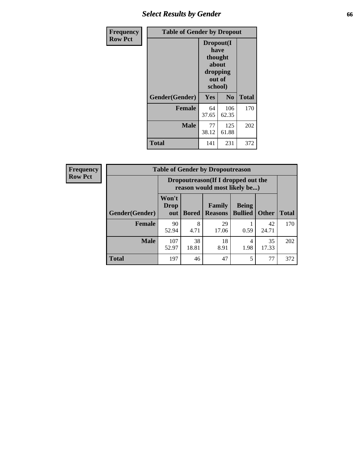# *Select Results by Gender* **66**

| Frequency      | <b>Table of Gender by Dropout</b> |                                                                        |                |              |
|----------------|-----------------------------------|------------------------------------------------------------------------|----------------|--------------|
| <b>Row Pct</b> |                                   | Dropout(I<br>have<br>thought<br>about<br>dropping<br>out of<br>school) |                |              |
|                | Gender(Gender)                    | Yes                                                                    | N <sub>0</sub> | <b>Total</b> |
|                | <b>Female</b>                     | 64<br>37.65                                                            | 106<br>62.35   | 170          |
|                | <b>Male</b>                       | 77<br>38.12                                                            | 125<br>61.88   | 202          |
|                | <b>Total</b>                      | 141                                                                    | 231            | 372          |

| <b>Frequency</b> | <b>Table of Gender by Dropoutreason</b> |                                                                    |              |                                 |                                |              |              |
|------------------|-----------------------------------------|--------------------------------------------------------------------|--------------|---------------------------------|--------------------------------|--------------|--------------|
| <b>Row Pct</b>   |                                         | Dropoutreason(If I dropped out the<br>reason would most likely be) |              |                                 |                                |              |              |
|                  | Gender(Gender)                          | Won't<br>Drop<br>out                                               | <b>Bored</b> | <b>Family</b><br><b>Reasons</b> | <b>Being</b><br><b>Bullied</b> | <b>Other</b> | <b>Total</b> |
|                  | <b>Female</b>                           | 90<br>52.94                                                        | 8<br>4.71    | 29<br>17.06                     | 0.59                           | 42<br>24.71  | 170          |
|                  | <b>Male</b>                             | 107<br>52.97                                                       | 38<br>18.81  | 18<br>8.91                      | 4<br>1.98                      | 35<br>17.33  | 202          |
|                  | <b>Total</b>                            | 197                                                                | 46           | 47                              | 5                              | 77           | 372          |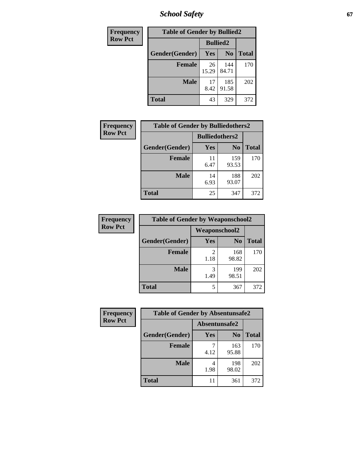*School Safety* **67**

| Frequency      | <b>Table of Gender by Bullied2</b> |                 |                |              |
|----------------|------------------------------------|-----------------|----------------|--------------|
| <b>Row Pct</b> |                                    | <b>Bullied2</b> |                |              |
|                | Gender(Gender)                     | <b>Yes</b>      | N <sub>0</sub> | <b>Total</b> |
|                | <b>Female</b>                      | 26<br>15.29     | 144<br>84.71   | 170          |
|                | <b>Male</b>                        | 17<br>8.42      | 185<br>91.58   | 202          |
|                | <b>Total</b>                       | 43              | 329            | 372          |

| <b>Frequency</b> | <b>Table of Gender by Bulliedothers2</b> |                       |                |       |
|------------------|------------------------------------------|-----------------------|----------------|-------|
| <b>Row Pct</b>   |                                          | <b>Bulliedothers2</b> |                |       |
|                  | Gender(Gender)                           | <b>Yes</b>            | N <sub>0</sub> | Total |
|                  | <b>Female</b>                            | 11<br>6.47            | 159<br>93.53   | 170   |
|                  | <b>Male</b>                              | 14<br>6.93            | 188<br>93.07   | 202   |
|                  | <b>Total</b>                             | 25                    | 347            | 372   |

| Frequency      | <b>Table of Gender by Weaponschool2</b> |                      |                |              |
|----------------|-----------------------------------------|----------------------|----------------|--------------|
| <b>Row Pct</b> |                                         | <b>Weaponschool2</b> |                |              |
|                | Gender(Gender)                          | Yes                  | N <sub>0</sub> | <b>Total</b> |
|                | <b>Female</b>                           | 1.18                 | 168<br>98.82   | 170          |
|                | <b>Male</b>                             | 3<br>1.49            | 199<br>98.51   | 202          |
|                | <b>Total</b>                            | 5                    | 367            | 372          |

| Frequency      | <b>Table of Gender by Absentunsafe2</b> |               |                |              |
|----------------|-----------------------------------------|---------------|----------------|--------------|
| <b>Row Pct</b> |                                         | Absentunsafe2 |                |              |
|                | Gender(Gender)                          | Yes           | N <sub>0</sub> | <b>Total</b> |
|                | <b>Female</b>                           | 4.12          | 163<br>95.88   | 170          |
|                | <b>Male</b>                             | 1.98          | 198<br>98.02   | 202          |
|                | <b>Total</b>                            | 11            | 361            | 372          |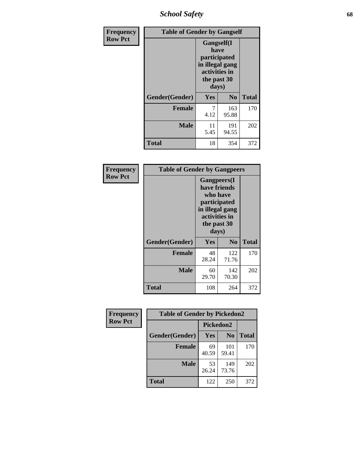*School Safety* **68**

| Frequency      | <b>Table of Gender by Gangself</b> |                                                                                                |              |              |
|----------------|------------------------------------|------------------------------------------------------------------------------------------------|--------------|--------------|
| <b>Row Pct</b> |                                    | Gangself(I<br>have<br>participated<br>in illegal gang<br>activities in<br>the past 30<br>days) |              |              |
|                | Gender(Gender)                     | Yes                                                                                            | No           | <b>Total</b> |
|                | <b>Female</b>                      | 7<br>4.12                                                                                      | 163<br>95.88 | 170          |
|                | <b>Male</b>                        | 11<br>5.45                                                                                     | 191<br>94.55 | 202          |
|                | <b>Total</b>                       | 18                                                                                             | 354          | 372          |

| Frequency      | <b>Table of Gender by Gangpeers</b> |                                                                                                                             |                |              |  |
|----------------|-------------------------------------|-----------------------------------------------------------------------------------------------------------------------------|----------------|--------------|--|
| <b>Row Pct</b> |                                     | <b>Gangpeers</b> (I<br>have friends<br>who have<br>participated<br>in illegal gang<br>activities in<br>the past 30<br>days) |                |              |  |
|                | Gender(Gender)                      | Yes                                                                                                                         | N <sub>0</sub> | <b>Total</b> |  |
|                | <b>Female</b>                       | 48<br>28.24                                                                                                                 | 122<br>71.76   | 170          |  |
|                | <b>Male</b>                         | 60<br>29.70                                                                                                                 | 142<br>70.30   | 202          |  |
|                | <b>Total</b>                        | 108                                                                                                                         | 264            | 372          |  |

| Frequency      | <b>Table of Gender by Pickedon2</b> |             |                |              |
|----------------|-------------------------------------|-------------|----------------|--------------|
| <b>Row Pct</b> |                                     | Pickedon2   |                |              |
|                | Gender(Gender)                      | Yes         | N <sub>0</sub> | <b>Total</b> |
|                | <b>Female</b>                       | 69<br>40.59 | 101<br>59.41   | 170          |
|                | <b>Male</b>                         | 53<br>26.24 | 149<br>73.76   | 202          |
|                | <b>Total</b>                        | 122         | 250            | 372          |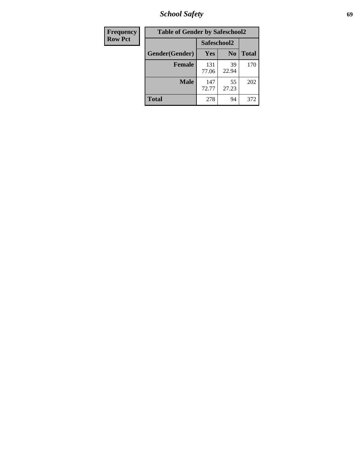*School Safety* **69**

| Frequency      | <b>Table of Gender by Safeschool2</b> |              |                |              |
|----------------|---------------------------------------|--------------|----------------|--------------|
| <b>Row Pct</b> |                                       | Safeschool2  |                |              |
|                | Gender(Gender)                        | Yes          | N <sub>0</sub> | <b>Total</b> |
|                | <b>Female</b>                         | 131<br>77.06 | 39<br>22.94    | 170          |
|                | Male                                  | 147<br>72.77 | 55<br>27.23    | 202          |
|                | <b>Total</b>                          | 278          | 94             | 372          |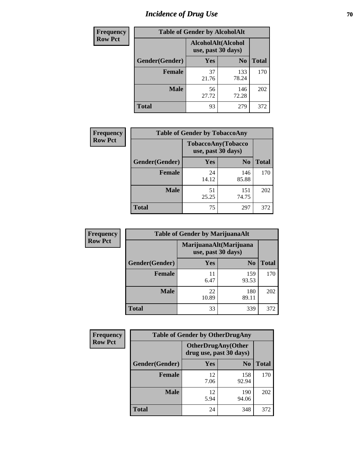# *Incidence of Drug Use* **70**

| Frequency      |                | <b>Table of Gender by AlcoholAlt</b>     |                |              |
|----------------|----------------|------------------------------------------|----------------|--------------|
| <b>Row Pct</b> |                | AlcoholAlt(Alcohol<br>use, past 30 days) |                |              |
|                | Gender(Gender) | Yes                                      | N <sub>0</sub> | <b>Total</b> |
|                | <b>Female</b>  | 37<br>21.76                              | 133<br>78.24   | 170          |
|                | <b>Male</b>    | 56<br>27.72                              | 146<br>72.28   | 202          |
|                | <b>Total</b>   | 93                                       | 279            | 372          |

| <b>Frequency</b> | <b>Table of Gender by TobaccoAny</b> |                                          |                |              |
|------------------|--------------------------------------|------------------------------------------|----------------|--------------|
| <b>Row Pct</b>   |                                      | TobaccoAny(Tobacco<br>use, past 30 days) |                |              |
|                  | Gender(Gender)                       | Yes                                      | N <sub>0</sub> | <b>Total</b> |
|                  | <b>Female</b>                        | 24<br>14.12                              | 146<br>85.88   | 170          |
|                  | <b>Male</b>                          | 51<br>25.25                              | 151<br>74.75   | 202          |
|                  | <b>Total</b>                         | 75                                       | 297            | 372          |

| <b>Frequency</b> | <b>Table of Gender by MarijuanaAlt</b> |             |                                              |       |
|------------------|----------------------------------------|-------------|----------------------------------------------|-------|
| <b>Row Pct</b>   |                                        |             | MarijuanaAlt(Marijuana<br>use, past 30 days) |       |
|                  | Gender(Gender)                         | <b>Yes</b>  | N <sub>0</sub>                               | Total |
|                  | <b>Female</b>                          | 11<br>6.47  | 159<br>93.53                                 | 170   |
|                  | <b>Male</b>                            | 22<br>10.89 | 180<br>89.11                                 | 202   |
|                  | <b>Total</b>                           | 33          | 339                                          | 372   |

| <b>Frequency</b> | <b>Table of Gender by OtherDrugAny</b> |                                                      |                |              |
|------------------|----------------------------------------|------------------------------------------------------|----------------|--------------|
| <b>Row Pct</b>   |                                        | <b>OtherDrugAny(Other</b><br>drug use, past 30 days) |                |              |
|                  | <b>Gender</b> (Gender)                 | <b>Yes</b>                                           | N <sub>0</sub> | <b>Total</b> |
|                  | <b>Female</b>                          | 12<br>7.06                                           | 158<br>92.94   | 170          |
|                  | <b>Male</b>                            | 12<br>5.94                                           | 190<br>94.06   | 202          |
|                  | <b>Total</b>                           | 24                                                   | 348            | 372          |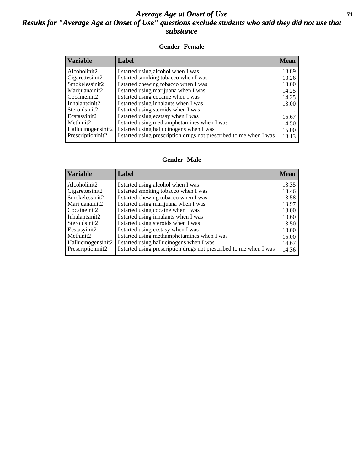### *Average Age at Onset of Use* **71** *Results for "Average Age at Onset of Use" questions exclude students who said they did not use that substance*

#### **Gender=Female**

| <i><b>Variable</b></i> | Label                                                              | <b>Mean</b> |
|------------------------|--------------------------------------------------------------------|-------------|
| Alcoholinit2           | I started using alcohol when I was                                 | 13.89       |
| Cigarettesinit2        | I started smoking tobacco when I was                               | 13.26       |
| Smokelessinit2         | I started chewing tobacco when I was                               | 13.00       |
| Marijuanainit2         | I started using marijuana when I was                               | 14.25       |
| Cocaineinit2           | I started using cocaine when I was                                 | 14.25       |
| Inhalantsinit2         | I started using inhalants when I was                               | 13.00       |
| Steroidsinit2          | I started using steroids when I was                                |             |
| Ecstasyinit2           | I started using ecstasy when I was                                 | 15.67       |
| Methinit2              | I started using methamphetamines when I was                        | 14.50       |
| Hallucinogensinit2     | I started using hallucinogens when I was                           | 15.00       |
| Prescription in t2     | I started using prescription drugs not prescribed to me when I was | 13.13       |

#### **Gender=Male**

| <b>Variable</b>    | Label                                                              | <b>Mean</b> |
|--------------------|--------------------------------------------------------------------|-------------|
| Alcoholinit2       | I started using alcohol when I was                                 | 13.35       |
| Cigarettesinit2    | I started smoking tobacco when I was                               | 13.46       |
| Smokelessinit2     | I started chewing tobacco when I was                               | 13.58       |
| Marijuanainit2     | I started using marijuana when I was                               | 13.97       |
| Cocaineinit2       | I started using cocaine when I was                                 | 13.00       |
| Inhalantsinit2     | I started using inhalants when I was                               | 10.60       |
| Steroidsinit2      | I started using steroids when I was                                | 13.50       |
| Ecstasyinit2       | I started using ecstasy when I was                                 | 18.00       |
| Methinit2          | I started using methamphetamines when I was                        | 15.00       |
| Hallucinogensinit2 | I started using hallucinogens when I was                           | 14.67       |
| Prescriptioninit2  | I started using prescription drugs not prescribed to me when I was | 14.36       |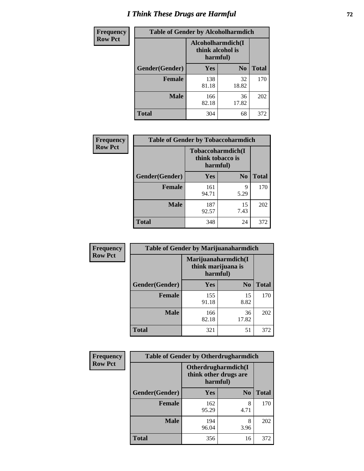# *I Think These Drugs are Harmful* **72**

| <b>Frequency</b> | <b>Table of Gender by Alcoholharmdich</b> |                                                   |                |              |
|------------------|-------------------------------------------|---------------------------------------------------|----------------|--------------|
| <b>Row Pct</b>   |                                           | Alcoholharmdich(I<br>think alcohol is<br>harmful) |                |              |
|                  | Gender(Gender)                            | Yes                                               | N <sub>0</sub> | <b>Total</b> |
|                  | <b>Female</b>                             | 138<br>81.18                                      | 32<br>18.82    | 170          |
|                  | <b>Male</b>                               | 166<br>82.18                                      | 36<br>17.82    | 202          |
|                  | Total                                     | 304                                               | 68             | 372          |

| Frequency      | <b>Table of Gender by Tobaccoharmdich</b> |                  |                               |              |
|----------------|-------------------------------------------|------------------|-------------------------------|--------------|
| <b>Row Pct</b> |                                           | think tobacco is | Tobaccoharmdich(I<br>harmful) |              |
|                | Gender(Gender)                            | Yes              | N <sub>0</sub>                | <b>Total</b> |
|                | <b>Female</b>                             | 161<br>94.71     | 9<br>5.29                     | 170          |
|                | <b>Male</b>                               | 187<br>92.57     | 15<br>7.43                    | 202          |
|                | <b>Total</b>                              | 348              | 24                            | 372          |

| Frequency      | <b>Table of Gender by Marijuanaharmdich</b> |                                |                     |              |  |
|----------------|---------------------------------------------|--------------------------------|---------------------|--------------|--|
| <b>Row Pct</b> |                                             | think marijuana is<br>harmful) | Marijuanaharmdich(I |              |  |
|                | Gender(Gender)                              | <b>Yes</b>                     | N <sub>0</sub>      | <b>Total</b> |  |
|                | <b>Female</b>                               | 155<br>91.18                   | 15<br>8.82          | 170          |  |
|                | <b>Male</b>                                 | 166<br>82.18                   | 36<br>17.82         | 202          |  |
|                | <b>Total</b>                                | 321                            | 51                  | 372          |  |

| Frequency      | <b>Table of Gender by Otherdrugharmdich</b> |                                                          |                |              |  |
|----------------|---------------------------------------------|----------------------------------------------------------|----------------|--------------|--|
| <b>Row Pct</b> |                                             | Otherdrugharmdich(I<br>think other drugs are<br>harmful) |                |              |  |
|                | Gender(Gender)                              | <b>Yes</b>                                               | N <sub>0</sub> | <b>Total</b> |  |
|                | <b>Female</b>                               | 162<br>95.29                                             | 8<br>4.71      | 170          |  |
|                | <b>Male</b>                                 | 194<br>96.04                                             | 8<br>3.96      | 202          |  |
|                | <b>Total</b>                                | 356                                                      | 16             | 372          |  |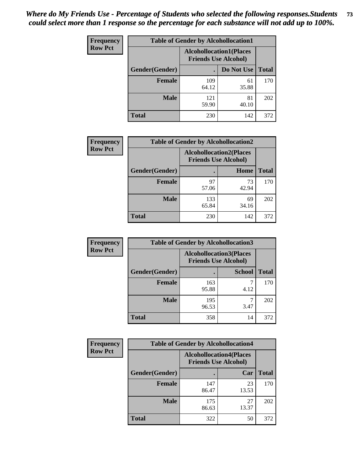| <b>Frequency</b> | <b>Table of Gender by Alcohollocation1</b> |                                                               |             |              |
|------------------|--------------------------------------------|---------------------------------------------------------------|-------------|--------------|
| <b>Row Pct</b>   |                                            | <b>Alcohollocation1(Places</b><br><b>Friends Use Alcohol)</b> |             |              |
|                  | Gender(Gender)                             |                                                               | Do Not Use  | <b>Total</b> |
|                  | <b>Female</b>                              | 109<br>64.12                                                  | 61<br>35.88 | 170          |
|                  | <b>Male</b>                                | 121<br>59.90                                                  | 81<br>40.10 | 202          |
|                  | <b>Total</b>                               | 230                                                           | 142         | 372          |

| <b>Frequency</b> | <b>Table of Gender by Alcohollocation2</b> |              |                                                               |              |
|------------------|--------------------------------------------|--------------|---------------------------------------------------------------|--------------|
| <b>Row Pct</b>   |                                            |              | <b>Alcohollocation2(Places</b><br><b>Friends Use Alcohol)</b> |              |
|                  | Gender(Gender)                             |              | Home                                                          | <b>Total</b> |
|                  | <b>Female</b>                              | 97<br>57.06  | 73<br>42.94                                                   | 170          |
|                  | <b>Male</b>                                | 133<br>65.84 | 69<br>34.16                                                   | 202          |
|                  | <b>Total</b>                               | 230          | 142                                                           | 372          |

| Frequency      | <b>Table of Gender by Alcohollocation3</b> |                                                               |               |              |
|----------------|--------------------------------------------|---------------------------------------------------------------|---------------|--------------|
| <b>Row Pct</b> |                                            | <b>Alcohollocation3(Places</b><br><b>Friends Use Alcohol)</b> |               |              |
|                | Gender(Gender)                             |                                                               | <b>School</b> | <b>Total</b> |
|                | <b>Female</b>                              | 163<br>95.88                                                  | 4.12          | 170          |
|                | <b>Male</b>                                | 195<br>96.53                                                  | 3.47          | 202          |
|                | <b>Total</b>                               | 358                                                           | 14            | 372          |

| Frequency      | <b>Table of Gender by Alcohollocation4</b> |                                                               |             |              |
|----------------|--------------------------------------------|---------------------------------------------------------------|-------------|--------------|
| <b>Row Pct</b> |                                            | <b>Alcohollocation4(Places</b><br><b>Friends Use Alcohol)</b> |             |              |
|                | <b>Gender</b> (Gender)                     |                                                               | Car         | <b>Total</b> |
|                | <b>Female</b>                              | 147<br>86.47                                                  | 23<br>13.53 | 170          |
|                | <b>Male</b>                                | 175<br>86.63                                                  | 27<br>13.37 | 202          |
|                | <b>Total</b>                               | 322                                                           | 50          | 372          |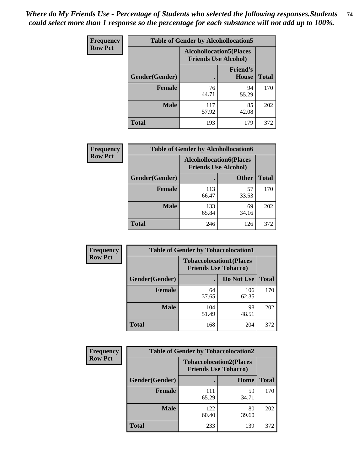| <b>Frequency</b> | <b>Table of Gender by Alcohollocation5</b> |                                                                |                                 |              |
|------------------|--------------------------------------------|----------------------------------------------------------------|---------------------------------|--------------|
| <b>Row Pct</b>   |                                            | <b>Alcohollocation5</b> (Places<br><b>Friends Use Alcohol)</b> |                                 |              |
|                  | Gender(Gender)                             |                                                                | <b>Friend's</b><br><b>House</b> | <b>Total</b> |
|                  | <b>Female</b>                              | 76<br>44.71                                                    | 94<br>55.29                     | 170          |
|                  | <b>Male</b>                                | 117<br>57.92                                                   | 85<br>42.08                     | 202          |
|                  | <b>Total</b>                               | 193                                                            | 179                             | 372          |

| Frequency      | <b>Table of Gender by Alcohollocation6</b> |                                                               |              |              |  |
|----------------|--------------------------------------------|---------------------------------------------------------------|--------------|--------------|--|
| <b>Row Pct</b> |                                            | <b>Alcohollocation6(Places</b><br><b>Friends Use Alcohol)</b> |              |              |  |
|                | <b>Gender</b> (Gender)                     |                                                               | <b>Other</b> | <b>Total</b> |  |
|                | <b>Female</b>                              | 113<br>66.47                                                  | 57<br>33.53  | 170          |  |
|                | <b>Male</b>                                | 133<br>65.84                                                  | 69<br>34.16  | 202          |  |
|                | <b>Total</b>                               | 246                                                           | 126          | 372          |  |

| Frequency      | <b>Table of Gender by Tobaccolocation1</b> |                                                               |              |              |  |
|----------------|--------------------------------------------|---------------------------------------------------------------|--------------|--------------|--|
| <b>Row Pct</b> |                                            | <b>Tobaccolocation1(Places</b><br><b>Friends Use Tobacco)</b> |              |              |  |
|                | Gender(Gender)                             |                                                               | Do Not Use   | <b>Total</b> |  |
|                | <b>Female</b>                              | 64<br>37.65                                                   | 106<br>62.35 | 170          |  |
|                | <b>Male</b>                                | 104<br>51.49                                                  | 98<br>48.51  | 202          |  |
|                | <b>Total</b>                               | 168                                                           | 204          | 372          |  |

| <b>Frequency</b> | <b>Table of Gender by Tobaccolocation2</b> |                                                               |             |              |
|------------------|--------------------------------------------|---------------------------------------------------------------|-------------|--------------|
| <b>Row Pct</b>   |                                            | <b>Tobaccolocation2(Places</b><br><b>Friends Use Tobacco)</b> |             |              |
|                  | Gender(Gender)                             |                                                               | Home        | <b>Total</b> |
|                  | <b>Female</b>                              | 111<br>65.29                                                  | 59<br>34.71 | 170          |
|                  | <b>Male</b>                                | 122<br>60.40                                                  | 80<br>39.60 | 202          |
|                  | <b>Total</b>                               | 233                                                           | 139         | 372          |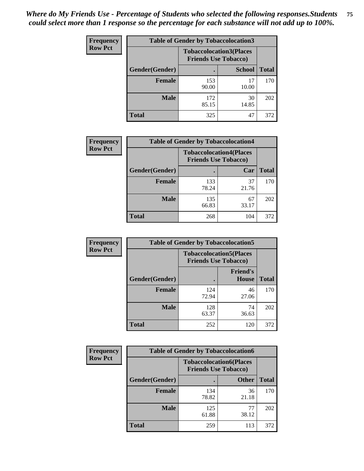| <b>Frequency</b> | <b>Table of Gender by Tobaccolocation3</b> |                             |                                |              |
|------------------|--------------------------------------------|-----------------------------|--------------------------------|--------------|
| <b>Row Pct</b>   |                                            | <b>Friends Use Tobacco)</b> | <b>Tobaccolocation3(Places</b> |              |
|                  | Gender(Gender)                             |                             | <b>School</b>                  | <b>Total</b> |
|                  | <b>Female</b>                              | 153<br>90.00                | 17<br>10.00                    | 170          |
|                  | <b>Male</b>                                | 172<br>85.15                | 30<br>14.85                    | 202          |
|                  | <b>Total</b>                               | 325                         | 47                             | 372          |

| <b>Frequency</b> |                | <b>Table of Gender by Tobaccolocation4</b>                    |             |              |
|------------------|----------------|---------------------------------------------------------------|-------------|--------------|
| <b>Row Pct</b>   |                | <b>Tobaccolocation4(Places</b><br><b>Friends Use Tobacco)</b> |             |              |
|                  | Gender(Gender) |                                                               | Car         | <b>Total</b> |
|                  | Female         | 133<br>78.24                                                  | 37<br>21.76 | 170          |
|                  | <b>Male</b>    | 135<br>66.83                                                  | 67<br>33.17 | 202          |
|                  | <b>Total</b>   | 268                                                           | 104         | 372          |

| <b>Frequency</b> | <b>Table of Gender by Tobaccolocation5</b> |                                                               |                          |              |
|------------------|--------------------------------------------|---------------------------------------------------------------|--------------------------|--------------|
| <b>Row Pct</b>   |                                            | <b>Tobaccolocation5(Places</b><br><b>Friends Use Tobacco)</b> |                          |              |
|                  | Gender(Gender)                             |                                                               | <b>Friend's</b><br>House | <b>Total</b> |
|                  | <b>Female</b>                              | 124<br>72.94                                                  | 46<br>27.06              | 170          |
|                  | <b>Male</b>                                | 128<br>63.37                                                  | 74<br>36.63              | 202          |
|                  | <b>Total</b>                               | 252                                                           | 120                      | 372          |

| Frequency      | <b>Table of Gender by Tobaccolocation6</b> |                                                               |              |              |
|----------------|--------------------------------------------|---------------------------------------------------------------|--------------|--------------|
| <b>Row Pct</b> |                                            | <b>Tobaccolocation6(Places</b><br><b>Friends Use Tobacco)</b> |              |              |
|                | <b>Gender</b> (Gender)                     |                                                               | <b>Other</b> | <b>Total</b> |
|                | Female                                     | 134<br>78.82                                                  | 36<br>21.18  | 170          |
|                | <b>Male</b>                                | 125<br>61.88                                                  | 77<br>38.12  | 202          |
|                | <b>Total</b>                               | 259                                                           | 113          | 372          |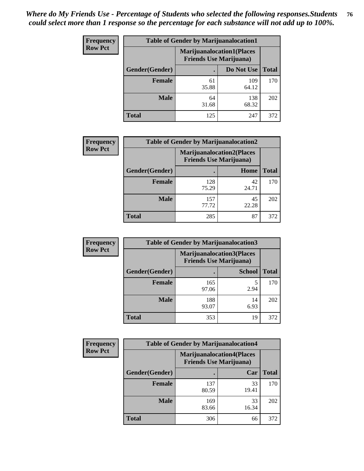| <b>Frequency</b> | <b>Table of Gender by Marijuanalocation1</b> |                                                                    |              |              |
|------------------|----------------------------------------------|--------------------------------------------------------------------|--------------|--------------|
| <b>Row Pct</b>   |                                              | <b>Marijuanalocation1(Places</b><br><b>Friends Use Marijuana</b> ) |              |              |
|                  | Gender(Gender)                               |                                                                    | Do Not Use   | <b>Total</b> |
|                  | <b>Female</b>                                | 61<br>35.88                                                        | 109<br>64.12 | 170          |
|                  | <b>Male</b>                                  | 64<br>31.68                                                        | 138<br>68.32 | 202          |
|                  | <b>Total</b>                                 | 125                                                                | 247          | 372          |

| <b>Frequency</b> | <b>Table of Gender by Marijuanalocation2</b> |                                                                    |             |              |
|------------------|----------------------------------------------|--------------------------------------------------------------------|-------------|--------------|
| <b>Row Pct</b>   |                                              | <b>Marijuanalocation2(Places</b><br><b>Friends Use Marijuana</b> ) |             |              |
|                  | Gender(Gender)                               |                                                                    | Home        | <b>Total</b> |
|                  | <b>Female</b>                                | 128<br>75.29                                                       | 42<br>24.71 | 170          |
|                  | <b>Male</b>                                  | 157<br>77.72                                                       | 45<br>22.28 | 202          |
|                  | <b>Total</b>                                 | 285                                                                | 87          | 372          |

| Frequency      | <b>Table of Gender by Marijuanalocation3</b> |                                |                                  |              |  |
|----------------|----------------------------------------------|--------------------------------|----------------------------------|--------------|--|
| <b>Row Pct</b> |                                              | <b>Friends Use Marijuana</b> ) | <b>Marijuanalocation3(Places</b> |              |  |
|                | Gender(Gender)                               |                                | <b>School</b>                    | <b>Total</b> |  |
|                | Female                                       | 165<br>97.06                   | 2.94                             | 170          |  |
|                | <b>Male</b>                                  | 188<br>93.07                   | 14<br>6.93                       | 202          |  |
|                | <b>Total</b>                                 | 353                            | 19                               | 372          |  |

| <b>Frequency</b> | <b>Table of Gender by Marijuanalocation4</b> |                                |                                  |              |
|------------------|----------------------------------------------|--------------------------------|----------------------------------|--------------|
| <b>Row Pct</b>   |                                              | <b>Friends Use Marijuana</b> ) | <b>Marijuanalocation4(Places</b> |              |
|                  | Gender(Gender)                               |                                | Car                              | <b>Total</b> |
|                  | <b>Female</b>                                | 137<br>80.59                   | 33<br>19.41                      | 170          |
|                  | <b>Male</b>                                  | 169<br>83.66                   | 33<br>16.34                      | 202          |
|                  | <b>Total</b>                                 | 306                            | 66                               | 372          |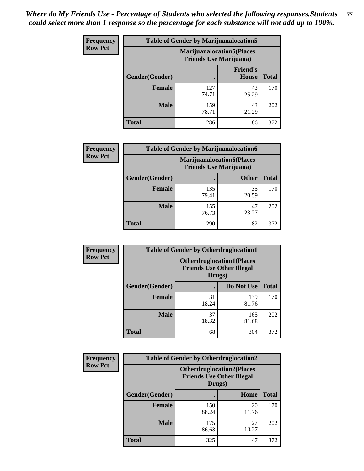| Frequency      | <b>Table of Gender by Marijuanalocation5</b> |                                                                     |                          |              |
|----------------|----------------------------------------------|---------------------------------------------------------------------|--------------------------|--------------|
| <b>Row Pct</b> |                                              | <b>Marijuanalocation5</b> (Places<br><b>Friends Use Marijuana</b> ) |                          |              |
|                | Gender(Gender)                               |                                                                     | <b>Friend's</b><br>House | <b>Total</b> |
|                | <b>Female</b>                                | 127<br>74.71                                                        | 43<br>25.29              | 170          |
|                | <b>Male</b>                                  | 159<br>78.71                                                        | 43<br>21.29              | 202          |
|                | <b>Total</b>                                 | 286                                                                 | 86                       | 372          |

| <b>Frequency</b> | <b>Table of Gender by Marijuanalocation6</b> |                                |                                  |              |
|------------------|----------------------------------------------|--------------------------------|----------------------------------|--------------|
| <b>Row Pct</b>   |                                              | <b>Friends Use Marijuana</b> ) | <b>Marijuanalocation6(Places</b> |              |
|                  | <b>Gender</b> (Gender)                       |                                | <b>Other</b>                     | <b>Total</b> |
|                  | <b>Female</b>                                | 135<br>79.41                   | 35<br>20.59                      | 170          |
|                  | <b>Male</b>                                  | 155<br>76.73                   | 47<br>23.27                      | 202          |
|                  | <b>Total</b>                                 | 290                            | 82                               | 372          |

| <b>Frequency</b> | <b>Table of Gender by Otherdruglocation1</b> |                                                                                |              |              |
|------------------|----------------------------------------------|--------------------------------------------------------------------------------|--------------|--------------|
| <b>Row Pct</b>   |                                              | <b>Otherdruglocation1(Places</b><br><b>Friends Use Other Illegal</b><br>Drugs) |              |              |
|                  | <b>Gender</b> (Gender)                       |                                                                                | Do Not Use   | <b>Total</b> |
|                  | <b>Female</b>                                | 31<br>18.24                                                                    | 139<br>81.76 | 170          |
|                  | <b>Male</b>                                  | 37<br>18.32                                                                    | 165<br>81.68 | 202          |
|                  | <b>Total</b>                                 | 68                                                                             | 304          | 372          |

| <b>Frequency</b> | <b>Table of Gender by Otherdruglocation2</b> |                                                                                |             |              |
|------------------|----------------------------------------------|--------------------------------------------------------------------------------|-------------|--------------|
| <b>Row Pct</b>   |                                              | <b>Otherdruglocation2(Places</b><br><b>Friends Use Other Illegal</b><br>Drugs) |             |              |
|                  | Gender(Gender)                               |                                                                                | Home        | <b>Total</b> |
|                  | Female                                       | 150<br>88.24                                                                   | 20<br>11.76 | 170          |
|                  | <b>Male</b>                                  | 175<br>86.63                                                                   | 27<br>13.37 | 202          |
|                  | <b>Total</b>                                 | 325                                                                            | 47          | 372          |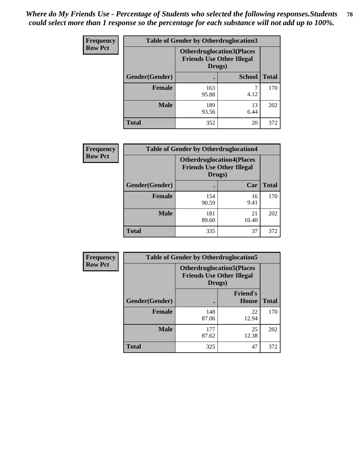| <b>Frequency</b> | <b>Table of Gender by Otherdruglocation3</b> |                                                                                |               |              |
|------------------|----------------------------------------------|--------------------------------------------------------------------------------|---------------|--------------|
| <b>Row Pct</b>   |                                              | <b>Otherdruglocation3(Places</b><br><b>Friends Use Other Illegal</b><br>Drugs) |               |              |
|                  | Gender(Gender)                               |                                                                                | <b>School</b> | <b>Total</b> |
|                  | Female                                       | 163<br>95.88                                                                   | 4.12          | 170          |
|                  | <b>Male</b>                                  | 189<br>93.56                                                                   | 13<br>6.44    | 202          |
|                  | <b>Total</b>                                 | 352                                                                            | 20            | 372          |

| Frequency      | <b>Table of Gender by Otherdruglocation4</b> |                                                                                |             |              |
|----------------|----------------------------------------------|--------------------------------------------------------------------------------|-------------|--------------|
| <b>Row Pct</b> |                                              | <b>Otherdruglocation4(Places</b><br><b>Friends Use Other Illegal</b><br>Drugs) |             |              |
|                | Gender(Gender)                               |                                                                                | Car         | <b>Total</b> |
|                | <b>Female</b>                                | 154<br>90.59                                                                   | 16<br>9.41  | 170          |
|                | <b>Male</b>                                  | 181<br>89.60                                                                   | 21<br>10.40 | 202          |
|                | <b>Total</b>                                 | 335                                                                            | 37          | 372          |

| Frequency      | <b>Table of Gender by Otherdruglocation5</b> |                                            |                                  |              |
|----------------|----------------------------------------------|--------------------------------------------|----------------------------------|--------------|
| <b>Row Pct</b> |                                              | <b>Friends Use Other Illegal</b><br>Drugs) | <b>Otherdruglocation5(Places</b> |              |
|                | Gender(Gender)                               |                                            | <b>Friend's</b><br>House         | <b>Total</b> |
|                | <b>Female</b>                                | 148<br>87.06                               | 22<br>12.94                      | 170          |
|                | <b>Male</b>                                  | 177<br>87.62                               | 25<br>12.38                      | 202          |
|                | <b>Total</b>                                 | 325                                        | 47                               | 372          |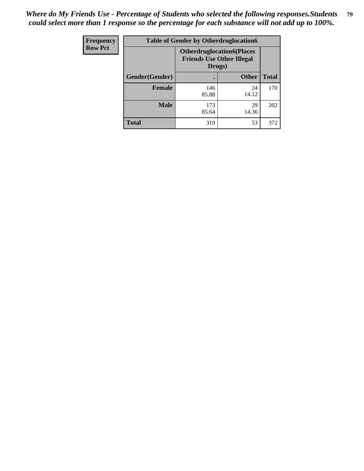| Frequency      | <b>Table of Gender by Otherdruglocation6</b> |                                            |                                  |              |
|----------------|----------------------------------------------|--------------------------------------------|----------------------------------|--------------|
| <b>Row Pct</b> |                                              | <b>Friends Use Other Illegal</b><br>Drugs) | <b>Otherdruglocation6(Places</b> |              |
|                | Gender(Gender)                               |                                            | <b>Other</b>                     | <b>Total</b> |
|                | <b>Female</b>                                | 146<br>85.88                               | 24<br>14.12                      | 170          |
|                | <b>Male</b>                                  | 173<br>85.64                               | 29<br>14.36                      | 202          |
|                | <b>Total</b>                                 | 319                                        | 53                               | 372          |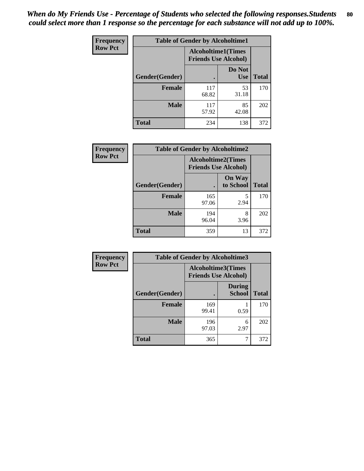| <b>Frequency</b> | <b>Table of Gender by Alcoholtime1</b> |                                                          |                      |              |
|------------------|----------------------------------------|----------------------------------------------------------|----------------------|--------------|
| <b>Row Pct</b>   |                                        | <b>Alcoholtime1(Times</b><br><b>Friends Use Alcohol)</b> |                      |              |
|                  | Gender(Gender)                         | ٠                                                        | Do Not<br><b>Use</b> | <b>Total</b> |
|                  | <b>Female</b>                          | 117<br>68.82                                             | 53<br>31.18          | 170          |
|                  | <b>Male</b>                            | 117<br>57.92                                             | 85<br>42.08          | 202          |
|                  | <b>Total</b>                           | 234                                                      | 138                  | 372          |

| Frequency      | <b>Table of Gender by Alcoholtime2</b> |                                                          |                            |              |
|----------------|----------------------------------------|----------------------------------------------------------|----------------------------|--------------|
| <b>Row Pct</b> |                                        | <b>Alcoholtime2(Times</b><br><b>Friends Use Alcohol)</b> |                            |              |
|                | Gender(Gender)                         |                                                          | <b>On Way</b><br>to School | <b>Total</b> |
|                | <b>Female</b>                          | 165<br>97.06                                             | 5<br>2.94                  | 170          |
|                | <b>Male</b>                            | 194<br>96.04                                             | 8<br>3.96                  | 202          |
|                | <b>Total</b>                           | 359                                                      | 13                         | 372          |

| Frequency      | <b>Table of Gender by Alcoholtime3</b> |                                                   |                                |              |  |
|----------------|----------------------------------------|---------------------------------------------------|--------------------------------|--------------|--|
| <b>Row Pct</b> |                                        | Alcoholtime3(Times<br><b>Friends Use Alcohol)</b> |                                |              |  |
|                | Gender(Gender)                         |                                                   | <b>During</b><br><b>School</b> | <b>Total</b> |  |
|                | Female                                 | 169<br>99.41                                      | 0.59                           | 170          |  |
|                | <b>Male</b>                            | 196<br>97.03                                      | 6<br>2.97                      | 202          |  |
|                | <b>Total</b>                           | 365                                               | 7                              | 372          |  |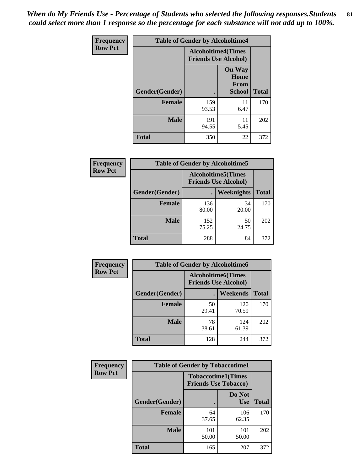*When do My Friends Use - Percentage of Students who selected the following responses.Students could select more than 1 response so the percentage for each substance will not add up to 100%.* **81**

| <b>Frequency</b> | <b>Table of Gender by Alcoholtime4</b> |                                                          |                                                |              |
|------------------|----------------------------------------|----------------------------------------------------------|------------------------------------------------|--------------|
| <b>Row Pct</b>   |                                        | <b>Alcoholtime4(Times</b><br><b>Friends Use Alcohol)</b> |                                                |              |
|                  | Gender(Gender)                         |                                                          | <b>On Way</b><br>Home<br>From<br><b>School</b> | <b>Total</b> |
|                  | <b>Female</b>                          | 159<br>93.53                                             | 11<br>6.47                                     | 170          |
|                  | <b>Male</b>                            | 191<br>94.55                                             | 11<br>5.45                                     | 202          |
|                  | <b>Total</b>                           | 350                                                      | 22                                             | 372          |

| <b>Frequency</b> | <b>Table of Gender by Alcoholtime5</b> |              |                                                           |              |  |
|------------------|----------------------------------------|--------------|-----------------------------------------------------------|--------------|--|
| <b>Row Pct</b>   |                                        |              | <b>Alcoholtime5</b> (Times<br><b>Friends Use Alcohol)</b> |              |  |
|                  | Gender(Gender)                         |              | <b>Weeknights</b>                                         | <b>Total</b> |  |
|                  | <b>Female</b>                          | 136<br>80.00 | 34<br>20.00                                               | 170          |  |
|                  | <b>Male</b>                            | 152<br>75.25 | 50<br>24.75                                               | 202          |  |
|                  | <b>Total</b>                           | 288          | 84                                                        | 372          |  |

| <b>Frequency</b> | <b>Table of Gender by Alcoholtime6</b> |             |                                                           |              |  |
|------------------|----------------------------------------|-------------|-----------------------------------------------------------|--------------|--|
| <b>Row Pct</b>   |                                        |             | <b>Alcoholtime6</b> (Times<br><b>Friends Use Alcohol)</b> |              |  |
|                  | Gender(Gender)                         |             | Weekends                                                  | <b>Total</b> |  |
|                  | Female                                 | 50<br>29.41 | 120<br>70.59                                              | 170          |  |
|                  | <b>Male</b>                            | 78<br>38.61 | 124<br>61.39                                              | 202          |  |
|                  | <b>Total</b>                           | 128         | 244                                                       | 372          |  |

| Frequency      | <b>Table of Gender by Tobaccotime1</b> |                                                          |                      |              |
|----------------|----------------------------------------|----------------------------------------------------------|----------------------|--------------|
| <b>Row Pct</b> |                                        | <b>Tobaccotime1(Times</b><br><b>Friends Use Tobacco)</b> |                      |              |
|                | Gender(Gender)                         |                                                          | Do Not<br><b>Use</b> | <b>Total</b> |
|                | Female                                 | 64<br>37.65                                              | 106<br>62.35         | 170          |
|                | <b>Male</b>                            | 101<br>50.00                                             | 101<br>50.00         | 202          |
|                | <b>Total</b>                           | 165                                                      | 207                  | 372          |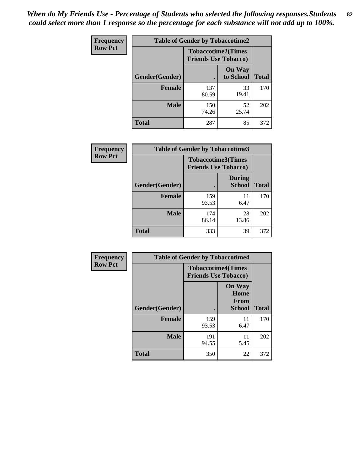*When do My Friends Use - Percentage of Students who selected the following responses.Students could select more than 1 response so the percentage for each substance will not add up to 100%.* **82**

| Frequency      | <b>Table of Gender by Tobaccotime2</b> |                                                          |                            |              |
|----------------|----------------------------------------|----------------------------------------------------------|----------------------------|--------------|
| <b>Row Pct</b> |                                        | <b>Tobaccotime2(Times</b><br><b>Friends Use Tobacco)</b> |                            |              |
|                | Gender(Gender)                         |                                                          | <b>On Way</b><br>to School | <b>Total</b> |
|                | <b>Female</b>                          | 137<br>80.59                                             | 33<br>19.41                | 170          |
|                | <b>Male</b>                            | 150<br>74.26                                             | 52<br>25.74                | 202          |
|                | <b>Total</b>                           | 287                                                      | 85                         | 372          |

| <b>Frequency</b> | <b>Table of Gender by Tobaccotime3</b> |                                                          |                                |              |
|------------------|----------------------------------------|----------------------------------------------------------|--------------------------------|--------------|
| <b>Row Pct</b>   |                                        | <b>Tobaccotime3(Times</b><br><b>Friends Use Tobacco)</b> |                                |              |
|                  | Gender(Gender)                         |                                                          | <b>During</b><br><b>School</b> | <b>Total</b> |
|                  | <b>Female</b>                          | 159<br>93.53                                             | 11<br>6.47                     | 170          |
|                  | <b>Male</b>                            | 174<br>86.14                                             | 28<br>13.86                    | 202          |
|                  | <b>Total</b>                           | 333                                                      | 39                             | 372          |

| Frequency      | <b>Table of Gender by Tobaccotime4</b> |                                                          |                                                       |              |
|----------------|----------------------------------------|----------------------------------------------------------|-------------------------------------------------------|--------------|
| <b>Row Pct</b> |                                        | <b>Tobaccotime4(Times</b><br><b>Friends Use Tobacco)</b> |                                                       |              |
|                | Gender(Gender)                         |                                                          | <b>On Way</b><br>Home<br><b>From</b><br><b>School</b> | <b>Total</b> |
|                | <b>Female</b>                          | 159<br>93.53                                             | 11<br>6.47                                            | 170          |
|                | <b>Male</b>                            | 191<br>94.55                                             | 11<br>5.45                                            | 202          |
|                | <b>Total</b>                           | 350                                                      | 22                                                    | 372          |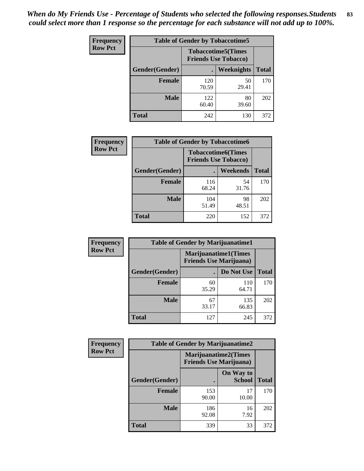| <b>Frequency</b> | <b>Table of Gender by Tobaccotime5</b> |              |                                                          |              |  |
|------------------|----------------------------------------|--------------|----------------------------------------------------------|--------------|--|
| <b>Row Pct</b>   |                                        |              | <b>Tobaccotime5(Times</b><br><b>Friends Use Tobacco)</b> |              |  |
|                  | <b>Gender</b> (Gender)                 |              | <b>Weeknights</b>                                        | <b>Total</b> |  |
|                  | Female                                 | 120<br>70.59 | 50<br>29.41                                              | 170          |  |
|                  | <b>Male</b>                            | 122<br>60.40 | 80<br>39.60                                              | 202          |  |
|                  | <b>Total</b>                           | 242          | 130                                                      | 372          |  |

| Frequency      | <b>Table of Gender by Tobaccotime6</b> |                                                          |             |              |
|----------------|----------------------------------------|----------------------------------------------------------|-------------|--------------|
| <b>Row Pct</b> |                                        | <b>Tobaccotime6(Times</b><br><b>Friends Use Tobacco)</b> |             |              |
|                | Gender(Gender)                         |                                                          | Weekends    | <b>Total</b> |
|                | Female                                 | 116<br>68.24                                             | 54<br>31.76 | 170          |
|                | <b>Male</b>                            | 104<br>51.49                                             | 98<br>48.51 | 202          |
|                | <b>Total</b>                           | 220                                                      | 152         | 372          |

| <b>Frequency</b> | <b>Table of Gender by Marijuanatime1</b> |                                                               |              |              |
|------------------|------------------------------------------|---------------------------------------------------------------|--------------|--------------|
| <b>Row Pct</b>   |                                          | <b>Marijuanatime1(Times</b><br><b>Friends Use Marijuana</b> ) |              |              |
|                  | Gender(Gender)                           |                                                               | Do Not Use   | <b>Total</b> |
|                  | <b>Female</b>                            | 60<br>35.29                                                   | 110<br>64.71 | 170          |
|                  | <b>Male</b>                              | 67<br>33.17                                                   | 135<br>66.83 | 202          |
|                  | <b>Total</b>                             | 127                                                           | 245          | 372          |

| <b>Frequency</b> | <b>Table of Gender by Marijuanatime2</b> |                                |                             |              |
|------------------|------------------------------------------|--------------------------------|-----------------------------|--------------|
| <b>Row Pct</b>   |                                          | <b>Friends Use Marijuana</b> ) | <b>Marijuanatime2(Times</b> |              |
|                  | Gender(Gender)                           |                                | On Way to<br><b>School</b>  | <b>Total</b> |
|                  | <b>Female</b>                            | 153<br>90.00                   | 17<br>10.00                 | 170          |
|                  | <b>Male</b>                              | 186<br>92.08                   | 16<br>7.92                  | 202          |
|                  | <b>Total</b>                             | 339                            | 33                          | 372          |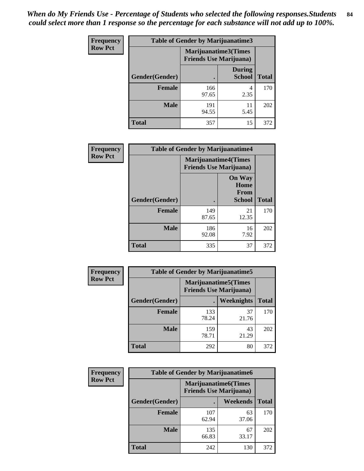*When do My Friends Use - Percentage of Students who selected the following responses.Students could select more than 1 response so the percentage for each substance will not add up to 100%.* **84**

| <b>Frequency</b> | Table of Gender by Marijuanatime3 |                                                        |                                |              |
|------------------|-----------------------------------|--------------------------------------------------------|--------------------------------|--------------|
| <b>Row Pct</b>   |                                   | Marijuanatime3(Times<br><b>Friends Use Marijuana</b> ) |                                |              |
|                  | Gender(Gender)                    |                                                        | <b>During</b><br><b>School</b> | <b>Total</b> |
|                  | <b>Female</b>                     | 166<br>97.65                                           | 4<br>2.35                      | 170          |
|                  | <b>Male</b>                       | 191<br>94.55                                           | 11<br>5.45                     | 202          |
|                  | <b>Total</b>                      | 357                                                    | 15                             | 372          |

| Frequency      | <b>Table of Gender by Marijuanatime4</b> |                                                               |                                                |              |
|----------------|------------------------------------------|---------------------------------------------------------------|------------------------------------------------|--------------|
| <b>Row Pct</b> |                                          | <b>Marijuanatime4(Times</b><br><b>Friends Use Marijuana</b> ) |                                                |              |
|                | Gender(Gender)                           |                                                               | <b>On Way</b><br>Home<br>From<br><b>School</b> | <b>Total</b> |
|                | <b>Female</b>                            | 149<br>87.65                                                  | 21<br>12.35                                    | 170          |
|                | <b>Male</b>                              | 186<br>92.08                                                  | 16<br>7.92                                     | 202          |
|                | <b>Total</b>                             | 335                                                           | 37                                             | 372          |

| Frequency      | <b>Table of Gender by Marijuanatime5</b> |                                                                |             |              |
|----------------|------------------------------------------|----------------------------------------------------------------|-------------|--------------|
| <b>Row Pct</b> |                                          | <b>Marijuanatime5</b> (Times<br><b>Friends Use Marijuana</b> ) |             |              |
|                | Gender(Gender)                           |                                                                | Weeknights  | <b>Total</b> |
|                | <b>Female</b>                            | 133<br>78.24                                                   | 37<br>21.76 | 170          |
|                | <b>Male</b>                              | 159<br>78.71                                                   | 43<br>21.29 | 202          |
|                | <b>Total</b>                             | 292                                                            | 80          | 372          |

| <b>Frequency</b> | <b>Table of Gender by Marijuanatime6</b> |                                                               |             |              |
|------------------|------------------------------------------|---------------------------------------------------------------|-------------|--------------|
| <b>Row Pct</b>   |                                          | <b>Marijuanatime6(Times</b><br><b>Friends Use Marijuana</b> ) |             |              |
|                  | Gender(Gender)                           |                                                               | Weekends    | <b>Total</b> |
|                  | <b>Female</b>                            | 107<br>62.94                                                  | 63<br>37.06 | 170          |
|                  | <b>Male</b>                              | 135<br>66.83                                                  | 67<br>33.17 | 202          |
|                  | <b>Total</b>                             | 242                                                           | 130         | 372          |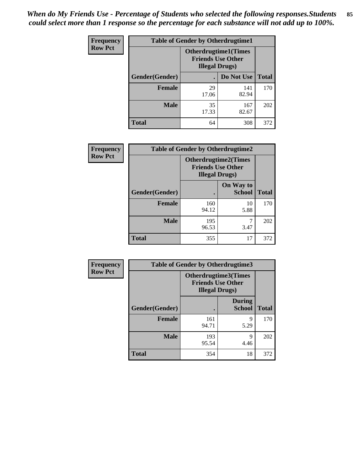*When do My Friends Use - Percentage of Students who selected the following responses.Students could select more than 1 response so the percentage for each substance will not add up to 100%.* **85**

| <b>Frequency</b> | <b>Table of Gender by Otherdrugtime1</b> |                                                    |                              |              |  |
|------------------|------------------------------------------|----------------------------------------------------|------------------------------|--------------|--|
| <b>Row Pct</b>   |                                          | <b>Friends Use Other</b><br><b>Illegal Drugs</b> ) | <b>Otherdrugtime1</b> (Times |              |  |
|                  | Gender(Gender)                           |                                                    | Do Not Use                   | <b>Total</b> |  |
|                  | <b>Female</b>                            | 29<br>17.06                                        | 141<br>82.94                 | 170          |  |
|                  | <b>Male</b>                              | 35<br>17.33                                        | 167<br>82.67                 | 202          |  |
|                  | <b>Total</b>                             | 64                                                 | 308                          | 372          |  |

| Frequency      | <b>Table of Gender by Otherdrugtime2</b> |                                                    |                             |              |
|----------------|------------------------------------------|----------------------------------------------------|-----------------------------|--------------|
| <b>Row Pct</b> |                                          | <b>Friends Use Other</b><br><b>Illegal Drugs</b> ) | <b>Otherdrugtime2(Times</b> |              |
|                | Gender(Gender)                           |                                                    | On Way to<br><b>School</b>  | <b>Total</b> |
|                | <b>Female</b>                            | 160<br>94.12                                       | 10<br>5.88                  | 170          |
|                | <b>Male</b>                              | 195<br>96.53                                       | 3.47                        | 202          |
|                | <b>Total</b>                             | 355                                                | 17                          | 372          |

| Frequency      | <b>Table of Gender by Otherdrugtime3</b> |                        |                                                         |              |
|----------------|------------------------------------------|------------------------|---------------------------------------------------------|--------------|
| <b>Row Pct</b> |                                          | <b>Illegal Drugs</b> ) | <b>Otherdrugtime3(Times</b><br><b>Friends Use Other</b> |              |
|                | Gender(Gender)                           |                        | <b>During</b><br><b>School</b>                          | <b>Total</b> |
|                | <b>Female</b>                            | 161<br>94.71           | 9<br>5.29                                               | 170          |
|                | <b>Male</b>                              | 193<br>95.54           | 9<br>4.46                                               | 202          |
|                | <b>Total</b>                             | 354                    | 18                                                      | 372          |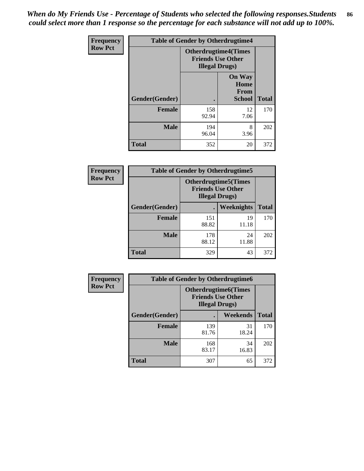*When do My Friends Use - Percentage of Students who selected the following responses.Students could select more than 1 response so the percentage for each substance will not add up to 100%.* **86**

| <b>Frequency</b> | <b>Table of Gender by Otherdrugtime4</b> |                                                    |                                                       |              |
|------------------|------------------------------------------|----------------------------------------------------|-------------------------------------------------------|--------------|
| <b>Row Pct</b>   |                                          | <b>Friends Use Other</b><br><b>Illegal Drugs</b> ) | <b>Otherdrugtime4(Times</b>                           |              |
|                  | Gender(Gender)                           |                                                    | <b>On Way</b><br>Home<br><b>From</b><br><b>School</b> | <b>Total</b> |
|                  | Female                                   | 158<br>92.94                                       | 12<br>7.06                                            | 170          |
|                  | <b>Male</b>                              | 194<br>96.04                                       | 8<br>3.96                                             | 202          |
|                  | <b>Total</b>                             | 352                                                | 20                                                    | 372          |

| Frequency      | <b>Table of Gender by Otherdrugtime5</b> |                                                                                    |             |              |
|----------------|------------------------------------------|------------------------------------------------------------------------------------|-------------|--------------|
| <b>Row Pct</b> |                                          | <b>Otherdrugtime5</b> (Times<br><b>Friends Use Other</b><br><b>Illegal Drugs</b> ) |             |              |
|                | Gender(Gender)                           |                                                                                    | Weeknights  | <b>Total</b> |
|                | <b>Female</b>                            | 151<br>88.82                                                                       | 19<br>11.18 | 170          |
|                | <b>Male</b>                              | 178<br>88.12                                                                       | 24<br>11.88 | 202          |
|                | <b>Total</b>                             | 329                                                                                | 43          | 372          |

| <b>Frequency</b> | <b>Table of Gender by Otherdrugtime6</b> |                                                                                   |             |              |
|------------------|------------------------------------------|-----------------------------------------------------------------------------------|-------------|--------------|
| <b>Row Pct</b>   |                                          | <b>Otherdrugtime6(Times</b><br><b>Friends Use Other</b><br><b>Illegal Drugs</b> ) |             |              |
|                  | Gender(Gender)                           |                                                                                   | Weekends    | <b>Total</b> |
|                  | <b>Female</b>                            | 139<br>81.76                                                                      | 31<br>18.24 | 170          |
|                  | <b>Male</b>                              | 168<br>83.17                                                                      | 34<br>16.83 | 202          |
|                  | <b>Total</b>                             | 307                                                                               | 65          | 372          |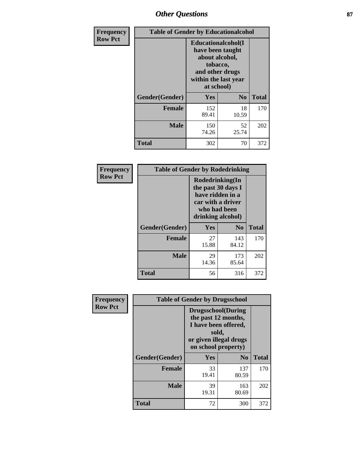# *Other Questions* **87**

| <b>Frequency</b> | <b>Table of Gender by Educationalcohol</b> |                                                                                                                                       |                |              |  |
|------------------|--------------------------------------------|---------------------------------------------------------------------------------------------------------------------------------------|----------------|--------------|--|
| <b>Row Pct</b>   |                                            | <b>Educationalcohol</b> (I<br>have been taught<br>about alcohol,<br>tobacco,<br>and other drugs<br>within the last year<br>at school) |                |              |  |
|                  | Gender(Gender)                             | <b>Yes</b>                                                                                                                            | N <sub>0</sub> | <b>Total</b> |  |
|                  | <b>Female</b>                              | 152<br>89.41                                                                                                                          | 18<br>10.59    | 170          |  |
|                  | <b>Male</b>                                | 150<br>74.26                                                                                                                          | 52<br>25.74    | 202          |  |
|                  | <b>Total</b>                               | 302                                                                                                                                   | 70             | 372          |  |

| Frequency      | <b>Table of Gender by Rodedrinking</b> |                                                                                                                     |                |              |  |
|----------------|----------------------------------------|---------------------------------------------------------------------------------------------------------------------|----------------|--------------|--|
| <b>Row Pct</b> |                                        | Rodedrinking(In<br>the past 30 days I<br>have ridden in a<br>car with a driver<br>who had been<br>drinking alcohol) |                |              |  |
|                | Gender(Gender)                         | Yes                                                                                                                 | N <sub>0</sub> | <b>Total</b> |  |
|                | <b>Female</b>                          | 27<br>15.88                                                                                                         | 143<br>84.12   | 170          |  |
|                | <b>Male</b>                            | 29<br>14.36                                                                                                         | 173<br>85.64   | 202          |  |
|                | <b>Total</b>                           | 56                                                                                                                  | 316            | 372          |  |

| Frequency      | <b>Table of Gender by Drugsschool</b> |                                                                                                                                     |                |              |  |
|----------------|---------------------------------------|-------------------------------------------------------------------------------------------------------------------------------------|----------------|--------------|--|
| <b>Row Pct</b> |                                       | <b>Drugsschool</b> (During<br>the past 12 months,<br>I have been offered,<br>sold,<br>or given illegal drugs<br>on school property) |                |              |  |
|                | Gender(Gender)                        | <b>Yes</b>                                                                                                                          | N <sub>0</sub> | <b>Total</b> |  |
|                | <b>Female</b>                         | 33<br>19.41                                                                                                                         | 137<br>80.59   | 170          |  |
|                | <b>Male</b>                           | 39<br>19.31                                                                                                                         | 163<br>80.69   | 202          |  |
|                | <b>Total</b>                          | 72                                                                                                                                  | 300            | 372          |  |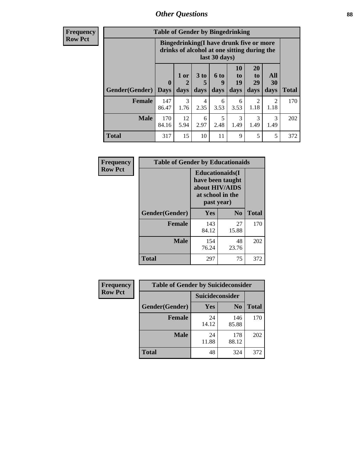# *Other Questions* **88**

**Frequency Row Pct**

| <b>Table of Gender by Bingedrinking</b> |                         |                                                                                                         |                   |                   |                        |                               |                        |              |
|-----------------------------------------|-------------------------|---------------------------------------------------------------------------------------------------------|-------------------|-------------------|------------------------|-------------------------------|------------------------|--------------|
|                                         |                         | Bingedrinking(I have drunk five or more<br>drinks of alcohol at one sitting during the<br>last 30 days) |                   |                   |                        |                               |                        |              |
| <b>Gender</b> (Gender)                  | $\bf{0}$<br><b>Days</b> | 1 or<br>days                                                                                            | 3 to<br>5<br>days | 6 to<br>9<br>days | 10<br>to<br>19<br>days | <b>20</b><br>to<br>29<br>days | All<br>30<br>days      | <b>Total</b> |
| <b>Female</b>                           | 147<br>86.47            | 3<br>1.76                                                                                               | 4<br>2.35         | 6<br>3.53         | 6<br>3.53              | 2<br>1.18                     | $\mathfrak{D}$<br>1.18 | 170          |
| <b>Male</b>                             | 170<br>84.16            | 12<br>5.94                                                                                              | 6<br>2.97         | 5<br>2.48         | 3<br>1.49              | 3<br>1.49                     | 3<br>1.49              | 202          |
| <b>Total</b>                            | 317                     | 15                                                                                                      | 10                | 11                | 9                      | 5                             | 5                      | 372          |

| Frequency      | <b>Table of Gender by Educationaids</b> |                                                                                                 |             |              |  |
|----------------|-----------------------------------------|-------------------------------------------------------------------------------------------------|-------------|--------------|--|
| <b>Row Pct</b> |                                         | <b>Educationaids</b> (I<br>have been taught<br>about HIV/AIDS<br>at school in the<br>past year) |             |              |  |
|                | Gender(Gender)                          | Yes                                                                                             | $\bf N_0$   | <b>Total</b> |  |
|                | <b>Female</b>                           | 143<br>84.12                                                                                    | 27<br>15.88 | 170          |  |
|                | <b>Male</b>                             | 154<br>76.24                                                                                    | 48<br>23.76 | 202          |  |
|                | <b>Total</b>                            | 297                                                                                             | 75          | 372          |  |

| <b>Frequency</b> | <b>Table of Gender by Suicideconsider</b> |                 |                |       |
|------------------|-------------------------------------------|-----------------|----------------|-------|
| <b>Row Pct</b>   |                                           | Suicideconsider |                |       |
|                  | Gender(Gender)                            | Yes             | N <sub>0</sub> | Total |
|                  | <b>Female</b>                             | 24<br>14.12     | 146<br>85.88   | 170   |
|                  | <b>Male</b>                               | 24<br>11.88     | 178<br>88.12   | 202   |
|                  | <b>Total</b>                              | 48              | 324            | 372   |